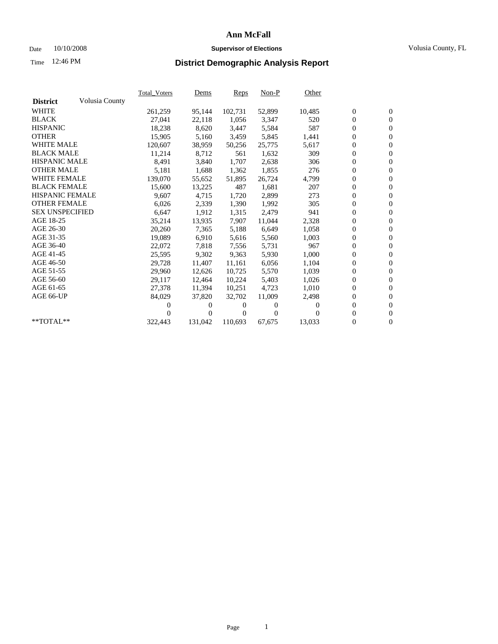### Date 10/10/2008 **Supervisor of Elections** Volusia County, FL

# Time **District Demographic Analysis Report** 12:46 PM

|                        |                | <b>Total_Voters</b> | <u>Dems</u> | Reps    | $Non-P$  | Other    |                  |                  |  |
|------------------------|----------------|---------------------|-------------|---------|----------|----------|------------------|------------------|--|
| <b>District</b>        | Volusia County |                     |             |         |          |          |                  |                  |  |
| <b>WHITE</b>           |                | 261,259             | 95,144      | 102,731 | 52,899   | 10,485   | $\boldsymbol{0}$ | $\boldsymbol{0}$ |  |
| <b>BLACK</b>           |                | 27,041              | 22,118      | 1,056   | 3,347    | 520      | 0                | $\mathbf{0}$     |  |
| <b>HISPANIC</b>        |                | 18,238              | 8,620       | 3,447   | 5,584    | 587      | $\overline{0}$   | $\mathbf{0}$     |  |
| <b>OTHER</b>           |                | 15,905              | 5,160       | 3,459   | 5,845    | 1,441    | 0                | $\overline{0}$   |  |
| <b>WHITE MALE</b>      |                | 120,607             | 38,959      | 50,256  | 25,775   | 5,617    | 0                | $\mathbf{0}$     |  |
| <b>BLACK MALE</b>      |                | 11,214              | 8,712       | 561     | 1,632    | 309      | $\overline{0}$   | $\mathbf{0}$     |  |
| <b>HISPANIC MALE</b>   |                | 8,491               | 3,840       | 1,707   | 2,638    | 306      | $\overline{0}$   | $\overline{0}$   |  |
| <b>OTHER MALE</b>      |                | 5,181               | 1,688       | 1,362   | 1,855    | 276      | 0                | $\mathbf{0}$     |  |
| <b>WHITE FEMALE</b>    |                | 139,070             | 55,652      | 51,895  | 26,724   | 4,799    | 0                | $\mathbf{0}$     |  |
| <b>BLACK FEMALE</b>    |                | 15,600              | 13,225      | 487     | 1,681    | 207      | $\boldsymbol{0}$ | $\overline{0}$   |  |
| <b>HISPANIC FEMALE</b> |                | 9,607               | 4,715       | 1,720   | 2,899    | 273      | 0                | $\overline{0}$   |  |
| <b>OTHER FEMALE</b>    |                | 6,026               | 2,339       | 1,390   | 1,992    | 305      | 0                | $\overline{0}$   |  |
| <b>SEX UNSPECIFIED</b> |                | 6,647               | 1,912       | 1,315   | 2,479    | 941      | $\overline{0}$   | $\overline{0}$   |  |
| AGE 18-25              |                | 35,214              | 13,935      | 7,907   | 11,044   | 2,328    | 0                | $\mathbf{0}$     |  |
| AGE 26-30              |                | 20,260              | 7,365       | 5,188   | 6,649    | 1,058    | 0                | $\overline{0}$   |  |
| AGE 31-35              |                | 19,089              | 6,910       | 5,616   | 5,560    | 1,003    | $\boldsymbol{0}$ | $\overline{0}$   |  |
| AGE 36-40              |                | 22,072              | 7,818       | 7,556   | 5,731    | 967      | 0                | $\mathbf{0}$     |  |
| AGE 41-45              |                | 25,595              | 9,302       | 9,363   | 5,930    | 1,000    | 0                | $\overline{0}$   |  |
| AGE 46-50              |                | 29,728              | 11,407      | 11,161  | 6,056    | 1,104    | $\overline{0}$   | $\mathbf{0}$     |  |
| AGE 51-55              |                | 29,960              | 12,626      | 10,725  | 5,570    | 1,039    | 0                | $\mathbf{0}$     |  |
| AGE 56-60              |                | 29,117              | 12,464      | 10,224  | 5,403    | 1,026    | 0                | $\mathbf{0}$     |  |
| AGE 61-65              |                | 27,378              | 11,394      | 10,251  | 4,723    | 1,010    | $\overline{0}$   | $\mathbf{0}$     |  |
| AGE 66-UP              |                | 84,029              | 37,820      | 32,702  | 11,009   | 2,498    | 0                | $\mathbf{0}$     |  |
|                        |                | 0                   | 0           | 0       | 0        | $\Omega$ | 0                | $\mathbf{0}$     |  |
|                        |                |                     | $\theta$    | 0       | $\Omega$ |          | $\overline{0}$   | $\mathbf{0}$     |  |
| **TOTAL**              |                | 322,443             | 131,042     | 110,693 | 67,675   | 13,033   | 0                | $\mathbf{0}$     |  |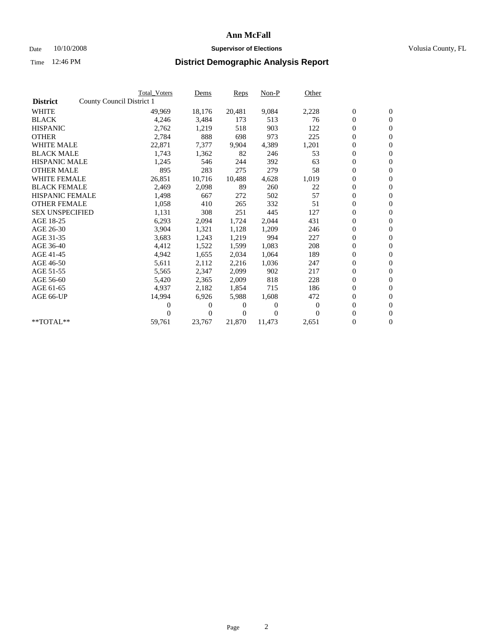### Date 10/10/2008 **Supervisor of Elections Supervisor of Elections** Volusia County, FL

|                        |                           | <b>Total Voters</b> | Dems   | <b>Reps</b> | $Non-P$  | Other        |                  |                  |
|------------------------|---------------------------|---------------------|--------|-------------|----------|--------------|------------------|------------------|
| <b>District</b>        | County Council District 1 |                     |        |             |          |              |                  |                  |
| <b>WHITE</b>           |                           | 49,969              | 18,176 | 20,481      | 9,084    | 2,228        | $\boldsymbol{0}$ | $\boldsymbol{0}$ |
| <b>BLACK</b>           |                           | 4,246               | 3,484  | 173         | 513      | 76           | $\overline{0}$   | $\mathbf{0}$     |
| <b>HISPANIC</b>        |                           | 2,762               | 1,219  | 518         | 903      | 122          | $\boldsymbol{0}$ | $\mathbf{0}$     |
| <b>OTHER</b>           |                           | 2,784               | 888    | 698         | 973      | 225          | $\boldsymbol{0}$ | $\overline{0}$   |
| <b>WHITE MALE</b>      |                           | 22,871              | 7,377  | 9,904       | 4,389    | 1,201        | $\boldsymbol{0}$ | $\mathbf{0}$     |
| <b>BLACK MALE</b>      |                           | 1,743               | 1,362  | 82          | 246      | 53           | $\boldsymbol{0}$ | $\mathbf{0}$     |
| <b>HISPANIC MALE</b>   |                           | 1,245               | 546    | 244         | 392      | 63           | $\boldsymbol{0}$ | $\overline{0}$   |
| <b>OTHER MALE</b>      |                           | 895                 | 283    | 275         | 279      | 58           | $\boldsymbol{0}$ | $\mathbf{0}$     |
| <b>WHITE FEMALE</b>    |                           | 26,851              | 10,716 | 10,488      | 4,628    | 1,019        | $\boldsymbol{0}$ | $\overline{0}$   |
| <b>BLACK FEMALE</b>    |                           | 2,469               | 2,098  | 89          | 260      | 22           | $\boldsymbol{0}$ | $\Omega$         |
| <b>HISPANIC FEMALE</b> |                           | 1,498               | 667    | 272         | 502      | 57           | $\boldsymbol{0}$ | $\mathbf{0}$     |
| <b>OTHER FEMALE</b>    |                           | 1,058               | 410    | 265         | 332      | 51           | $\boldsymbol{0}$ | $\overline{0}$   |
| <b>SEX UNSPECIFIED</b> |                           | 1,131               | 308    | 251         | 445      | 127          | $\boldsymbol{0}$ | $\overline{0}$   |
| AGE 18-25              |                           | 6,293               | 2,094  | 1,724       | 2,044    | 431          | $\boldsymbol{0}$ | $\mathbf{0}$     |
| AGE 26-30              |                           | 3,904               | 1,321  | 1,128       | 1,209    | 246          | $\boldsymbol{0}$ | $\overline{0}$   |
| AGE 31-35              |                           | 3,683               | 1,243  | 1,219       | 994      | 227          | $\boldsymbol{0}$ | $\mathbf{0}$     |
| AGE 36-40              |                           | 4,412               | 1,522  | 1,599       | 1,083    | 208          | $\boldsymbol{0}$ | $\mathbf{0}$     |
| AGE 41-45              |                           | 4,942               | 1,655  | 2,034       | 1,064    | 189          | $\boldsymbol{0}$ | $\overline{0}$   |
| AGE 46-50              |                           | 5,611               | 2,112  | 2,216       | 1,036    | 247          | $\boldsymbol{0}$ | $\Omega$         |
| AGE 51-55              |                           | 5,565               | 2,347  | 2,099       | 902      | 217          | $\boldsymbol{0}$ | $\mathbf{0}$     |
| AGE 56-60              |                           | 5,420               | 2,365  | 2.009       | 818      | 228          | $\overline{0}$   | $\overline{0}$   |
| AGE 61-65              |                           | 4,937               | 2,182  | 1,854       | 715      | 186          | $\boldsymbol{0}$ | $\overline{0}$   |
| AGE 66-UP              |                           | 14,994              | 6,926  | 5,988       | 1,608    | 472          | $\overline{0}$   | $\mathbf{0}$     |
|                        |                           | 0                   | $_{0}$ | 0           | $\theta$ | $\mathbf{0}$ | $\boldsymbol{0}$ | $\overline{0}$   |
|                        |                           | 0                   | 0      | 0           | $\theta$ | $\Omega$     | 0                | $\overline{0}$   |
| $*$ TOTAL $**$         |                           | 59,761              | 23,767 | 21,870      | 11,473   | 2,651        | 0                | $\boldsymbol{0}$ |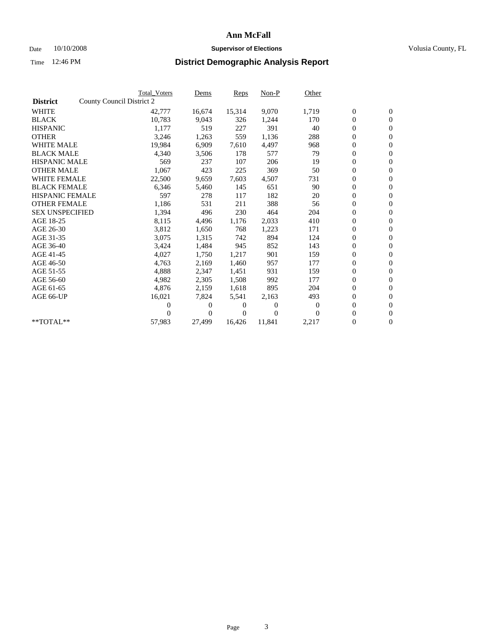### Date 10/10/2008 **Supervisor of Elections Supervisor of Elections** Volusia County, FL

|                        |                           | <b>Total Voters</b> | Dems   | <b>Reps</b> | Non-P            | Other          |                  |                  |  |
|------------------------|---------------------------|---------------------|--------|-------------|------------------|----------------|------------------|------------------|--|
| <b>District</b>        | County Council District 2 |                     |        |             |                  |                |                  |                  |  |
| <b>WHITE</b>           |                           | 42,777              | 16,674 | 15,314      | 9,070            | 1,719          | $\boldsymbol{0}$ | $\boldsymbol{0}$ |  |
| <b>BLACK</b>           |                           | 10,783              | 9,043  | 326         | 1,244            | 170            | $\boldsymbol{0}$ | $\overline{0}$   |  |
| <b>HISPANIC</b>        |                           | 1,177               | 519    | 227         | 391              | 40             | $\boldsymbol{0}$ | $\overline{0}$   |  |
| <b>OTHER</b>           |                           | 3,246               | 1,263  | 559         | 1,136            | 288            | $\boldsymbol{0}$ | $\overline{0}$   |  |
| <b>WHITE MALE</b>      |                           | 19,984              | 6,909  | 7,610       | 4,497            | 968            | $\boldsymbol{0}$ | $\mathbf{0}$     |  |
| <b>BLACK MALE</b>      |                           | 4,340               | 3,506  | 178         | 577              | 79             | $\overline{0}$   | $\mathbf{0}$     |  |
| <b>HISPANIC MALE</b>   |                           | 569                 | 237    | 107         | 206              | 19             | $\boldsymbol{0}$ | $\overline{0}$   |  |
| <b>OTHER MALE</b>      |                           | 1,067               | 423    | 225         | 369              | 50             | $\boldsymbol{0}$ | $\overline{0}$   |  |
| <b>WHITE FEMALE</b>    |                           | 22,500              | 9,659  | 7,603       | 4,507            | 731            | $\boldsymbol{0}$ | $\overline{0}$   |  |
| <b>BLACK FEMALE</b>    |                           | 6,346               | 5,460  | 145         | 651              | 90             | $\boldsymbol{0}$ | $\mathbf{0}$     |  |
| <b>HISPANIC FEMALE</b> |                           | 597                 | 278    | 117         | 182              | 20             | $\boldsymbol{0}$ | $\overline{0}$   |  |
| <b>OTHER FEMALE</b>    |                           | 1,186               | 531    | 211         | 388              | 56             | $\overline{0}$   | $\overline{0}$   |  |
| <b>SEX UNSPECIFIED</b> |                           | 1,394               | 496    | 230         | 464              | 204            | $\boldsymbol{0}$ | $\overline{0}$   |  |
| AGE 18-25              |                           | 8,115               | 4,496  | 1,176       | 2,033            | 410            | $\overline{0}$   | $\mathbf{0}$     |  |
| AGE 26-30              |                           | 3,812               | 1,650  | 768         | 1,223            | 171            | $\boldsymbol{0}$ | $\overline{0}$   |  |
| AGE 31-35              |                           | 3,075               | 1,315  | 742         | 894              | 124            | $\boldsymbol{0}$ | $\overline{0}$   |  |
| AGE 36-40              |                           | 3,424               | 1,484  | 945         | 852              | 143            | $\boldsymbol{0}$ | $\mathbf{0}$     |  |
| AGE 41-45              |                           | 4,027               | 1,750  | 1,217       | 901              | 159            | $\boldsymbol{0}$ | $\mathbf{0}$     |  |
| AGE 46-50              |                           | 4,763               | 2,169  | 1,460       | 957              | 177            | $\boldsymbol{0}$ | $\overline{0}$   |  |
| AGE 51-55              |                           | 4,888               | 2,347  | 1,451       | 931              | 159            | $\boldsymbol{0}$ | $\overline{0}$   |  |
| AGE 56-60              |                           | 4,982               | 2,305  | 1,508       | 992              | 177            | $\overline{0}$   | $\mathbf{0}$     |  |
| AGE 61-65              |                           | 4,876               | 2,159  | 1,618       | 895              | 204            | $\boldsymbol{0}$ | $\mathbf{0}$     |  |
| AGE 66-UP              |                           | 16,021              | 7,824  | 5,541       | 2,163            | 493            | $\boldsymbol{0}$ | $\overline{0}$   |  |
|                        |                           | 0                   | $_{0}$ | 0           | $\boldsymbol{0}$ | $\overline{0}$ | $\overline{0}$   | $\mathbf{0}$     |  |
|                        |                           | 0                   | 0      | 0           | $\theta$         | $\Omega$       | $\boldsymbol{0}$ | $\overline{0}$   |  |
| **TOTAL**              |                           | 57,983              | 27,499 | 16,426      | 11,841           | 2,217          | 0                | $\boldsymbol{0}$ |  |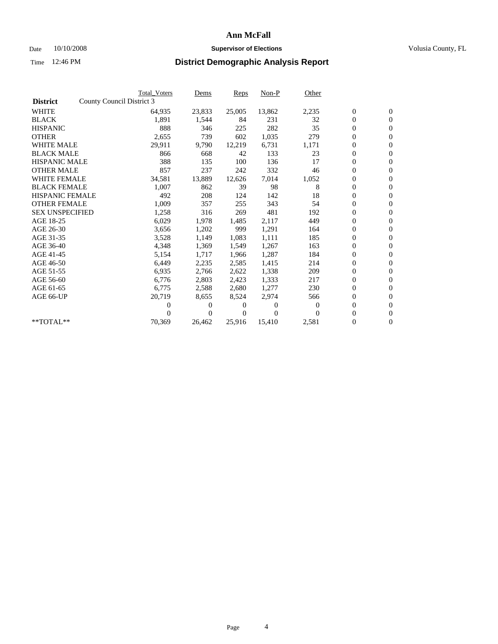### Date  $10/10/2008$  **Supervisor of Elections** Volusia County, FL

|                        | <b>Total Voters</b>       | Dems     | Reps   | $Non-P$        | Other    |                  |                  |  |
|------------------------|---------------------------|----------|--------|----------------|----------|------------------|------------------|--|
| <b>District</b>        | County Council District 3 |          |        |                |          |                  |                  |  |
| <b>WHITE</b>           | 64,935                    | 23,833   | 25,005 | 13,862         | 2,235    | $\boldsymbol{0}$ | $\boldsymbol{0}$ |  |
| <b>BLACK</b>           | 1,891                     | 1,544    | 84     | 231            | 32       | $\overline{0}$   | $\mathbf{0}$     |  |
| <b>HISPANIC</b>        | 888                       | 346      | 225    | 282            | 35       | $\overline{0}$   | $\mathbf{0}$     |  |
| <b>OTHER</b>           | 2,655                     | 739      | 602    | 1,035          | 279      | 0                | $\mathbf{0}$     |  |
| <b>WHITE MALE</b>      | 29,911                    | 9,790    | 12,219 | 6,731          | 1,171    | 0                | $\mathbf{0}$     |  |
| <b>BLACK MALE</b>      | 866                       | 668      | 42     | 133            | 23       | $\boldsymbol{0}$ | $\mathbf{0}$     |  |
| <b>HISPANIC MALE</b>   | 388                       | 135      | 100    | 136            | 17       | 0                | $\mathbf{0}$     |  |
| <b>OTHER MALE</b>      | 857                       | 237      | 242    | 332            | 46       | $\boldsymbol{0}$ | $\mathbf{0}$     |  |
| <b>WHITE FEMALE</b>    | 34,581                    | 13,889   | 12,626 | 7,014          | 1,052    | 0                | $\mathbf{0}$     |  |
| <b>BLACK FEMALE</b>    | 1,007                     | 862      | 39     | 98             | 8        | 0                | $\Omega$         |  |
| <b>HISPANIC FEMALE</b> | 492                       | 208      | 124    | 142            | 18       | $\boldsymbol{0}$ | $\mathbf{0}$     |  |
| <b>OTHER FEMALE</b>    | 1,009                     | 357      | 255    | 343            | 54       | 0                | $\mathbf{0}$     |  |
| <b>SEX UNSPECIFIED</b> | 1,258                     | 316      | 269    | 481            | 192      | 0                | $\Omega$         |  |
| AGE 18-25              | 6,029                     | 1,978    | 1,485  | 2,117          | 449      | $\overline{0}$   | $\mathbf{0}$     |  |
| AGE 26-30              | 3,656                     | 1,202    | 999    | 1,291          | 164      | 0                | $\mathbf{0}$     |  |
| AGE 31-35              | 3,528                     | 1,149    | 1,083  | 1,111          | 185      | 0                | $\mathbf{0}$     |  |
| AGE 36-40              | 4,348                     | 1,369    | 1,549  | 1,267          | 163      | $\overline{0}$   | $\mathbf{0}$     |  |
| AGE 41-45              | 5,154                     | 1,717    | 1,966  | 1,287          | 184      | 0                | $\mathbf{0}$     |  |
| AGE 46-50              | 6,449                     | 2,235    | 2,585  | 1,415          | 214      | 0                | $\Omega$         |  |
| AGE 51-55              | 6,935                     | 2,766    | 2,622  | 1,338          | 209      | $\boldsymbol{0}$ | $\mathbf{0}$     |  |
| AGE 56-60              | 6,776                     | 2,803    | 2,423  | 1,333          | 217      | 0                | $\mathbf{0}$     |  |
| AGE 61-65              | 6,775                     | 2,588    | 2,680  | 1,277          | 230      | 0                | $\Omega$         |  |
| AGE 66-UP              | 20,719                    | 8,655    | 8,524  | 2,974          | 566      | $\overline{0}$   | $\mathbf{0}$     |  |
|                        | 0                         | 0        | 0      | $\overline{0}$ | $\Omega$ | 0                | $\mathbf{0}$     |  |
|                        | 0                         | $\Omega$ | 0      | $\Omega$       | $\Omega$ | 0                | $\mathbf{0}$     |  |
| $*$ TOTAL $**$         | 70,369                    | 26,462   | 25,916 | 15,410         | 2,581    | 0                | $\boldsymbol{0}$ |  |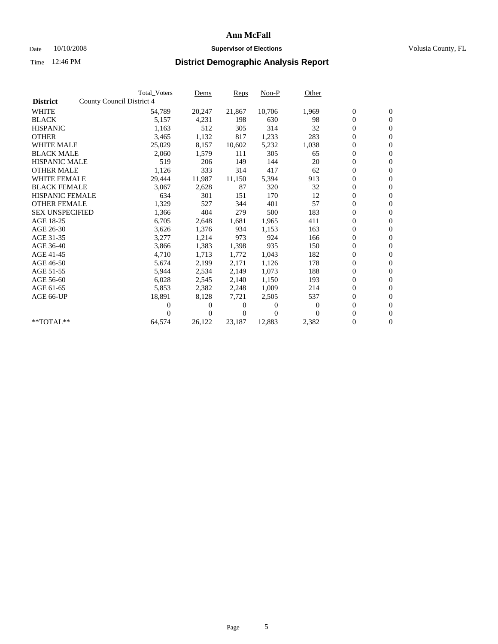### Date 10/10/2008 **Supervisor of Elections Supervisor of Elections** Volusia County, FL

|                        | <b>Total Voters</b>       | Dems         | Reps   | $Non-P$        | Other    |                  |                  |  |
|------------------------|---------------------------|--------------|--------|----------------|----------|------------------|------------------|--|
| <b>District</b>        | County Council District 4 |              |        |                |          |                  |                  |  |
| <b>WHITE</b>           | 54,789                    | 20,247       | 21,867 | 10,706         | 1,969    | $\boldsymbol{0}$ | $\boldsymbol{0}$ |  |
| <b>BLACK</b>           | 5,157                     | 4,231        | 198    | 630            | 98       | $\overline{0}$   | $\mathbf{0}$     |  |
| <b>HISPANIC</b>        | 1,163                     | 512          | 305    | 314            | 32       | $\overline{0}$   | $\mathbf{0}$     |  |
| <b>OTHER</b>           | 3,465                     | 1,132        | 817    | 1,233          | 283      | 0                | $\mathbf{0}$     |  |
| <b>WHITE MALE</b>      | 25,029                    | 8,157        | 10,602 | 5,232          | 1,038    | $\boldsymbol{0}$ | $\mathbf{0}$     |  |
| <b>BLACK MALE</b>      | 2,060                     | 1,579        | 111    | 305            | 65       | $\boldsymbol{0}$ | $\mathbf{0}$     |  |
| <b>HISPANIC MALE</b>   | 519                       | 206          | 149    | 144            | 20       | 0                | $\mathbf{0}$     |  |
| <b>OTHER MALE</b>      | 1,126                     | 333          | 314    | 417            | 62       | $\boldsymbol{0}$ | $\mathbf{0}$     |  |
| <b>WHITE FEMALE</b>    | 29,444                    | 11,987       | 11,150 | 5,394          | 913      | $\overline{0}$   | $\mathbf{0}$     |  |
| <b>BLACK FEMALE</b>    | 3,067                     | 2,628        | 87     | 320            | 32       | 0                | $\Omega$         |  |
| <b>HISPANIC FEMALE</b> | 634                       | 301          | 151    | 170            | 12       | $\boldsymbol{0}$ | $\mathbf{0}$     |  |
| <b>OTHER FEMALE</b>    | 1,329                     | 527          | 344    | 401            | 57       | $\boldsymbol{0}$ | $\mathbf{0}$     |  |
| <b>SEX UNSPECIFIED</b> | 1,366                     | 404          | 279    | 500            | 183      | 0                | $\mathbf{0}$     |  |
| AGE 18-25              | 6,705                     | 2,648        | 1,681  | 1,965          | 411      | $\overline{0}$   | $\mathbf{0}$     |  |
| AGE 26-30              | 3,626                     | 1,376        | 934    | 1,153          | 163      | 0                | $\mathbf{0}$     |  |
| AGE 31-35              | 3,277                     | 1,214        | 973    | 924            | 166      | 0                | $\mathbf{0}$     |  |
| AGE 36-40              | 3,866                     | 1,383        | 1,398  | 935            | 150      | $\overline{0}$   | $\mathbf{0}$     |  |
| AGE 41-45              | 4,710                     | 1,713        | 1,772  | 1,043          | 182      | $\boldsymbol{0}$ | $\mathbf{0}$     |  |
| AGE 46-50              | 5,674                     | 2,199        | 2,171  | 1,126          | 178      | 0                | $\Omega$         |  |
| AGE 51-55              | 5,944                     | 2,534        | 2,149  | 1,073          | 188      | $\boldsymbol{0}$ | $\mathbf{0}$     |  |
| AGE 56-60              | 6,028                     | 2,545        | 2.140  | 1,150          | 193      | 0                | $\mathbf{0}$     |  |
| AGE 61-65              | 5,853                     | 2,382        | 2,248  | 1,009          | 214      | 0                | $\mathbf{0}$     |  |
| AGE 66-UP              | 18,891                    | 8,128        | 7,721  | 2,505          | 537      | $\overline{0}$   | $\mathbf{0}$     |  |
|                        | 0                         | 0            | 0      | $\overline{0}$ | $\bf{0}$ | $\boldsymbol{0}$ | $\mathbf{0}$     |  |
|                        | 0                         | $\mathbf{0}$ | 0      | $\Omega$       | $\Omega$ | 0                | $\mathbf{0}$     |  |
| $*$ TOTAL $**$         | 64,574                    | 26,122       | 23,187 | 12,883         | 2,382    | $\overline{0}$   | $\boldsymbol{0}$ |  |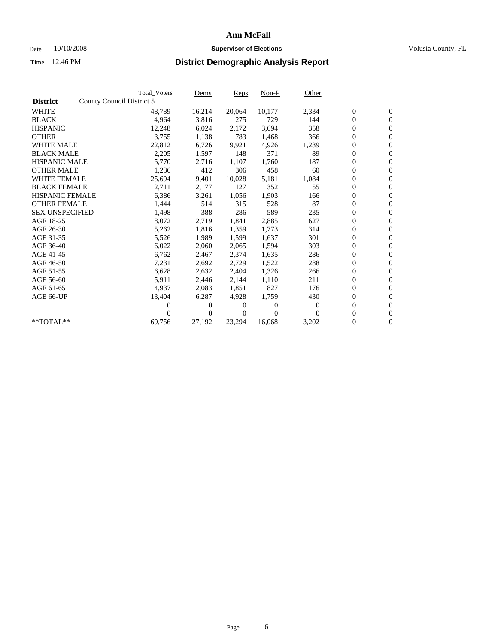### Date 10/10/2008 **Supervisor of Elections Supervisor of Elections** Volusia County, FL

|                        |                           | <b>Total Voters</b> | Dems     | Reps   | Non-P    | Other    |                  |                  |  |
|------------------------|---------------------------|---------------------|----------|--------|----------|----------|------------------|------------------|--|
| <b>District</b>        | County Council District 5 |                     |          |        |          |          |                  |                  |  |
| <b>WHITE</b>           |                           | 48,789              | 16,214   | 20,064 | 10,177   | 2,334    | $\boldsymbol{0}$ | $\boldsymbol{0}$ |  |
| <b>BLACK</b>           |                           | 4,964               | 3,816    | 275    | 729      | 144      | $\boldsymbol{0}$ | $\mathbf{0}$     |  |
| <b>HISPANIC</b>        |                           | 12,248              | 6,024    | 2,172  | 3,694    | 358      | $\boldsymbol{0}$ | $\mathbf{0}$     |  |
| <b>OTHER</b>           |                           | 3,755               | 1,138    | 783    | 1,468    | 366      | 0                | $\mathbf{0}$     |  |
| <b>WHITE MALE</b>      |                           | 22,812              | 6,726    | 9,921  | 4,926    | 1,239    | 0                | $\mathbf{0}$     |  |
| <b>BLACK MALE</b>      |                           | 2,205               | 1,597    | 148    | 371      | 89       | $\overline{0}$   | $\mathbf{0}$     |  |
| <b>HISPANIC MALE</b>   |                           | 5,770               | 2,716    | 1,107  | 1,760    | 187      | 0                | $\mathbf{0}$     |  |
| <b>OTHER MALE</b>      |                           | 1,236               | 412      | 306    | 458      | 60       | $\overline{0}$   | $\mathbf{0}$     |  |
| <b>WHITE FEMALE</b>    |                           | 25,694              | 9,401    | 10,028 | 5,181    | 1,084    | $\boldsymbol{0}$ | $\mathbf{0}$     |  |
| <b>BLACK FEMALE</b>    |                           | 2,711               | 2,177    | 127    | 352      | 55       | $\boldsymbol{0}$ | $\mathbf{0}$     |  |
| <b>HISPANIC FEMALE</b> |                           | 6,386               | 3,261    | 1,056  | 1,903    | 166      | $\boldsymbol{0}$ | $\mathbf{0}$     |  |
| <b>OTHER FEMALE</b>    |                           | 1,444               | 514      | 315    | 528      | 87       | $\overline{0}$   | $\mathbf{0}$     |  |
| <b>SEX UNSPECIFIED</b> |                           | 1,498               | 388      | 286    | 589      | 235      | 0                | $\mathbf{0}$     |  |
| AGE 18-25              |                           | 8,072               | 2,719    | 1,841  | 2,885    | 627      | $\overline{0}$   | $\mathbf{0}$     |  |
| AGE 26-30              |                           | 5,262               | 1,816    | 1,359  | 1,773    | 314      | $\boldsymbol{0}$ | $\mathbf{0}$     |  |
| AGE 31-35              |                           | 5,526               | 1,989    | 1,599  | 1,637    | 301      | 0                | $\mathbf{0}$     |  |
| AGE 36-40              |                           | 6,022               | 2,060    | 2,065  | 1,594    | 303      | 0                | $\mathbf{0}$     |  |
| AGE 41-45              |                           | 6,762               | 2,467    | 2,374  | 1,635    | 286      | 0                | $\mathbf{0}$     |  |
| AGE 46-50              |                           | 7,231               | 2,692    | 2,729  | 1,522    | 288      | 0                | $\mathbf{0}$     |  |
| AGE 51-55              |                           | 6,628               | 2,632    | 2.404  | 1,326    | 266      | $\boldsymbol{0}$ | $\mathbf{0}$     |  |
| AGE 56-60              |                           | 5,911               | 2,446    | 2.144  | 1,110    | 211      | 0                | $\mathbf{0}$     |  |
| AGE 61-65              |                           | 4,937               | 2,083    | 1,851  | 827      | 176      | 0                | $\mathbf{0}$     |  |
| AGE 66-UP              |                           | 13,404              | 6,287    | 4,928  | 1,759    | 430      | 0                | $\mathbf{0}$     |  |
|                        |                           | 0                   | $\theta$ | 0      | $\theta$ | $\theta$ | $\overline{0}$   | $\mathbf{0}$     |  |
|                        |                           | 0                   | 0        | 0      | $\Omega$ | $\Omega$ | 0                | $\mathbf{0}$     |  |
| **TOTAL**              |                           | 69,756              | 27,192   | 23,294 | 16,068   | 3,202    | 0                | $\boldsymbol{0}$ |  |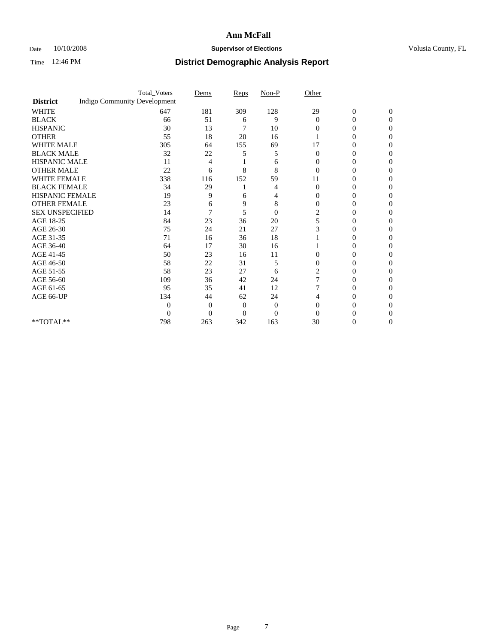### Date 10/10/2008 **Supervisor of Elections Supervisor of Elections** Volusia County, FL

|                        | <b>Total_Voters</b>                 | Dems           | Reps     | $Non-P$        | Other          |                  |              |  |
|------------------------|-------------------------------------|----------------|----------|----------------|----------------|------------------|--------------|--|
| <b>District</b>        | <b>Indigo Community Development</b> |                |          |                |                |                  |              |  |
| <b>WHITE</b>           | 647                                 | 181            | 309      | 128            | 29             | $\boldsymbol{0}$ | $\mathbf{0}$ |  |
| <b>BLACK</b>           | 66                                  | 51             | 6        | 9              | $\Omega$       | 0                | $\Omega$     |  |
| <b>HISPANIC</b>        | 30                                  | 13             | 7        | 10             | 0              | 0                | 0            |  |
| <b>OTHER</b>           | 55                                  | 18             | 20       | 16             |                | 0                | 0            |  |
| <b>WHITE MALE</b>      | 305                                 | 64             | 155      | 69             | 17             | 0                | 0            |  |
| <b>BLACK MALE</b>      | 32                                  | 22             | 5        | 5              | $\Omega$       | 0                | 0            |  |
| HISPANIC MALE          | 11                                  | 4              |          | 6              | 0              | 0                | 0            |  |
| <b>OTHER MALE</b>      | 22                                  | 6              | 8        | 8              | $\Omega$       | 0                | $\theta$     |  |
| <b>WHITE FEMALE</b>    | 338                                 | 116            | 152      | 59             | 11             | 0                | 0            |  |
| <b>BLACK FEMALE</b>    | 34                                  | 29             |          | 4              | $\overline{0}$ | 0                | 0            |  |
| <b>HISPANIC FEMALE</b> | 19                                  | 9              | 6        | 4              | 0              | 0                | 0            |  |
| <b>OTHER FEMALE</b>    | 23                                  | 6              | 9        | 8              | $\Omega$       | 0                | 0            |  |
| <b>SEX UNSPECIFIED</b> | 14                                  | 7              | 5        | $\overline{0}$ | $\overline{c}$ | 0                | 0            |  |
| AGE 18-25              | 84                                  | 23             | 36       | 20             | 5              | 0                | 0            |  |
| AGE 26-30              | 75                                  | 24             | 21       | 27             | 3              | 0                | 0            |  |
| AGE 31-35              | 71                                  | 16             | 36       | 18             |                | 0                | 0            |  |
| AGE 36-40              | 64                                  | 17             | 30       | 16             |                | 0                | 0            |  |
| AGE 41-45              | 50                                  | 23             | 16       | 11             | $\Omega$       | 0                | 0            |  |
| AGE 46-50              | 58                                  | 22             | 31       | 5              | $\mathbf{0}$   | 0                | 0            |  |
| AGE 51-55              | 58                                  | 23             | 27       | 6              | $\overline{c}$ | 0                | 0            |  |
| AGE 56-60              | 109                                 | 36             | 42       | 24             |                | 0                | $\theta$     |  |
| AGE 61-65              | 95                                  | 35             | 41       | 12             |                | 0                | 0            |  |
| AGE 66-UP              | 134                                 | 44             | 62       | 24             | 4              | 0                | $\theta$     |  |
|                        | 0                                   | $\overline{0}$ | $\Omega$ | $\mathbf{0}$   | $\Omega$       | $\theta$         | $\mathbf{0}$ |  |
|                        | $\theta$                            | $\overline{0}$ | $\Omega$ | $\overline{0}$ | $\Omega$       |                  |              |  |
| **TOTAL**              | 798                                 | 263            | 342      | 163            | 30             | 0                | 0            |  |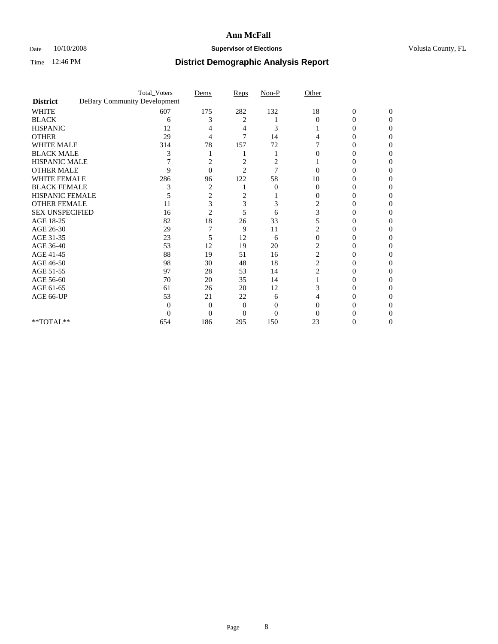### Date 10/10/2008 **Supervisor of Elections Supervisor of Elections** Volusia County, FL

|                        |                              | <b>Total_Voters</b> | Dems           | Reps           | $Non-P$        | Other          |                  |              |  |
|------------------------|------------------------------|---------------------|----------------|----------------|----------------|----------------|------------------|--------------|--|
| <b>District</b>        | DeBary Community Development |                     |                |                |                |                |                  |              |  |
| <b>WHITE</b>           |                              | 607                 | 175            | 282            | 132            | 18             | $\boldsymbol{0}$ | $\mathbf{0}$ |  |
| <b>BLACK</b>           |                              | 6                   | 3              | 2              |                | $\Omega$       | 0                | 0            |  |
| <b>HISPANIC</b>        |                              | 12                  |                | 4              | 3              |                | 0                | 0            |  |
| <b>OTHER</b>           |                              | 29                  | 4              | 7              | 14             |                | $_{0}$           | 0            |  |
| <b>WHITE MALE</b>      |                              | 314                 | 78             | 157            | 72             |                | 0                | 0            |  |
| <b>BLACK MALE</b>      |                              | 3                   |                |                |                | 0              | 0                | 0            |  |
| HISPANIC MALE          |                              |                     | 2              | $\overline{c}$ | 2              |                | 0                |              |  |
| <b>OTHER MALE</b>      |                              | 9                   | $\Omega$       | $\overline{2}$ | 7              |                | $\theta$         |              |  |
| <b>WHITE FEMALE</b>    |                              | 286                 | 96             | 122            | 58             | 10             | 0                | 0            |  |
| <b>BLACK FEMALE</b>    |                              | 3                   | $\overline{c}$ |                | $\overline{0}$ | $\overline{0}$ | 0                | 0            |  |
| <b>HISPANIC FEMALE</b> |                              |                     | 2              | 2              |                | 0              | 0                | 0            |  |
| <b>OTHER FEMALE</b>    |                              | 11                  | 3              | 3              | 3              | 2              |                  |              |  |
| <b>SEX UNSPECIFIED</b> |                              | 16                  | $\overline{2}$ | 5              | 6              | 3              | $\theta$         |              |  |
| AGE 18-25              |                              | 82                  | 18             | 26             | 33             | 5              | 0                | $\theta$     |  |
| AGE 26-30              |                              | 29                  |                | 9              | 11             |                |                  | 0            |  |
| AGE 31-35              |                              | 23                  | 5              | 12             | 6              | $\theta$       | 0                |              |  |
| AGE 36-40              |                              | 53                  | 12             | 19             | 20             | $\overline{c}$ | 0                | $\theta$     |  |
| AGE 41-45              |                              | 88                  | 19             | 51             | 16             | 2              | $\theta$         | 0            |  |
| AGE 46-50              |                              | 98                  | 30             | 48             | 18             | $\overline{c}$ | 0                | 0            |  |
| AGE 51-55              |                              | 97                  | 28             | 53             | 14             | $\overline{c}$ | 0                | 0            |  |
| AGE 56-60              |                              | 70                  | 20             | 35             | 14             |                | $\theta$         |              |  |
| AGE 61-65              |                              | 61                  | 26             | 20             | 12             | 3              | 0                |              |  |
| AGE 66-UP              |                              | 53                  | 21             | 22             | 6              |                | 0                |              |  |
|                        |                              | 0                   | $\Omega$       | $\Omega$       | $\Omega$       | $\Omega$       |                  |              |  |
|                        |                              | 0                   | $\overline{0}$ | 0              | $\theta$       |                |                  |              |  |
| **TOTAL**              |                              | 654                 | 186            | 295            | 150            | 23             | 0                | 0            |  |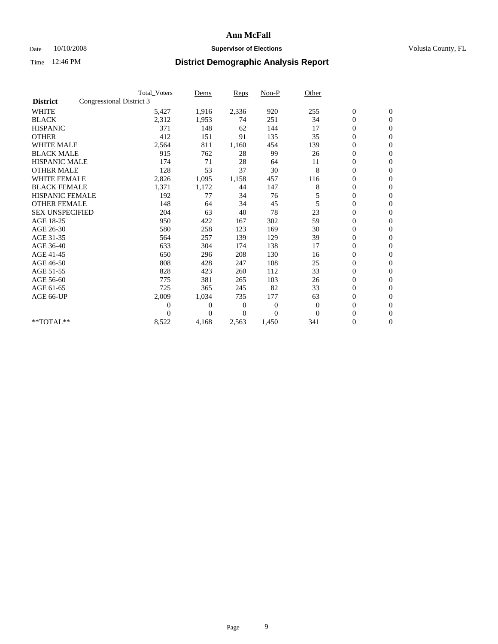### Date 10/10/2008 **Supervisor of Elections Supervisor of Elections** Volusia County, FL

|                        | <b>Total Voters</b>      | Dems           | <b>Reps</b> | $Non-P$      | Other        |                  |                  |  |
|------------------------|--------------------------|----------------|-------------|--------------|--------------|------------------|------------------|--|
| <b>District</b>        | Congressional District 3 |                |             |              |              |                  |                  |  |
| <b>WHITE</b>           | 5,427                    | 1,916          | 2,336       | 920          | 255          | $\boldsymbol{0}$ | $\boldsymbol{0}$ |  |
| <b>BLACK</b>           | 2,312                    | 1,953          | 74          | 251          | 34           | $\boldsymbol{0}$ | $\mathbf{0}$     |  |
| <b>HISPANIC</b>        | 371                      | 148            | 62          | 144          | 17           | $\overline{0}$   | $\mathbf{0}$     |  |
| <b>OTHER</b>           | 412                      | 151            | 91          | 135          | 35           | $\boldsymbol{0}$ | $\Omega$         |  |
| <b>WHITE MALE</b>      | 2,564                    | 811            | 1,160       | 454          | 139          | $\overline{0}$   | $\mathbf{0}$     |  |
| <b>BLACK MALE</b>      | 915                      | 762            | 28          | 99           | 26           | $\boldsymbol{0}$ | $\mathbf{0}$     |  |
| <b>HISPANIC MALE</b>   | 174                      | 71             | 28          | 64           | 11           | $\boldsymbol{0}$ | $\mathbf{0}$     |  |
| <b>OTHER MALE</b>      | 128                      | 53             | 37          | 30           | 8            | $\boldsymbol{0}$ | $\mathbf{0}$     |  |
| WHITE FEMALE           | 2,826                    | 1,095          | 1,158       | 457          | 116          | $\overline{0}$   | $\mathbf{0}$     |  |
| <b>BLACK FEMALE</b>    | 1,371                    | 1,172          | 44          | 147          | 8            | $\boldsymbol{0}$ | $\mathbf{0}$     |  |
| <b>HISPANIC FEMALE</b> | 192                      | 77             | 34          | 76           | 5            | $\boldsymbol{0}$ | $\mathbf{0}$     |  |
| <b>OTHER FEMALE</b>    | 148                      | 64             | 34          | 45           | 5            | $\mathbf{0}$     | $\mathbf{0}$     |  |
| <b>SEX UNSPECIFIED</b> | 204                      | 63             | 40          | 78           | 23           | $\boldsymbol{0}$ | $\mathbf{0}$     |  |
| AGE 18-25              | 950                      | 422            | 167         | 302          | 59           | $\overline{0}$   | $\mathbf{0}$     |  |
| AGE 26-30              | 580                      | 258            | 123         | 169          | 30           | $\overline{0}$   | $\mathbf{0}$     |  |
| AGE 31-35              | 564                      | 257            | 139         | 129          | 39           | $\boldsymbol{0}$ | $\mathbf{0}$     |  |
| AGE 36-40              | 633                      | 304            | 174         | 138          | 17           | 0                | $\mathbf{0}$     |  |
| AGE 41-45              | 650                      | 296            | 208         | 130          | 16           | $\overline{0}$   | $\mathbf{0}$     |  |
| AGE 46-50              | 808                      | 428            | 247         | 108          | 25           | $\boldsymbol{0}$ | $\mathbf{0}$     |  |
| AGE 51-55              | 828                      | 423            | 260         | 112          | 33           | $\boldsymbol{0}$ | $\mathbf{0}$     |  |
| AGE 56-60              | 775                      | 381            | 265         | 103          | 26           | $\overline{0}$   | $\Omega$         |  |
| AGE 61-65              | 725                      | 365            | 245         | 82           | 33           | $\overline{0}$   | $\mathbf{0}$     |  |
| AGE 66-UP              | 2,009                    | 1,034          | 735         | 177          | 63           | $\boldsymbol{0}$ | $\mathbf{0}$     |  |
|                        | $\overline{0}$           | $\overline{0}$ | 0           | $\mathbf{0}$ | $\mathbf{0}$ | $\overline{0}$   | $\mathbf{0}$     |  |
|                        | $\theta$                 | $\theta$       | $\Omega$    | $\Omega$     | $\Omega$     | $\boldsymbol{0}$ | $\mathbf{0}$     |  |
| **TOTAL**              | 8,522                    | 4,168          | 2,563       | 1,450        | 341          | 0                | $\mathbf{0}$     |  |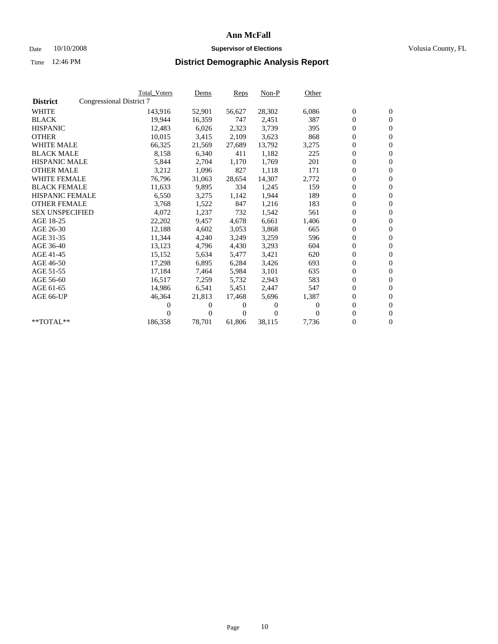### Date 10/10/2008 **Supervisor of Elections Supervisor of Elections** Volusia County, FL

|                        | <b>Total Voters</b>      | <u>Dems</u>    | <b>Reps</b> | $Non-P$  | Other    |                  |                  |  |
|------------------------|--------------------------|----------------|-------------|----------|----------|------------------|------------------|--|
| <b>District</b>        | Congressional District 7 |                |             |          |          |                  |                  |  |
| <b>WHITE</b>           | 143,916                  | 52,901         | 56,627      | 28,302   | 6,086    | $\boldsymbol{0}$ | $\boldsymbol{0}$ |  |
| <b>BLACK</b>           | 19,944                   | 16,359         | 747         | 2,451    | 387      | $\overline{0}$   | $\mathbf{0}$     |  |
| <b>HISPANIC</b>        | 12,483                   | 6,026          | 2,323       | 3,739    | 395      | $\overline{0}$   | $\mathbf{0}$     |  |
| <b>OTHER</b>           | 10,015                   | 3,415          | 2,109       | 3,623    | 868      | 0                | $\mathbf{0}$     |  |
| <b>WHITE MALE</b>      | 66,325                   | 21,569         | 27,689      | 13,792   | 3,275    | $\boldsymbol{0}$ | $\mathbf{0}$     |  |
| <b>BLACK MALE</b>      | 8,158                    | 6,340          | 411         | 1,182    | 225      | $\boldsymbol{0}$ | $\mathbf{0}$     |  |
| <b>HISPANIC MALE</b>   | 5,844                    | 2,704          | 1,170       | 1,769    | 201      | $\boldsymbol{0}$ | $\mathbf{0}$     |  |
| <b>OTHER MALE</b>      | 3,212                    | 1,096          | 827         | 1,118    | 171      | $\boldsymbol{0}$ | $\mathbf{0}$     |  |
| <b>WHITE FEMALE</b>    | 76,796                   | 31,063         | 28,654      | 14,307   | 2,772    | $\mathbf{0}$     | $\mathbf{0}$     |  |
| <b>BLACK FEMALE</b>    | 11,633                   | 9,895          | 334         | 1,245    | 159      | $\boldsymbol{0}$ | $\Omega$         |  |
| <b>HISPANIC FEMALE</b> | 6,550                    | 3,275          | 1,142       | 1,944    | 189      | $\boldsymbol{0}$ | $\mathbf{0}$     |  |
| <b>OTHER FEMALE</b>    | 3,768                    | 1,522          | 847         | 1,216    | 183      | $\overline{0}$   | $\mathbf{0}$     |  |
| <b>SEX UNSPECIFIED</b> | 4,072                    | 1,237          | 732         | 1,542    | 561      | $\boldsymbol{0}$ | $\mathbf{0}$     |  |
| AGE 18-25              | 22,202                   | 9,457          | 4,678       | 6,661    | 1,406    | $\boldsymbol{0}$ | $\mathbf{0}$     |  |
| AGE 26-30              | 12,188                   | 4,602          | 3,053       | 3,868    | 665      | $\boldsymbol{0}$ | $\mathbf{0}$     |  |
| AGE 31-35              | 11,344                   | 4,240          | 3,249       | 3,259    | 596      | $\boldsymbol{0}$ | $\mathbf{0}$     |  |
| AGE 36-40              | 13,123                   | 4,796          | 4,430       | 3,293    | 604      | $\boldsymbol{0}$ | $\mathbf{0}$     |  |
| AGE 41-45              | 15,152                   | 5,634          | 5,477       | 3,421    | 620      | $\boldsymbol{0}$ | $\mathbf{0}$     |  |
| AGE 46-50              | 17,298                   | 6,895          | 6,284       | 3,426    | 693      | $\boldsymbol{0}$ | $\mathbf{0}$     |  |
| AGE 51-55              | 17,184                   | 7,464          | 5,984       | 3,101    | 635      | $\boldsymbol{0}$ | $\boldsymbol{0}$ |  |
| AGE 56-60              | 16,517                   | 7,259          | 5.732       | 2,943    | 583      | $\mathbf{0}$     | $\mathbf{0}$     |  |
| AGE 61-65              | 14,986                   | 6,541          | 5,451       | 2,447    | 547      | $\boldsymbol{0}$ | $\mathbf{0}$     |  |
| AGE 66-UP              | 46,364                   | 21,813         | 17,468      | 5,696    | 1,387    | $\mathbf{0}$     | $\mathbf{0}$     |  |
|                        | 0                        | 0              | 0           | 0        | $\Omega$ | $\boldsymbol{0}$ | $\mathbf{0}$     |  |
|                        | $\theta$                 | $\overline{0}$ | 0           | $\Omega$ | $\Omega$ | 0                | $\mathbf{0}$     |  |
| **TOTAL**              | 186,358                  | 78,701         | 61,806      | 38,115   | 7,736    | $\boldsymbol{0}$ | $\boldsymbol{0}$ |  |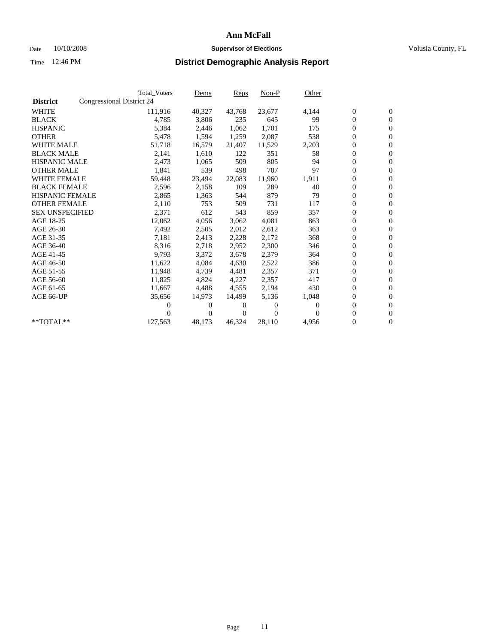### Date 10/10/2008 **Supervisor of Elections Supervisor of Elections** Volusia County, FL

|                        | <b>Total Voters</b>       | Dems           | <b>Reps</b>  | $Non-P$      | Other    |                  |                  |  |
|------------------------|---------------------------|----------------|--------------|--------------|----------|------------------|------------------|--|
| <b>District</b>        | Congressional District 24 |                |              |              |          |                  |                  |  |
| <b>WHITE</b>           | 111,916                   | 40,327         | 43,768       | 23,677       | 4,144    | $\boldsymbol{0}$ | $\boldsymbol{0}$ |  |
| <b>BLACK</b>           | 4,785                     | 3,806          | 235          | 645          | 99       | $\boldsymbol{0}$ | $\mathbf{0}$     |  |
| <b>HISPANIC</b>        | 5,384                     | 2,446          | 1,062        | 1,701        | 175      | $\overline{0}$   | $\mathbf{0}$     |  |
| <b>OTHER</b>           | 5,478                     | 1,594          | 1,259        | 2,087        | 538      | $\boldsymbol{0}$ | $\mathbf{0}$     |  |
| <b>WHITE MALE</b>      | 51,718                    | 16,579         | 21,407       | 11,529       | 2,203    | $\boldsymbol{0}$ | $\mathbf{0}$     |  |
| <b>BLACK MALE</b>      | 2,141                     | 1,610          | 122          | 351          | 58       | $\overline{0}$   | $\mathbf{0}$     |  |
| <b>HISPANIC MALE</b>   | 2,473                     | 1,065          | 509          | 805          | 94       | $\boldsymbol{0}$ | $\mathbf{0}$     |  |
| <b>OTHER MALE</b>      | 1,841                     | 539            | 498          | 707          | 97       | $\overline{0}$   | $\mathbf{0}$     |  |
| <b>WHITE FEMALE</b>    | 59,448                    | 23,494         | 22,083       | 11,960       | 1,911    | $\boldsymbol{0}$ | $\mathbf{0}$     |  |
| <b>BLACK FEMALE</b>    | 2,596                     | 2,158          | 109          | 289          | 40       | $\boldsymbol{0}$ | $\mathbf{0}$     |  |
| <b>HISPANIC FEMALE</b> | 2,865                     | 1,363          | 544          | 879          | 79       | $\boldsymbol{0}$ | $\mathbf{0}$     |  |
| <b>OTHER FEMALE</b>    | 2,110                     | 753            | 509          | 731          | 117      | $\mathbf{0}$     | $\mathbf{0}$     |  |
| <b>SEX UNSPECIFIED</b> | 2,371                     | 612            | 543          | 859          | 357      | $\boldsymbol{0}$ | $\mathbf{0}$     |  |
| AGE 18-25              | 12,062                    | 4,056          | 3,062        | 4,081        | 863      | $\boldsymbol{0}$ | $\mathbf{0}$     |  |
| AGE 26-30              | 7,492                     | 2,505          | 2,012        | 2,612        | 363      | $\mathbf{0}$     | $\mathbf{0}$     |  |
| AGE 31-35              | 7,181                     | 2,413          | 2,228        | 2,172        | 368      | $\boldsymbol{0}$ | $\mathbf{0}$     |  |
| AGE 36-40              | 8,316                     | 2,718          | 2,952        | 2,300        | 346      | $\boldsymbol{0}$ | $\mathbf{0}$     |  |
| AGE 41-45              | 9,793                     | 3,372          | 3,678        | 2,379        | 364      | $\boldsymbol{0}$ | $\mathbf{0}$     |  |
| AGE 46-50              | 11,622                    | 4,084          | 4,630        | 2,522        | 386      | $\boldsymbol{0}$ | $\mathbf{0}$     |  |
| AGE 51-55              | 11,948                    | 4,739          | 4,481        | 2,357        | 371      | $\boldsymbol{0}$ | $\mathbf{0}$     |  |
| AGE 56-60              | 11.825                    | 4,824          | 4,227        | 2,357        | 417      | $\overline{0}$   | $\mathbf{0}$     |  |
| AGE 61-65              | 11,667                    | 4,488          | 4,555        | 2,194        | 430      | $\overline{0}$   | $\mathbf{0}$     |  |
| AGE 66-UP              | 35,656                    | 14,973         | 14,499       | 5,136        | 1,048    | $\boldsymbol{0}$ | $\mathbf{0}$     |  |
|                        | 0                         | 0              | 0            | $\mathbf{0}$ | $\Omega$ | $\mathbf{0}$     | $\mathbf{0}$     |  |
|                        | 0                         | $\overline{0}$ | $\mathbf{0}$ | $\Omega$     | 0        | $\boldsymbol{0}$ | $\mathbf{0}$     |  |
| **TOTAL**              | 127,563                   | 48,173         | 46,324       | 28,110       | 4,956    | 0                | $\boldsymbol{0}$ |  |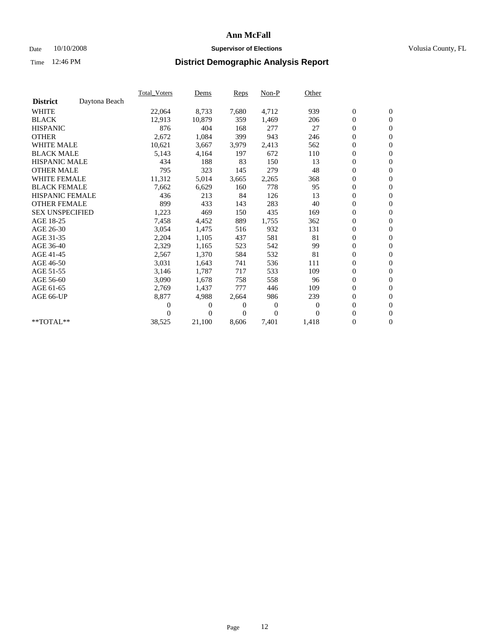### Date 10/10/2008 **Supervisor of Elections Supervisor of Elections** Volusia County, FL

|                        |               | <b>Total Voters</b> | Dems   | Reps  | Non-P          | Other    |                  |                  |  |
|------------------------|---------------|---------------------|--------|-------|----------------|----------|------------------|------------------|--|
| <b>District</b>        | Daytona Beach |                     |        |       |                |          |                  |                  |  |
| <b>WHITE</b>           |               | 22,064              | 8,733  | 7,680 | 4,712          | 939      | $\boldsymbol{0}$ | $\boldsymbol{0}$ |  |
| <b>BLACK</b>           |               | 12,913              | 10,879 | 359   | 1,469          | 206      | 0                | $\mathbf{0}$     |  |
| <b>HISPANIC</b>        |               | 876                 | 404    | 168   | 277            | 27       | $\boldsymbol{0}$ | $\mathbf{0}$     |  |
| <b>OTHER</b>           |               | 2,672               | 1,084  | 399   | 943            | 246      | 0                | $\mathbf{0}$     |  |
| <b>WHITE MALE</b>      |               | 10,621              | 3,667  | 3,979 | 2,413          | 562      | 0                | $\mathbf{0}$     |  |
| <b>BLACK MALE</b>      |               | 5,143               | 4,164  | 197   | 672            | 110      | $\overline{0}$   | $\mathbf{0}$     |  |
| <b>HISPANIC MALE</b>   |               | 434                 | 188    | 83    | 150            | 13       | $\boldsymbol{0}$ | $\mathbf{0}$     |  |
| <b>OTHER MALE</b>      |               | 795                 | 323    | 145   | 279            | 48       | 0                | $\mathbf{0}$     |  |
| <b>WHITE FEMALE</b>    |               | 11,312              | 5,014  | 3,665 | 2,265          | 368      | $\boldsymbol{0}$ | $\mathbf{0}$     |  |
| <b>BLACK FEMALE</b>    |               | 7,662               | 6,629  | 160   | 778            | 95       | 0                | $\mathbf{0}$     |  |
| HISPANIC FEMALE        |               | 436                 | 213    | 84    | 126            | 13       | $\boldsymbol{0}$ | $\mathbf{0}$     |  |
| <b>OTHER FEMALE</b>    |               | 899                 | 433    | 143   | 283            | 40       | $\overline{0}$   | $\mathbf{0}$     |  |
| <b>SEX UNSPECIFIED</b> |               | 1,223               | 469    | 150   | 435            | 169      | 0                | $\mathbf{0}$     |  |
| AGE 18-25              |               | 7,458               | 4,452  | 889   | 1,755          | 362      | $\boldsymbol{0}$ | $\mathbf{0}$     |  |
| AGE 26-30              |               | 3,054               | 1,475  | 516   | 932            | 131      | $\boldsymbol{0}$ | $\mathbf{0}$     |  |
| AGE 31-35              |               | 2,204               | 1,105  | 437   | 581            | 81       | $\boldsymbol{0}$ | $\mathbf{0}$     |  |
| AGE 36-40              |               | 2,329               | 1,165  | 523   | 542            | 99       | 0                | $\mathbf{0}$     |  |
| AGE 41-45              |               | 2,567               | 1,370  | 584   | 532            | 81       | $\boldsymbol{0}$ | $\mathbf{0}$     |  |
| AGE 46-50              |               | 3,031               | 1,643  | 741   | 536            | 111      | 0                | $\mathbf{0}$     |  |
| AGE 51-55              |               | 3,146               | 1,787  | 717   | 533            | 109      | $\boldsymbol{0}$ | $\mathbf{0}$     |  |
| AGE 56-60              |               | 3,090               | 1,678  | 758   | 558            | 96       | 0                | $\mathbf{0}$     |  |
| AGE 61-65              |               | 2,769               | 1,437  | 777   | 446            | 109      | 0                | $\mathbf{0}$     |  |
| AGE 66-UP              |               | 8,877               | 4,988  | 2,664 | 986            | 239      | $\boldsymbol{0}$ | $\mathbf{0}$     |  |
|                        |               | 0                   | 0      | 0     | $\overline{0}$ | $\theta$ | $\overline{0}$   | $\mathbf{0}$     |  |
|                        |               | 0                   | 0      | 0     | $\overline{0}$ | $\Omega$ | 0                | $\mathbf{0}$     |  |
| **TOTAL**              |               | 38,525              | 21,100 | 8,606 | 7,401          | 1,418    | 0                | $\boldsymbol{0}$ |  |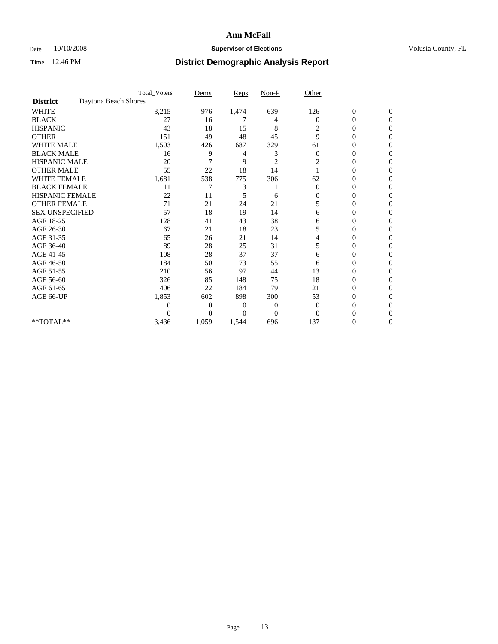### Date  $10/10/2008$  **Supervisor of Elections** Volusia County, FL

|                        |                      | <b>Total_Voters</b> | Dems           | <b>Reps</b> | $Non-P$        | Other        |                  |              |  |
|------------------------|----------------------|---------------------|----------------|-------------|----------------|--------------|------------------|--------------|--|
| <b>District</b>        | Daytona Beach Shores |                     |                |             |                |              |                  |              |  |
| <b>WHITE</b>           |                      | 3,215               | 976            | 1,474       | 639            | 126          | $\boldsymbol{0}$ | $\mathbf{0}$ |  |
| <b>BLACK</b>           |                      | 27                  | 16             | 7           | 4              | $\Omega$     | $\overline{0}$   | $\Omega$     |  |
| <b>HISPANIC</b>        |                      | 43                  | 18             | 15          | 8              | 2            | 0                | $\Omega$     |  |
| <b>OTHER</b>           |                      | 151                 | 49             | 48          | 45             | 9            | 0                | $\Omega$     |  |
| <b>WHITE MALE</b>      |                      | 1,503               | 426            | 687         | 329            | 61           | 0                | 0            |  |
| <b>BLACK MALE</b>      |                      | 16                  | 9              | 4           | 3              | $\Omega$     | $\overline{0}$   | $\Omega$     |  |
| HISPANIC MALE          |                      | 20                  | 7              | 9           | $\overline{c}$ | 2            | 0                | $\Omega$     |  |
| <b>OTHER MALE</b>      |                      | 55                  | 22             | 18          | 14             |              | 0                | 0            |  |
| <b>WHITE FEMALE</b>    |                      | 1,681               | 538            | 775         | 306            | 62           | 0                | $\Omega$     |  |
| <b>BLACK FEMALE</b>    |                      | 11                  | 7              | 3           |                | $\mathbf{0}$ | $\overline{0}$   | $\Omega$     |  |
| <b>HISPANIC FEMALE</b> |                      | 22                  | 11             | 5           | 6              | 0            | 0                | 0            |  |
| <b>OTHER FEMALE</b>    |                      | 71                  | 21             | 24          | 21             | 5            | 0                | 0            |  |
| <b>SEX UNSPECIFIED</b> |                      | 57                  | 18             | 19          | 14             | 6            | 0                | $\Omega$     |  |
| AGE 18-25              |                      | 128                 | 41             | 43          | 38             | 6            | 0                | $\Omega$     |  |
| AGE 26-30              |                      | 67                  | 21             | 18          | 23             | 5            | 0                | 0            |  |
| AGE 31-35              |                      | 65                  | 26             | 21          | 14             | 4            | 0                | $\Omega$     |  |
| AGE 36-40              |                      | 89                  | 28             | 25          | 31             | 5            | 0                | 0            |  |
| AGE 41-45              |                      | 108                 | 28             | 37          | 37             | 6            | 0                | $\Omega$     |  |
| AGE 46-50              |                      | 184                 | 50             | 73          | 55             | 6            | 0                | $\Omega$     |  |
| AGE 51-55              |                      | 210                 | 56             | 97          | 44             | 13           | 0                | 0            |  |
| AGE 56-60              |                      | 326                 | 85             | 148         | 75             | 18           | 0                | $\Omega$     |  |
| AGE 61-65              |                      | 406                 | 122            | 184         | 79             | 21           | $\overline{0}$   | 0            |  |
| AGE 66-UP              |                      | 1,853               | 602            | 898         | 300            | 53           | 0                | 0            |  |
|                        |                      | 0                   | $\overline{0}$ | 0           | $\mathbf{0}$   | $\Omega$     | 0                | 0            |  |
|                        |                      | 0                   | $\overline{0}$ | 0           | $\overline{0}$ | $\Omega$     |                  | 0            |  |
| **TOTAL**              |                      | 3,436               | 1,059          | 1,544       | 696            | 137          | 0                | 0            |  |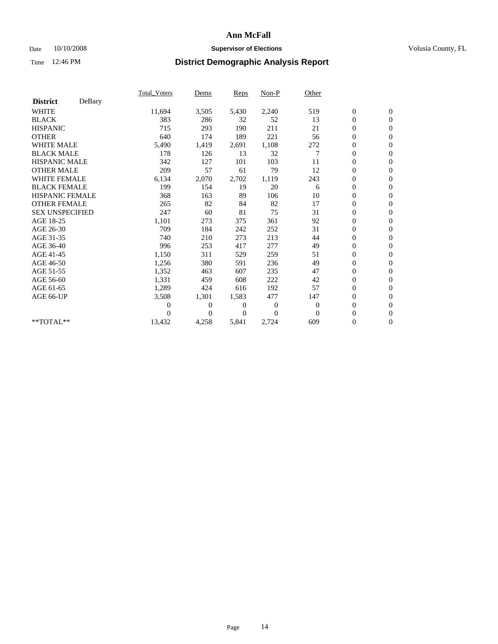### Date  $10/10/2008$  **Supervisor of Elections** Volusia County, FL

|                        |        | Total Voters   | Dems           | <b>Reps</b>    | Non-P        | Other        |                  |                  |  |
|------------------------|--------|----------------|----------------|----------------|--------------|--------------|------------------|------------------|--|
| <b>District</b>        | DeBary |                |                |                |              |              |                  |                  |  |
| <b>WHITE</b>           |        | 11,694         | 3,505          | 5,430          | 2,240        | 519          | $\boldsymbol{0}$ | $\boldsymbol{0}$ |  |
| <b>BLACK</b>           |        | 383            | 286            | 32             | 52           | 13           | $\boldsymbol{0}$ | $\mathbf{0}$     |  |
| <b>HISPANIC</b>        |        | 715            | 293            | 190            | 211          | 21           | $\overline{0}$   | $\mathbf{0}$     |  |
| <b>OTHER</b>           |        | 640            | 174            | 189            | 221          | 56           | $\boldsymbol{0}$ | $\mathbf{0}$     |  |
| <b>WHITE MALE</b>      |        | 5,490          | 1,419          | 2,691          | 1,108        | 272          | $\boldsymbol{0}$ | $\mathbf{0}$     |  |
| <b>BLACK MALE</b>      |        | 178            | 126            | 13             | 32           |              | $\overline{0}$   | $\mathbf{0}$     |  |
| <b>HISPANIC MALE</b>   |        | 342            | 127            | 101            | 103          | 11           | $\boldsymbol{0}$ | $\Omega$         |  |
| <b>OTHER MALE</b>      |        | 209            | 57             | 61             | 79           | 12           | $\overline{0}$   | $\mathbf{0}$     |  |
| <b>WHITE FEMALE</b>    |        | 6,134          | 2,070          | 2,702          | 1,119        | 243          | $\boldsymbol{0}$ | $\mathbf{0}$     |  |
| <b>BLACK FEMALE</b>    |        | 199            | 154            | 19             | 20           | 6            | $\boldsymbol{0}$ | $\mathbf{0}$     |  |
| <b>HISPANIC FEMALE</b> |        | 368            | 163            | 89             | 106          | 10           | $\boldsymbol{0}$ | $\mathbf{0}$     |  |
| <b>OTHER FEMALE</b>    |        | 265            | 82             | 84             | 82           | 17           | $\mathbf{0}$     | $\mathbf{0}$     |  |
| <b>SEX UNSPECIFIED</b> |        | 247            | 60             | 81             | 75           | 31           | $\boldsymbol{0}$ | $\Omega$         |  |
| AGE 18-25              |        | 1,101          | 273            | 375            | 361          | 92           | $\boldsymbol{0}$ | $\mathbf{0}$     |  |
| AGE 26-30              |        | 709            | 184            | 242            | 252          | 31           | $\overline{0}$   | $\mathbf{0}$     |  |
| AGE 31-35              |        | 740            | 210            | 273            | 213          | 44           | $\boldsymbol{0}$ | $\mathbf{0}$     |  |
| AGE 36-40              |        | 996            | 253            | 417            | 277          | 49           | $\boldsymbol{0}$ | $\mathbf{0}$     |  |
| AGE 41-45              |        | 1,150          | 311            | 529            | 259          | 51           | $\boldsymbol{0}$ | $\mathbf{0}$     |  |
| AGE 46-50              |        | 1,256          | 380            | 591            | 236          | 49           | $\boldsymbol{0}$ | $\Omega$         |  |
| AGE 51-55              |        | 1,352          | 463            | 607            | 235          | 47           | $\boldsymbol{0}$ | $\mathbf{0}$     |  |
| AGE 56-60              |        | 1,331          | 459            | 608            | 222          | 42           | $\overline{0}$   | $\mathbf{0}$     |  |
| AGE 61-65              |        | 1,289          | 424            | 616            | 192          | 57           | $\overline{0}$   | $\mathbf{0}$     |  |
| AGE 66-UP              |        | 3,508          | 1,301          | 1,583          | 477          | 147          | $\boldsymbol{0}$ | $\mathbf{0}$     |  |
|                        |        | $\overline{0}$ | $\overline{0}$ | $\mathbf{0}$   | $\mathbf{0}$ | $\mathbf{0}$ | $\mathbf{0}$     | $\mathbf{0}$     |  |
|                        |        | 0              | $\overline{0}$ | $\overline{0}$ | $\theta$     | $\mathbf{0}$ | $\boldsymbol{0}$ | $\mathbf{0}$     |  |
| **TOTAL**              |        | 13,432         | 4,258          | 5,841          | 2,724        | 609          | 0                | $\boldsymbol{0}$ |  |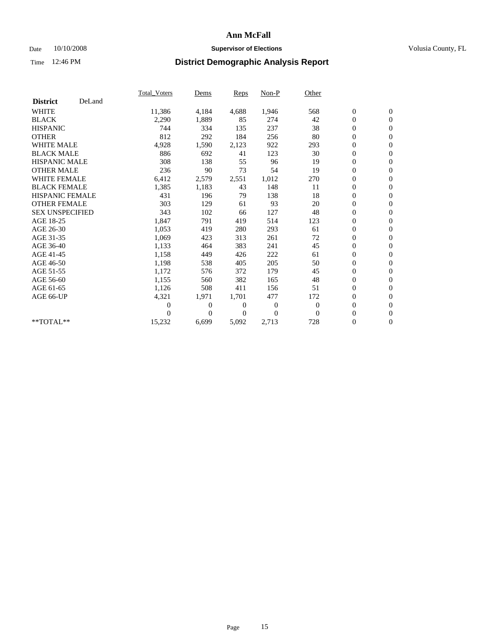### Date  $10/10/2008$  **Supervisor of Elections** Volusia County, FL

|                        |        | <b>Total Voters</b> | Dems         | Reps     | Non-P    | Other    |                  |                  |  |
|------------------------|--------|---------------------|--------------|----------|----------|----------|------------------|------------------|--|
| <b>District</b>        | DeLand |                     |              |          |          |          |                  |                  |  |
| <b>WHITE</b>           |        | 11,386              | 4,184        | 4,688    | 1,946    | 568      | $\boldsymbol{0}$ | $\boldsymbol{0}$ |  |
| <b>BLACK</b>           |        | 2,290               | 1,889        | 85       | 274      | 42       | 0                | $\mathbf{0}$     |  |
| <b>HISPANIC</b>        |        | 744                 | 334          | 135      | 237      | 38       | $\overline{0}$   | $\mathbf{0}$     |  |
| <b>OTHER</b>           |        | 812                 | 292          | 184      | 256      | 80       | 0                | $\mathbf{0}$     |  |
| <b>WHITE MALE</b>      |        | 4,928               | 1,590        | 2,123    | 922      | 293      | 0                | $\mathbf{0}$     |  |
| <b>BLACK MALE</b>      |        | 886                 | 692          | 41       | 123      | 30       | $\boldsymbol{0}$ | $\mathbf{0}$     |  |
| <b>HISPANIC MALE</b>   |        | 308                 | 138          | 55       | 96       | 19       | 0                | $\mathbf{0}$     |  |
| <b>OTHER MALE</b>      |        | 236                 | 90           | 73       | 54       | 19       | 0                | $\mathbf{0}$     |  |
| <b>WHITE FEMALE</b>    |        | 6,412               | 2,579        | 2,551    | 1,012    | 270      | 0                | $\mathbf{0}$     |  |
| <b>BLACK FEMALE</b>    |        | 1,385               | 1,183        | 43       | 148      | 11       | 0                | $\mathbf{0}$     |  |
| <b>HISPANIC FEMALE</b> |        | 431                 | 196          | 79       | 138      | 18       | 0                | $\mathbf{0}$     |  |
| <b>OTHER FEMALE</b>    |        | 303                 | 129          | 61       | 93       | 20       | 0                | $\mathbf{0}$     |  |
| <b>SEX UNSPECIFIED</b> |        | 343                 | 102          | 66       | 127      | 48       | 0                | $\mathbf{0}$     |  |
| AGE 18-25              |        | 1,847               | 791          | 419      | 514      | 123      | 0                | $\mathbf{0}$     |  |
| AGE 26-30              |        | 1,053               | 419          | 280      | 293      | 61       | $\boldsymbol{0}$ | $\mathbf{0}$     |  |
| AGE 31-35              |        | 1,069               | 423          | 313      | 261      | 72       | $\boldsymbol{0}$ | $\mathbf{0}$     |  |
| AGE 36-40              |        | 1,133               | 464          | 383      | 241      | 45       | 0                | $\mathbf{0}$     |  |
| AGE 41-45              |        | 1,158               | 449          | 426      | 222      | 61       | $\overline{0}$   | $\mathbf{0}$     |  |
| AGE 46-50              |        | 1,198               | 538          | 405      | 205      | 50       | $\boldsymbol{0}$ | $\mathbf{0}$     |  |
| AGE 51-55              |        | 1,172               | 576          | 372      | 179      | 45       | 0                | $\mathbf{0}$     |  |
| AGE 56-60              |        | 1,155               | 560          | 382      | 165      | 48       | $\boldsymbol{0}$ | $\Omega$         |  |
| AGE 61-65              |        | 1,126               | 508          | 411      | 156      | 51       | $\overline{0}$   | $\mathbf{0}$     |  |
| AGE 66-UP              |        | 4,321               | 1,971        | 1,701    | 477      | 172      | 0                | $\mathbf{0}$     |  |
|                        |        | $\overline{0}$      | $\mathbf{0}$ | 0        | $\theta$ | $\theta$ | 0                | $\mathbf{0}$     |  |
|                        |        | 0                   | $\Omega$     | $\Omega$ | $\Omega$ | $\Omega$ | 0                | $\boldsymbol{0}$ |  |
| $*$ TOTAL $**$         |        | 15,232              | 6,699        | 5,092    | 2,713    | 728      | 0                | $\overline{0}$   |  |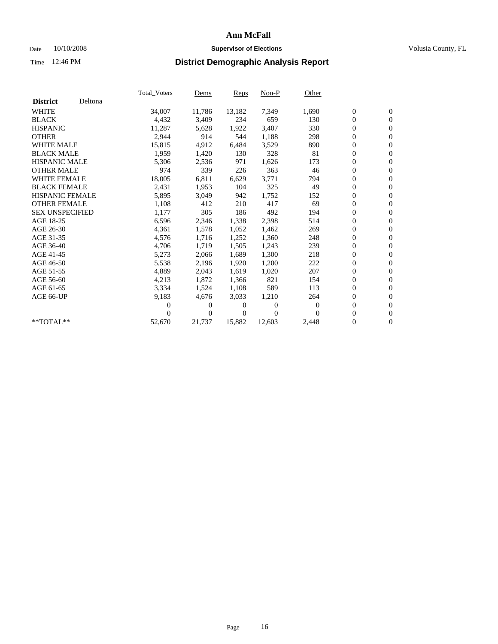### Date 10/10/2008 **Supervisor of Elections Supervisor of Elections** Volusia County, FL

|                        |         | <b>Total Voters</b> | Dems           | Reps   | $Non-P$  | Other    |                  |                  |  |
|------------------------|---------|---------------------|----------------|--------|----------|----------|------------------|------------------|--|
| <b>District</b>        | Deltona |                     |                |        |          |          |                  |                  |  |
| <b>WHITE</b>           |         | 34,007              | 11,786         | 13,182 | 7,349    | 1,690    | $\boldsymbol{0}$ | $\boldsymbol{0}$ |  |
| <b>BLACK</b>           |         | 4,432               | 3,409          | 234    | 659      | 130      | $\overline{0}$   | $\mathbf{0}$     |  |
| <b>HISPANIC</b>        |         | 11,287              | 5,628          | 1,922  | 3,407    | 330      | $\overline{0}$   | $\mathbf{0}$     |  |
| <b>OTHER</b>           |         | 2,944               | 914            | 544    | 1,188    | 298      | 0                | $\mathbf{0}$     |  |
| <b>WHITE MALE</b>      |         | 15,815              | 4,912          | 6,484  | 3,529    | 890      | 0                | $\mathbf{0}$     |  |
| <b>BLACK MALE</b>      |         | 1,959               | 1,420          | 130    | 328      | 81       | $\boldsymbol{0}$ | $\mathbf{0}$     |  |
| <b>HISPANIC MALE</b>   |         | 5,306               | 2,536          | 971    | 1,626    | 173      | 0                | $\mathbf{0}$     |  |
| <b>OTHER MALE</b>      |         | 974                 | 339            | 226    | 363      | 46       | 0                | $\mathbf{0}$     |  |
| <b>WHITE FEMALE</b>    |         | 18,005              | 6,811          | 6,629  | 3,771    | 794      | 0                | $\mathbf{0}$     |  |
| <b>BLACK FEMALE</b>    |         | 2,431               | 1,953          | 104    | 325      | 49       | 0                | $\Omega$         |  |
| <b>HISPANIC FEMALE</b> |         | 5,895               | 3,049          | 942    | 1,752    | 152      | $\boldsymbol{0}$ | $\boldsymbol{0}$ |  |
| <b>OTHER FEMALE</b>    |         | 1,108               | 412            | 210    | 417      | 69       | 0                | $\mathbf{0}$     |  |
| <b>SEX UNSPECIFIED</b> |         | 1,177               | 305            | 186    | 492      | 194      | 0                | $\mathbf{0}$     |  |
| AGE 18-25              |         | 6,596               | 2,346          | 1,338  | 2,398    | 514      | $\overline{0}$   | $\mathbf{0}$     |  |
| AGE 26-30              |         | 4,361               | 1,578          | 1,052  | 1,462    | 269      | 0                | $\mathbf{0}$     |  |
| AGE 31-35              |         | 4,576               | 1,716          | 1,252  | 1,360    | 248      | 0                | $\mathbf{0}$     |  |
| AGE 36-40              |         | 4,706               | 1,719          | 1,505  | 1,243    | 239      | $\boldsymbol{0}$ | $\mathbf{0}$     |  |
| AGE 41-45              |         | 5,273               | 2,066          | 1,689  | 1,300    | 218      | $\boldsymbol{0}$ | $\mathbf{0}$     |  |
| AGE 46-50              |         | 5,538               | 2,196          | 1,920  | 1,200    | 222      | 0                | $\Omega$         |  |
| AGE 51-55              |         | 4,889               | 2,043          | 1,619  | 1,020    | 207      | $\boldsymbol{0}$ | $\boldsymbol{0}$ |  |
| AGE 56-60              |         | 4,213               | 1,872          | 1,366  | 821      | 154      | 0                | $\mathbf{0}$     |  |
| AGE 61-65              |         | 3,334               | 1,524          | 1,108  | 589      | 113      | 0                | $\mathbf{0}$     |  |
| AGE 66-UP              |         | 9,183               | 4,676          | 3,033  | 1,210    | 264      | $\overline{0}$   | $\mathbf{0}$     |  |
|                        |         | 0                   | 0              | 0      | $\theta$ | $\theta$ | 0                | $\mathbf{0}$     |  |
|                        |         | 0                   | $\overline{0}$ | 0      | $\Omega$ | $\Omega$ | 0                | $\mathbf{0}$     |  |
| $*$ TOTAL $**$         |         | 52,670              | 21,737         | 15,882 | 12,603   | 2,448    | $\overline{0}$   | $\boldsymbol{0}$ |  |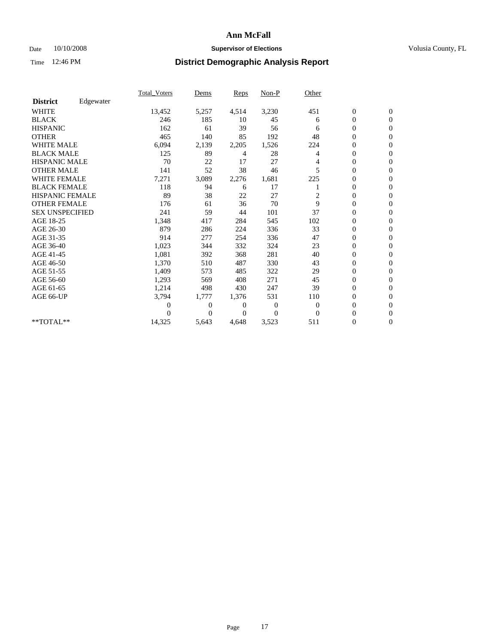### Date 10/10/2008 **Supervisor of Elections Supervisor of Elections** Volusia County, FL

|                        |           | <b>Total_Voters</b> | Dems     | Reps  | $Non-P$  | Other          |                  |                  |  |
|------------------------|-----------|---------------------|----------|-------|----------|----------------|------------------|------------------|--|
| <b>District</b>        | Edgewater |                     |          |       |          |                |                  |                  |  |
| <b>WHITE</b>           |           | 13,452              | 5,257    | 4,514 | 3,230    | 451            | $\boldsymbol{0}$ | $\boldsymbol{0}$ |  |
| <b>BLACK</b>           |           | 246                 | 185      | 10    | 45       | 6              | 0                | $\mathbf{0}$     |  |
| <b>HISPANIC</b>        |           | 162                 | 61       | 39    | 56       | 6              | $\mathbf{0}$     | $\mathbf{0}$     |  |
| <b>OTHER</b>           |           | 465                 | 140      | 85    | 192      | 48             | 0                | $\Omega$         |  |
| <b>WHITE MALE</b>      |           | 6,094               | 2,139    | 2,205 | 1,526    | 224            | 0                | $\mathbf{0}$     |  |
| <b>BLACK MALE</b>      |           | 125                 | 89       | 4     | 28       | $\overline{4}$ | $\overline{0}$   | $\mathbf{0}$     |  |
| <b>HISPANIC MALE</b>   |           | 70                  | 22       | 17    | 27       | 4              | 0                | $\mathbf{0}$     |  |
| <b>OTHER MALE</b>      |           | 141                 | 52       | 38    | 46       | 5              | 0                | $\mathbf{0}$     |  |
| <b>WHITE FEMALE</b>    |           | 7,271               | 3,089    | 2,276 | 1,681    | 225            | 0                | $\mathbf{0}$     |  |
| <b>BLACK FEMALE</b>    |           | 118                 | 94       | 6     | 17       |                | 0                | $\mathbf{0}$     |  |
| <b>HISPANIC FEMALE</b> |           | 89                  | 38       | 22    | 27       | 2              | 0                | $\mathbf{0}$     |  |
| <b>OTHER FEMALE</b>    |           | 176                 | 61       | 36    | 70       | 9              | 0                | $\Omega$         |  |
| <b>SEX UNSPECIFIED</b> |           | 241                 | 59       | 44    | 101      | 37             | 0                | $\mathbf{0}$     |  |
| AGE 18-25              |           | 1,348               | 417      | 284   | 545      | 102            | 0                | $\mathbf{0}$     |  |
| AGE 26-30              |           | 879                 | 286      | 224   | 336      | 33             | 0                | $\mathbf{0}$     |  |
| AGE 31-35              |           | 914                 | 277      | 254   | 336      | 47             | 0                | $\mathbf{0}$     |  |
| AGE 36-40              |           | 1,023               | 344      | 332   | 324      | 23             | 0                | $\mathbf{0}$     |  |
| AGE 41-45              |           | 1,081               | 392      | 368   | 281      | 40             | $\overline{0}$   | $\mathbf{0}$     |  |
| AGE 46-50              |           | 1,370               | 510      | 487   | 330      | 43             | $\boldsymbol{0}$ | $\mathbf{0}$     |  |
| AGE 51-55              |           | 1,409               | 573      | 485   | 322      | 29             | 0                | $\mathbf{0}$     |  |
| AGE 56-60              |           | 1,293               | 569      | 408   | 271      | 45             | $\overline{0}$   | $\Omega$         |  |
| AGE 61-65              |           | 1,214               | 498      | 430   | 247      | 39             | 0                | $\mathbf{0}$     |  |
| AGE 66-UP              |           | 3,794               | 1,777    | 1,376 | 531      | 110            | 0                | $\mathbf{0}$     |  |
|                        |           | 0                   | 0        | 0     | $\theta$ | $\theta$       | 0                | $\mathbf{0}$     |  |
|                        |           | 0                   | $\Omega$ | 0     | $\Omega$ | $\Omega$       | $\overline{0}$   | $\mathbf{0}$     |  |
| **TOTAL**              |           | 14,325              | 5,643    | 4,648 | 3,523    | 511            | 0                | $\overline{0}$   |  |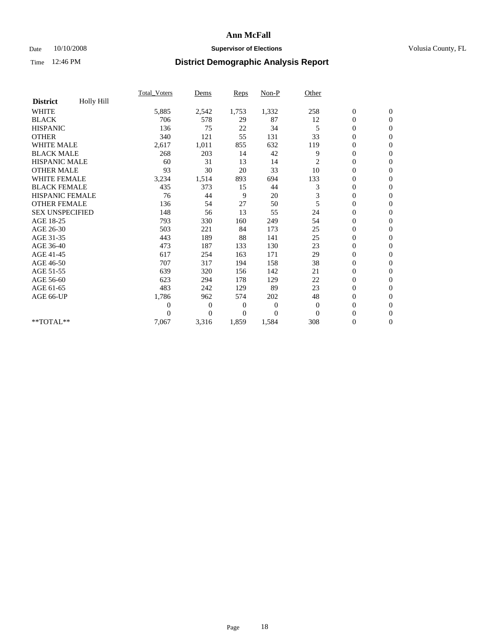### Date 10/10/2008 **Supervisor of Elections Supervisor of Elections** Volusia County, FL

|                        |            | <b>Total_Voters</b> | Dems         | Reps           | Non-P          | Other    |                  |                  |  |
|------------------------|------------|---------------------|--------------|----------------|----------------|----------|------------------|------------------|--|
| <b>District</b>        | Holly Hill |                     |              |                |                |          |                  |                  |  |
| <b>WHITE</b>           |            | 5,885               | 2,542        | 1,753          | 1,332          | 258      | $\boldsymbol{0}$ | $\boldsymbol{0}$ |  |
| <b>BLACK</b>           |            | 706                 | 578          | 29             | 87             | 12       | 0                | $\mathbf{0}$     |  |
| <b>HISPANIC</b>        |            | 136                 | 75           | 22             | 34             | 5        | $\overline{0}$   | $\mathbf{0}$     |  |
| <b>OTHER</b>           |            | 340                 | 121          | 55             | 131            | 33       | 0                | $\Omega$         |  |
| <b>WHITE MALE</b>      |            | 2,617               | 1,011        | 855            | 632            | 119      | 0                | $\mathbf{0}$     |  |
| <b>BLACK MALE</b>      |            | 268                 | 203          | 14             | 42             | 9        | $\overline{0}$   | $\mathbf{0}$     |  |
| <b>HISPANIC MALE</b>   |            | 60                  | 31           | 13             | 14             | 2        | 0                | $\mathbf{0}$     |  |
| <b>OTHER MALE</b>      |            | 93                  | 30           | 20             | 33             | 10       | 0                | $\mathbf{0}$     |  |
| <b>WHITE FEMALE</b>    |            | 3,234               | 1,514        | 893            | 694            | 133      | 0                | $\mathbf{0}$     |  |
| <b>BLACK FEMALE</b>    |            | 435                 | 373          | 15             | 44             | 3        | 0                | $\mathbf{0}$     |  |
| <b>HISPANIC FEMALE</b> |            | 76                  | 44           | 9              | 20             | 3        | 0                | $\mathbf{0}$     |  |
| <b>OTHER FEMALE</b>    |            | 136                 | 54           | 27             | 50             | 5        | $\overline{0}$   | $\Omega$         |  |
| <b>SEX UNSPECIFIED</b> |            | 148                 | 56           | 13             | 55             | 24       | 0                | $\mathbf{0}$     |  |
| AGE 18-25              |            | 793                 | 330          | 160            | 249            | 54       | $\overline{0}$   | $\mathbf{0}$     |  |
| AGE 26-30              |            | 503                 | 221          | 84             | 173            | 25       | $\overline{0}$   | $\mathbf{0}$     |  |
| AGE 31-35              |            | 443                 | 189          | 88             | 141            | 25       | $\boldsymbol{0}$ | $\mathbf{0}$     |  |
| AGE 36-40              |            | 473                 | 187          | 133            | 130            | 23       | 0                | $\mathbf{0}$     |  |
| AGE 41-45              |            | 617                 | 254          | 163            | 171            | 29       | $\overline{0}$   | $\mathbf{0}$     |  |
| AGE 46-50              |            | 707                 | 317          | 194            | 158            | 38       | $\boldsymbol{0}$ | $\mathbf{0}$     |  |
| AGE 51-55              |            | 639                 | 320          | 156            | 142            | 21       | $\boldsymbol{0}$ | $\mathbf{0}$     |  |
| AGE 56-60              |            | 623                 | 294          | 178            | 129            | 22       | $\overline{0}$   | $\Omega$         |  |
| AGE 61-65              |            | 483                 | 242          | 129            | 89             | 23       | $\overline{0}$   | $\mathbf{0}$     |  |
| AGE 66-UP              |            | 1,786               | 962          | 574            | 202            | 48       | 0                | $\mathbf{0}$     |  |
|                        |            | 0                   | $\mathbf{0}$ | $\overline{0}$ | $\overline{0}$ | $\theta$ | $\overline{0}$   | $\mathbf{0}$     |  |
|                        |            | 0                   | $\theta$     | 0              | $\Omega$       | $\Omega$ | $\overline{0}$   | $\mathbf{0}$     |  |
| **TOTAL**              |            | 7,067               | 3,316        | 1,859          | 1,584          | 308      | 0                | $\overline{0}$   |  |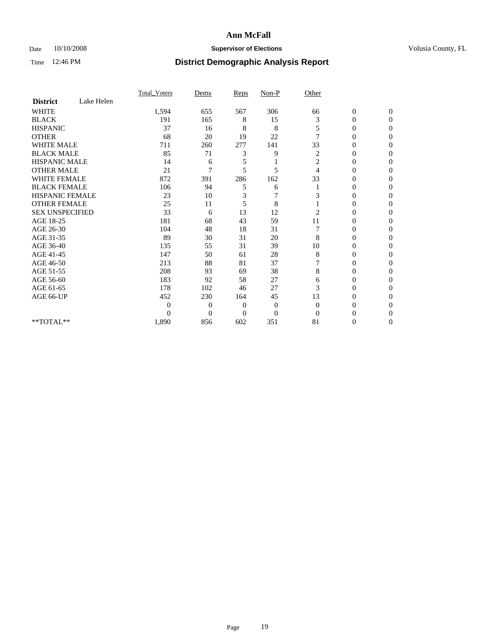### Date 10/10/2008 **Supervisor of Elections Supervisor of Elections** Volusia County, FL

|                        |            | Total Voters | Dems           | <b>Reps</b>  | $Non-P$        | Other          |                  |              |  |
|------------------------|------------|--------------|----------------|--------------|----------------|----------------|------------------|--------------|--|
| <b>District</b>        | Lake Helen |              |                |              |                |                |                  |              |  |
| <b>WHITE</b>           |            | 1,594        | 655            | 567          | 306            | 66             | $\boldsymbol{0}$ | $\mathbf{0}$ |  |
| <b>BLACK</b>           |            | 191          | 165            | 8            | 15             | 3              | $\overline{0}$   | $\Omega$     |  |
| <b>HISPANIC</b>        |            | 37           | 16             | 8            | 8              | 5              | 0                | $\Omega$     |  |
| <b>OTHER</b>           |            | 68           | 20             | 19           | 22             | 7              | 0                | $\Omega$     |  |
| <b>WHITE MALE</b>      |            | 711          | 260            | 277          | 141            | 33             | 0                | 0            |  |
| <b>BLACK MALE</b>      |            | 85           | 71             | 3            | 9              | 2              | $\overline{0}$   | $\Omega$     |  |
| HISPANIC MALE          |            | 14           | 6              | 5            |                | 2              | 0                | $\Omega$     |  |
| <b>OTHER MALE</b>      |            | 21           | 7              | 5            | 5              | 4              | 0                | 0            |  |
| <b>WHITE FEMALE</b>    |            | 872          | 391            | 286          | 162            | 33             | 0                | $\Omega$     |  |
| <b>BLACK FEMALE</b>    |            | 106          | 94             | 5            | 6              |                | $\overline{0}$   | $\Omega$     |  |
| <b>HISPANIC FEMALE</b> |            | 23           | 10             | 3            | 7              | 3              | 0                | 0            |  |
| <b>OTHER FEMALE</b>    |            | 25           | 11             | 5            | 8              |                | 0                | 0            |  |
| <b>SEX UNSPECIFIED</b> |            | 33           | 6              | 13           | 12             | $\overline{2}$ | 0                | $\Omega$     |  |
| AGE 18-25              |            | 181          | 68             | 43           | 59             | 11             | 0                | $\Omega$     |  |
| AGE 26-30              |            | 104          | 48             | 18           | 31             |                | 0                | $\Omega$     |  |
| AGE 31-35              |            | 89           | 30             | 31           | 20             | 8              | 0                | $\Omega$     |  |
| AGE 36-40              |            | 135          | 55             | 31           | 39             | 10             | 0                | 0            |  |
| AGE 41-45              |            | 147          | 50             | 61           | 28             | 8              | 0                | $\Omega$     |  |
| AGE 46-50              |            | 213          | 88             | 81           | 37             |                | 0                | $\Omega$     |  |
| AGE 51-55              |            | 208          | 93             | 69           | 38             | 8              | 0                | 0            |  |
| AGE 56-60              |            | 183          | 92             | 58           | 27             | 6              | 0                | $\Omega$     |  |
| AGE 61-65              |            | 178          | 102            | 46           | 27             | 3              | $\overline{0}$   | $\Omega$     |  |
| AGE 66-UP              |            | 452          | 230            | 164          | 45             | 13             | 0                | 0            |  |
|                        |            | $\Omega$     | $\overline{0}$ | $\mathbf{0}$ | $\mathbf{0}$   | $\Omega$       | 0                | $\Omega$     |  |
|                        |            | $\theta$     | $\overline{0}$ | $\Omega$     | $\overline{0}$ | $\Omega$       | 0                | 0            |  |
| **TOTAL**              |            | 1,890        | 856            | 602          | 351            | 81             | 0                | 0            |  |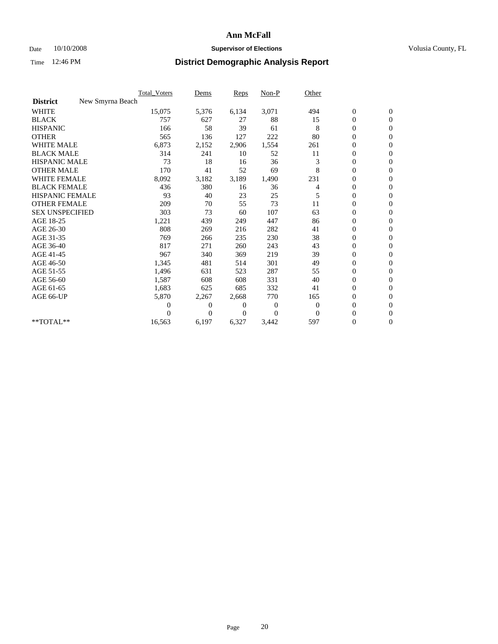### Date 10/10/2008 **Supervisor of Elections Supervisor of Elections** Volusia County, FL

|                        | Total Voters     | Dems     | <b>Reps</b> | Non-P        | Other        |                  |                  |  |
|------------------------|------------------|----------|-------------|--------------|--------------|------------------|------------------|--|
| <b>District</b>        | New Smyrna Beach |          |             |              |              |                  |                  |  |
| <b>WHITE</b>           | 15,075           | 5,376    | 6,134       | 3,071        | 494          | $\boldsymbol{0}$ | $\boldsymbol{0}$ |  |
| <b>BLACK</b>           | 757              | 627      | 27          | 88           | 15           | $\boldsymbol{0}$ | $\mathbf{0}$     |  |
| <b>HISPANIC</b>        | 166              | 58       | 39          | 61           | 8            | $\overline{0}$   | $\mathbf{0}$     |  |
| <b>OTHER</b>           | 565              | 136      | 127         | 222          | 80           | $\boldsymbol{0}$ | $\Omega$         |  |
| <b>WHITE MALE</b>      | 6,873            | 2,152    | 2,906       | 1,554        | 261          | $\overline{0}$   | $\mathbf{0}$     |  |
| <b>BLACK MALE</b>      | 314              | 241      | 10          | 52           | 11           | $\boldsymbol{0}$ | $\mathbf{0}$     |  |
| <b>HISPANIC MALE</b>   | 73               | 18       | 16          | 36           | 3            | $\overline{0}$   | $\mathbf{0}$     |  |
| <b>OTHER MALE</b>      | 170              | 41       | 52          | 69           | 8            | 0                | $\mathbf{0}$     |  |
| WHITE FEMALE           | 8,092            | 3,182    | 3,189       | 1,490        | 231          | $\overline{0}$   | $\mathbf{0}$     |  |
| <b>BLACK FEMALE</b>    | 436              | 380      | 16          | 36           | 4            | $\boldsymbol{0}$ | $\mathbf{0}$     |  |
| <b>HISPANIC FEMALE</b> | 93               | 40       | 23          | 25           | 5            | $\boldsymbol{0}$ | $\mathbf{0}$     |  |
| <b>OTHER FEMALE</b>    | 209              | 70       | 55          | 73           | 11           | $\overline{0}$   | $\mathbf{0}$     |  |
| <b>SEX UNSPECIFIED</b> | 303              | 73       | 60          | 107          | 63           | $\boldsymbol{0}$ | $\mathbf{0}$     |  |
| AGE 18-25              | 1,221            | 439      | 249         | 447          | 86           | $\overline{0}$   | $\mathbf{0}$     |  |
| AGE 26-30              | 808              | 269      | 216         | 282          | 41           | $\overline{0}$   | $\mathbf{0}$     |  |
| AGE 31-35              | 769              | 266      | 235         | 230          | 38           | $\boldsymbol{0}$ | $\mathbf{0}$     |  |
| AGE 36-40              | 817              | 271      | 260         | 243          | 43           | 0                | $\mathbf{0}$     |  |
| AGE 41-45              | 967              | 340      | 369         | 219          | 39           | $\overline{0}$   | $\mathbf{0}$     |  |
| AGE 46-50              | 1,345            | 481      | 514         | 301          | 49           | $\boldsymbol{0}$ | $\mathbf{0}$     |  |
| AGE 51-55              | 1,496            | 631      | 523         | 287          | 55           | $\boldsymbol{0}$ | $\mathbf{0}$     |  |
| AGE 56-60              | 1,587            | 608      | 608         | 331          | 40           | $\overline{0}$   | $\Omega$         |  |
| AGE 61-65              | 1,683            | 625      | 685         | 332          | 41           | $\overline{0}$   | $\mathbf{0}$     |  |
| AGE 66-UP              | 5,870            | 2,267    | 2,668       | 770          | 165          | $\boldsymbol{0}$ | $\mathbf{0}$     |  |
|                        | 0                | 0        | 0           | $\mathbf{0}$ | $\mathbf{0}$ | $\overline{0}$   | $\mathbf{0}$     |  |
|                        | $\theta$         | $\theta$ | 0           | $\Omega$     | $\Omega$     | $\boldsymbol{0}$ | $\mathbf{0}$     |  |
| **TOTAL**              | 16,563           | 6,197    | 6,327       | 3,442        | 597          | 0                | $\mathbf{0}$     |  |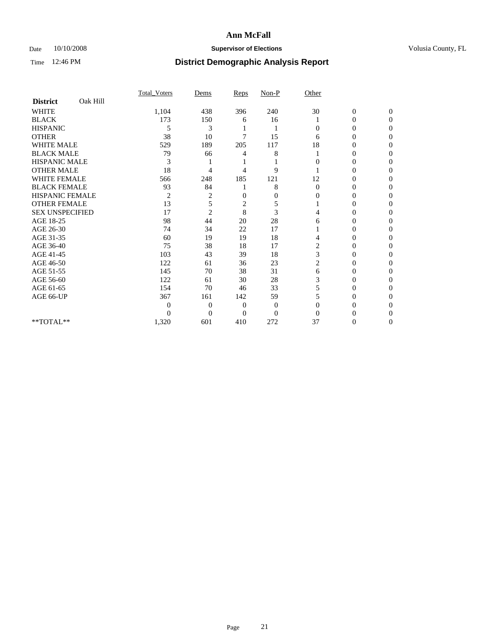### Date 10/10/2008 **Supervisor of Elections Supervisor of Elections** Volusia County, FL

|                        |          | Total Voters   | Dems           | Reps         | $Non-P$        | Other          |                  |              |  |
|------------------------|----------|----------------|----------------|--------------|----------------|----------------|------------------|--------------|--|
| <b>District</b>        | Oak Hill |                |                |              |                |                |                  |              |  |
| <b>WHITE</b>           |          | 1,104          | 438            | 396          | 240            | 30             | $\boldsymbol{0}$ | $\mathbf{0}$ |  |
| <b>BLACK</b>           |          | 173            | 150            | 6            | 16             |                | $\overline{0}$   | $\Omega$     |  |
| <b>HISPANIC</b>        |          | 5              | 3              |              |                | $\Omega$       | 0                | $\Omega$     |  |
| <b>OTHER</b>           |          | 38             | 10             | 7            | 15             | 6              | 0                | 0            |  |
| <b>WHITE MALE</b>      |          | 529            | 189            | 205          | 117            | 18             | 0                | 0            |  |
| <b>BLACK MALE</b>      |          | 79             | 66             | 4            | 8              |                | 0                | $\Omega$     |  |
| HISPANIC MALE          |          | 3              |                |              |                | 0              | 0                | 0            |  |
| <b>OTHER MALE</b>      |          | 18             | 4              | 4            | 9              |                | 0                | 0            |  |
| <b>WHITE FEMALE</b>    |          | 566            | 248            | 185          | 121            | 12             | 0                | $\Omega$     |  |
| <b>BLACK FEMALE</b>    |          | 93             | 84             |              | 8              | $\mathbf{0}$   | $\overline{0}$   | 0            |  |
| <b>HISPANIC FEMALE</b> |          | $\overline{c}$ | 2              | 0            | $\overline{0}$ | 0              | 0                | 0            |  |
| <b>OTHER FEMALE</b>    |          | 13             | 5              | 2            | 5              |                | 0                | 0            |  |
| <b>SEX UNSPECIFIED</b> |          | 17             | $\overline{2}$ | 8            | 3              | 4              | 0                | 0            |  |
| AGE 18-25              |          | 98             | 44             | 20           | 28             | 6              | 0                | $\Omega$     |  |
| AGE 26-30              |          | 74             | 34             | 22           | 17             |                | 0                | 0            |  |
| AGE 31-35              |          | 60             | 19             | 19           | 18             | 4              | 0                | 0            |  |
| AGE 36-40              |          | 75             | 38             | 18           | 17             | $\overline{c}$ | 0                | 0            |  |
| AGE 41-45              |          | 103            | 43             | 39           | 18             | 3              | 0                | $\Omega$     |  |
| AGE 46-50              |          | 122            | 61             | 36           | 23             | 2              | 0                | $\Omega$     |  |
| AGE 51-55              |          | 145            | 70             | 38           | 31             | 6              | 0                | 0            |  |
| AGE 56-60              |          | 122            | 61             | 30           | 28             | 3              | 0                | 0            |  |
| AGE 61-65              |          | 154            | 70             | 46           | 33             | 5              | 0                | 0            |  |
| AGE 66-UP              |          | 367            | 161            | 142          | 59             | 5              | 0                | 0            |  |
|                        |          | 0              | $\overline{0}$ | $\mathbf{0}$ | $\mathbf{0}$   | $\Omega$       | 0                | 0            |  |
|                        |          | $\theta$       | $\overline{0}$ | $\Omega$     | $\overline{0}$ | $\Omega$       |                  | 0            |  |
| **TOTAL**              |          | 1,320          | 601            | 410          | 272            | 37             | 0                | 0            |  |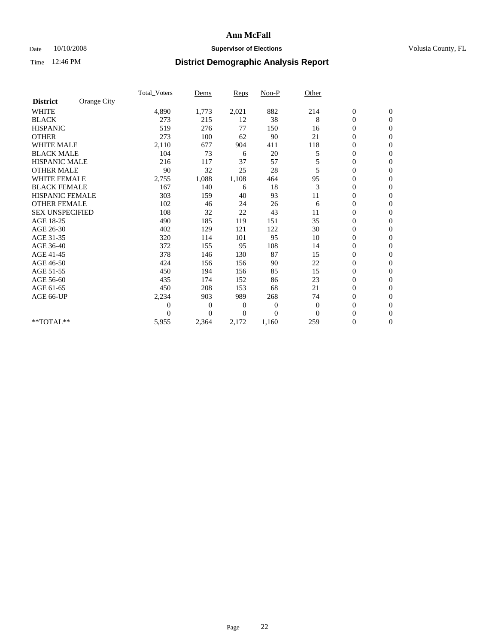### Date  $10/10/2008$  **Supervisor of Elections** Volusia County, FL

|                        |             | <b>Total_Voters</b> | Dems     | <b>Reps</b>  | $Non-P$        | Other    |                  |                |  |
|------------------------|-------------|---------------------|----------|--------------|----------------|----------|------------------|----------------|--|
| <b>District</b>        | Orange City |                     |          |              |                |          |                  |                |  |
| <b>WHITE</b>           |             | 4,890               | 1,773    | 2,021        | 882            | 214      | $\boldsymbol{0}$ | $\mathbf{0}$   |  |
| <b>BLACK</b>           |             | 273                 | 215      | 12           | 38             | 8        | $\boldsymbol{0}$ | $\mathbf{0}$   |  |
| <b>HISPANIC</b>        |             | 519                 | 276      | 77           | 150            | 16       | $\mathbf{0}$     | $\mathbf{0}$   |  |
| <b>OTHER</b>           |             | 273                 | 100      | 62           | 90             | 21       | $\overline{0}$   | $\mathbf{0}$   |  |
| <b>WHITE MALE</b>      |             | 2,110               | 677      | 904          | 411            | 118      | $\boldsymbol{0}$ | $\mathbf{0}$   |  |
| <b>BLACK MALE</b>      |             | 104                 | 73       | 6            | 20             | 5        | $\boldsymbol{0}$ | $\mathbf{0}$   |  |
| <b>HISPANIC MALE</b>   |             | 216                 | 117      | 37           | 57             | 5        | $\boldsymbol{0}$ | $\mathbf{0}$   |  |
| <b>OTHER MALE</b>      |             | 90                  | 32       | 25           | 28             | 5        | 0                | $\mathbf{0}$   |  |
| <b>WHITE FEMALE</b>    |             | 2,755               | 1,088    | 1,108        | 464            | 95       | $\mathbf{0}$     | $\mathbf{0}$   |  |
| <b>BLACK FEMALE</b>    |             | 167                 | 140      | 6            | 18             | 3        | $\boldsymbol{0}$ | $\mathbf{0}$   |  |
| HISPANIC FEMALE        |             | 303                 | 159      | 40           | 93             | 11       | $\boldsymbol{0}$ | $\mathbf{0}$   |  |
| <b>OTHER FEMALE</b>    |             | 102                 | 46       | 24           | 26             | 6        | $\overline{0}$   | $\Omega$       |  |
| <b>SEX UNSPECIFIED</b> |             | 108                 | 32       | 22           | 43             | 11       | $\overline{0}$   | $\mathbf{0}$   |  |
| AGE 18-25              |             | 490                 | 185      | 119          | 151            | 35       | $\overline{0}$   | $\mathbf{0}$   |  |
| AGE 26-30              |             | 402                 | 129      | 121          | 122            | 30       | $\overline{0}$   | $\mathbf{0}$   |  |
| AGE 31-35              |             | 320                 | 114      | 101          | 95             | 10       | $\boldsymbol{0}$ | $\mathbf{0}$   |  |
| AGE 36-40              |             | 372                 | 155      | 95           | 108            | 14       | $\boldsymbol{0}$ | $\mathbf{0}$   |  |
| AGE 41-45              |             | 378                 | 146      | 130          | 87             | 15       | $\overline{0}$   | $\mathbf{0}$   |  |
| AGE 46-50              |             | 424                 | 156      | 156          | 90             | 22       | $\mathbf{0}$     | $\mathbf{0}$   |  |
| AGE 51-55              |             | 450                 | 194      | 156          | 85             | 15       | $\boldsymbol{0}$ | $\mathbf{0}$   |  |
| AGE 56-60              |             | 435                 | 174      | 152          | 86             | 23       | $\boldsymbol{0}$ | $\Omega$       |  |
| AGE 61-65              |             | 450                 | 208      | 153          | 68             | 21       | $\boldsymbol{0}$ | $\overline{0}$ |  |
| AGE 66-UP              |             | 2,234               | 903      | 989          | 268            | 74       | $\boldsymbol{0}$ | $\mathbf{0}$   |  |
|                        |             | $\boldsymbol{0}$    | 0        | $\mathbf{0}$ | 0              | $\theta$ | $\boldsymbol{0}$ | $\Omega$       |  |
|                        |             | $\Omega$            | $\theta$ | 0            | $\overline{0}$ | $\Omega$ | $\overline{0}$   | $\overline{0}$ |  |
| **TOTAL**              |             | 5,955               | 2,364    | 2,172        | 1,160          | 259      | $\boldsymbol{0}$ | $\mathbf{0}$   |  |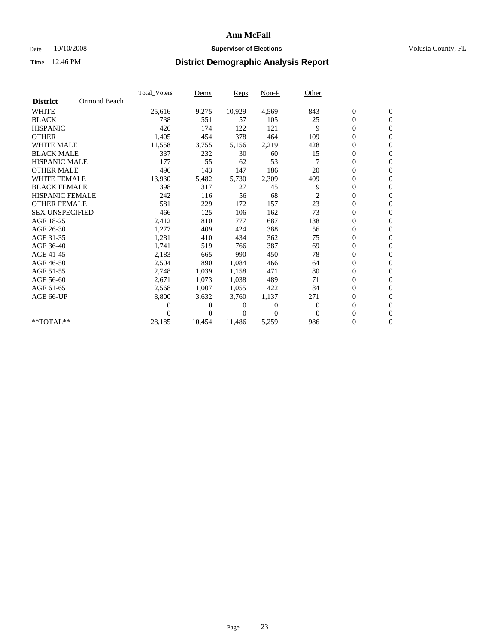### Date  $10/10/2008$  **Supervisor of Elections** Volusia County, FL

|                        |              | <b>Total Voters</b> | Dems     | Reps   | Non-P    | Other          |                  |                  |  |
|------------------------|--------------|---------------------|----------|--------|----------|----------------|------------------|------------------|--|
| <b>District</b>        | Ormond Beach |                     |          |        |          |                |                  |                  |  |
| <b>WHITE</b>           |              | 25,616              | 9,275    | 10,929 | 4,569    | 843            | $\boldsymbol{0}$ | $\boldsymbol{0}$ |  |
| <b>BLACK</b>           |              | 738                 | 551      | 57     | 105      | 25             | 0                | $\mathbf{0}$     |  |
| <b>HISPANIC</b>        |              | 426                 | 174      | 122    | 121      | 9              | $\overline{0}$   | $\mathbf{0}$     |  |
| <b>OTHER</b>           |              | 1,405               | 454      | 378    | 464      | 109            | 0                | $\mathbf{0}$     |  |
| <b>WHITE MALE</b>      |              | 11,558              | 3,755    | 5,156  | 2,219    | 428            | 0                | $\mathbf{0}$     |  |
| <b>BLACK MALE</b>      |              | 337                 | 232      | 30     | 60       | 15             | $\boldsymbol{0}$ | $\mathbf{0}$     |  |
| <b>HISPANIC MALE</b>   |              | 177                 | 55       | 62     | 53       | 7              | 0                | $\mathbf{0}$     |  |
| <b>OTHER MALE</b>      |              | 496                 | 143      | 147    | 186      | 20             | 0                | $\mathbf{0}$     |  |
| <b>WHITE FEMALE</b>    |              | 13,930              | 5,482    | 5,730  | 2,309    | 409            | 0                | $\mathbf{0}$     |  |
| <b>BLACK FEMALE</b>    |              | 398                 | 317      | 27     | 45       | 9              | 0                | $\mathbf{0}$     |  |
| <b>HISPANIC FEMALE</b> |              | 242                 | 116      | 56     | 68       | $\overline{c}$ | 0                | $\mathbf{0}$     |  |
| <b>OTHER FEMALE</b>    |              | 581                 | 229      | 172    | 157      | 23             | 0                | $\mathbf{0}$     |  |
| <b>SEX UNSPECIFIED</b> |              | 466                 | 125      | 106    | 162      | 73             | 0                | $\mathbf{0}$     |  |
| AGE 18-25              |              | 2,412               | 810      | 777    | 687      | 138            | 0                | $\mathbf{0}$     |  |
| AGE 26-30              |              | 1,277               | 409      | 424    | 388      | 56             | 0                | $\mathbf{0}$     |  |
| AGE 31-35              |              | 1,281               | 410      | 434    | 362      | 75             | 0                | $\mathbf{0}$     |  |
| AGE 36-40              |              | 1,741               | 519      | 766    | 387      | 69             | 0                | $\mathbf{0}$     |  |
| AGE 41-45              |              | 2,183               | 665      | 990    | 450      | 78             | 0                | $\mathbf{0}$     |  |
| AGE 46-50              |              | 2,504               | 890      | 1,084  | 466      | 64             | 0                | $\mathbf{0}$     |  |
| AGE 51-55              |              | 2,748               | 1,039    | 1,158  | 471      | 80             | 0                | $\mathbf{0}$     |  |
| AGE 56-60              |              | 2,671               | 1,073    | 1,038  | 489      | 71             | 0                | $\Omega$         |  |
| AGE 61-65              |              | 2,568               | 1,007    | 1,055  | 422      | 84             | 0                | $\mathbf{0}$     |  |
| AGE 66-UP              |              | 8,800               | 3,632    | 3,760  | 1,137    | 271            | 0                | $\mathbf{0}$     |  |
|                        |              | 0                   | 0        | 0      | $\theta$ | $\bf{0}$       | 0                | $\mathbf{0}$     |  |
|                        |              | 0                   | $\Omega$ | 0      | $\Omega$ | $\Omega$       | $\overline{0}$   | $\mathbf{0}$     |  |
| $*$ TOTAL $**$         |              | 28,185              | 10,454   | 11,486 | 5,259    | 986            | 0                | $\overline{0}$   |  |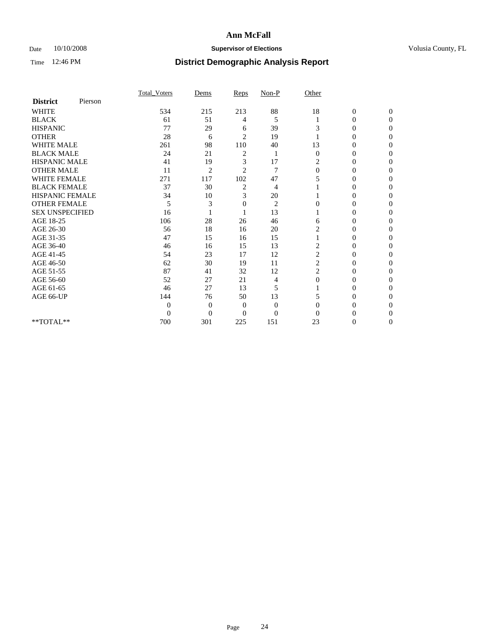### Date  $10/10/2008$  **Supervisor of Elections** Volusia County, FL

|                        |         | <b>Total Voters</b> | Dems           | Reps           | Non-P          | Other        |                  |                  |
|------------------------|---------|---------------------|----------------|----------------|----------------|--------------|------------------|------------------|
| <b>District</b>        | Pierson |                     |                |                |                |              |                  |                  |
| <b>WHITE</b>           |         | 534                 | 215            | 213            | 88             | 18           | $\boldsymbol{0}$ | $\boldsymbol{0}$ |
| <b>BLACK</b>           |         | 61                  | 51             | 4              | 5              |              | 0                | $\Omega$         |
| <b>HISPANIC</b>        |         | 77                  | 29             | 6              | 39             | 3            | $\Omega$         | $\Omega$         |
| <b>OTHER</b>           |         | 28                  | 6              | $\overline{2}$ | 19             |              | 0                | $\Omega$         |
| <b>WHITE MALE</b>      |         | 261                 | 98             | 110            | 40             | 13           | 0                | $\Omega$         |
| <b>BLACK MALE</b>      |         | 24                  | 21             | 2              | 1              | $\mathbf{0}$ | $\overline{0}$   | $\Omega$         |
| HISPANIC MALE          |         | 41                  | 19             | 3              | 17             | 2            | 0                | 0                |
| <b>OTHER MALE</b>      |         | 11                  | $\overline{2}$ | $\overline{2}$ | 7              | $\Omega$     | 0                | 0                |
| <b>WHITE FEMALE</b>    |         | 271                 | 117            | 102            | 47             | 5            | 0                | 0                |
| <b>BLACK FEMALE</b>    |         | 37                  | 30             | 2              | 4              |              | 0                | 0                |
| <b>HISPANIC FEMALE</b> |         | 34                  | 10             | 3              | 20             |              | 0                | $\Omega$         |
| <b>OTHER FEMALE</b>    |         | 5                   | 3              | 0              | $\overline{2}$ | 0            | 0                | $\Omega$         |
| <b>SEX UNSPECIFIED</b> |         | 16                  |                |                | 13             |              | 0                | $\Omega$         |
| AGE 18-25              |         | 106                 | 28             | 26             | 46             | 6            | $\theta$         | $\Omega$         |
| AGE 26-30              |         | 56                  | 18             | 16             | 20             | 2            | 0                | 0                |
| AGE 31-35              |         | 47                  | 15             | 16             | 15             |              | 0                | 0                |
| AGE 36-40              |         | 46                  | 16             | 15             | 13             | 2            | $\overline{0}$   | 0                |
| AGE 41-45              |         | 54                  | 23             | 17             | 12             | 2            | 0                | 0                |
| AGE 46-50              |         | 62                  | 30             | 19             | 11             | 2            | $\overline{0}$   | $\Omega$         |
| AGE 51-55              |         | 87                  | 41             | 32             | 12             | 2            | 0                | $\Omega$         |
| AGE 56-60              |         | 52                  | 27             | 21             | 4              | $\theta$     | 0                | 0                |
| AGE 61-65              |         | 46                  | 27             | 13             | 5              |              | 0                | $\Omega$         |
| AGE 66-UP              |         | 144                 | 76             | 50             | 13             |              | $\overline{0}$   | $\Omega$         |
|                        |         | $\theta$            | $\overline{0}$ | $\mathbf{0}$   | $\mathbf{0}$   | $\Omega$     | 0                | 0                |
|                        |         | $\overline{0}$      | $\overline{0}$ | $\Omega$       | $\overline{0}$ | 0            | 0                | $\Omega$         |
| **TOTAL**              |         | 700                 | 301            | 225            | 151            | 23           | 0                | $\overline{0}$   |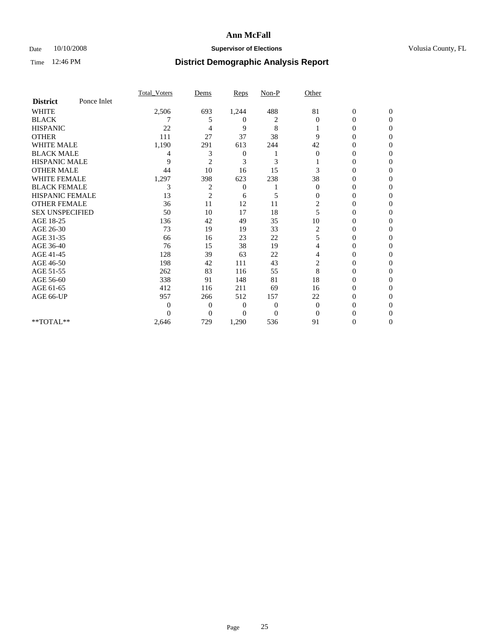### Date 10/10/2008 **Supervisor of Elections Supervisor of Elections** Volusia County, FL

|                        |             | Total Voters | Dems           | <b>Reps</b>  | $Non-P$        | Other          |                  |              |  |
|------------------------|-------------|--------------|----------------|--------------|----------------|----------------|------------------|--------------|--|
| <b>District</b>        | Ponce Inlet |              |                |              |                |                |                  |              |  |
| <b>WHITE</b>           |             | 2,506        | 693            | 1,244        | 488            | 81             | $\boldsymbol{0}$ | $\mathbf{0}$ |  |
| <b>BLACK</b>           |             |              | 5              | 0            | 2              | $\Omega$       | $\mathbf{0}$     | $\Omega$     |  |
| <b>HISPANIC</b>        |             | 22           | 4              | 9            | 8              |                | 0                | $\Omega$     |  |
| <b>OTHER</b>           |             | 111          | 27             | 37           | 38             | 9              | 0                | $\Omega$     |  |
| <b>WHITE MALE</b>      |             | 1,190        | 291            | 613          | 244            | 42             | 0                | 0            |  |
| <b>BLACK MALE</b>      |             | 4            | 3              | 0            |                | $\Omega$       | 0                | $\Omega$     |  |
| HISPANIC MALE          |             | 9            | $\overline{2}$ | 3            | 3              |                | 0                | $\Omega$     |  |
| <b>OTHER MALE</b>      |             | 44           | 10             | 16           | 15             | 3              | 0                | 0            |  |
| <b>WHITE FEMALE</b>    |             | 1,297        | 398            | 623          | 238            | 38             | 0                | $\Omega$     |  |
| <b>BLACK FEMALE</b>    |             | 3            | $\overline{c}$ | $\mathbf{0}$ |                | $\mathbf{0}$   | $\overline{0}$   | 0            |  |
| <b>HISPANIC FEMALE</b> |             | 13           | $\overline{2}$ | 6            | 5              | 0              | 0                | 0            |  |
| <b>OTHER FEMALE</b>    |             | 36           | 11             | 12           | 11             | 2              | 0                | 0            |  |
| <b>SEX UNSPECIFIED</b> |             | 50           | 10             | 17           | 18             | 5              | 0                | 0            |  |
| AGE 18-25              |             | 136          | 42             | 49           | 35             | 10             | 0                | $\Omega$     |  |
| AGE 26-30              |             | 73           | 19             | 19           | 33             | 2              | 0                | 0            |  |
| AGE 31-35              |             | 66           | 16             | 23           | 22             | 5              | 0                | 0            |  |
| AGE 36-40              |             | 76           | 15             | 38           | 19             | 4              | $\theta$         | 0            |  |
| AGE 41-45              |             | 128          | 39             | 63           | 22             | 4              | 0                | $\Omega$     |  |
| AGE 46-50              |             | 198          | 42             | 111          | 43             | $\overline{c}$ | 0                | $\Omega$     |  |
| AGE 51-55              |             | 262          | 83             | 116          | 55             | 8              | 0                | 0            |  |
| AGE 56-60              |             | 338          | 91             | 148          | 81             | 18             | 0                | 0            |  |
| AGE 61-65              |             | 412          | 116            | 211          | 69             | 16             | 0                | 0            |  |
| AGE 66-UP              |             | 957          | 266            | 512          | 157            | 22             | 0                | 0            |  |
|                        |             | 0            | $\overline{0}$ | $\Omega$     | $\overline{0}$ | $\Omega$       | 0                | 0            |  |
|                        |             | 0            | $\overline{0}$ | $\Omega$     | $\overline{0}$ | $\Omega$       |                  | 0            |  |
| **TOTAL**              |             | 2,646        | 729            | 1,290        | 536            | 91             | 0                | 0            |  |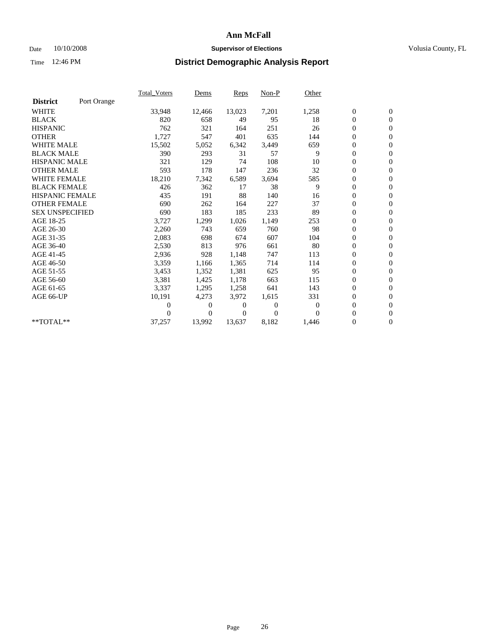### Date 10/10/2008 **Supervisor of Elections Supervisor of Elections** Volusia County, FL

|                        |             | <b>Total_Voters</b> | Dems     | Reps   | Non-P    | Other    |                  |                  |  |
|------------------------|-------------|---------------------|----------|--------|----------|----------|------------------|------------------|--|
| <b>District</b>        | Port Orange |                     |          |        |          |          |                  |                  |  |
| <b>WHITE</b>           |             | 33,948              | 12,466   | 13,023 | 7,201    | 1,258    | $\boldsymbol{0}$ | $\mathbf{0}$     |  |
| <b>BLACK</b>           |             | 820                 | 658      | 49     | 95       | 18       | $\boldsymbol{0}$ | $\mathbf{0}$     |  |
| <b>HISPANIC</b>        |             | 762                 | 321      | 164    | 251      | 26       | $\mathbf{0}$     | $\mathbf{0}$     |  |
| <b>OTHER</b>           |             | 1,727               | 547      | 401    | 635      | 144      | 0                | $\mathbf{0}$     |  |
| <b>WHITE MALE</b>      |             | 15,502              | 5,052    | 6,342  | 3,449    | 659      | 0                | $\mathbf{0}$     |  |
| <b>BLACK MALE</b>      |             | 390                 | 293      | 31     | 57       | 9        | $\boldsymbol{0}$ | $\mathbf{0}$     |  |
| <b>HISPANIC MALE</b>   |             | 321                 | 129      | 74     | 108      | 10       | 0                | $\mathbf{0}$     |  |
| <b>OTHER MALE</b>      |             | 593                 | 178      | 147    | 236      | 32       | 0                | $\mathbf{0}$     |  |
| <b>WHITE FEMALE</b>    |             | 18,210              | 7,342    | 6,589  | 3,694    | 585      | 0                | $\mathbf{0}$     |  |
| <b>BLACK FEMALE</b>    |             | 426                 | 362      | 17     | 38       | 9        | $\boldsymbol{0}$ | $\mathbf{0}$     |  |
| <b>HISPANIC FEMALE</b> |             | 435                 | 191      | 88     | 140      | 16       | 0                | $\boldsymbol{0}$ |  |
| <b>OTHER FEMALE</b>    |             | 690                 | 262      | 164    | 227      | 37       | $\overline{0}$   | $\Omega$         |  |
| <b>SEX UNSPECIFIED</b> |             | 690                 | 183      | 185    | 233      | 89       | $\overline{0}$   | $\mathbf{0}$     |  |
| AGE 18-25              |             | 3,727               | 1,299    | 1,026  | 1,149    | 253      | 0                | $\mathbf{0}$     |  |
| AGE 26-30              |             | 2,260               | 743      | 659    | 760      | 98       | $\overline{0}$   | $\mathbf{0}$     |  |
| AGE 31-35              |             | 2,083               | 698      | 674    | 607      | 104      | 0                | $\mathbf{0}$     |  |
| AGE 36-40              |             | 2,530               | 813      | 976    | 661      | 80       | 0                | $\mathbf{0}$     |  |
| AGE 41-45              |             | 2,936               | 928      | 1,148  | 747      | 113      | $\overline{0}$   | $\mathbf{0}$     |  |
| AGE 46-50              |             | 3,359               | 1,166    | 1,365  | 714      | 114      | $\overline{0}$   | $\mathbf{0}$     |  |
| AGE 51-55              |             | 3,453               | 1,352    | 1,381  | 625      | 95       | $\boldsymbol{0}$ | $\mathbf{0}$     |  |
| AGE 56-60              |             | 3,381               | 1,425    | 1,178  | 663      | 115      | 0                | $\mathbf{0}$     |  |
| AGE 61-65              |             | 3,337               | 1,295    | 1,258  | 641      | 143      | $\boldsymbol{0}$ | $\mathbf{0}$     |  |
| AGE 66-UP              |             | 10,191              | 4,273    | 3,972  | 1,615    | 331      | 0                | $\mathbf{0}$     |  |
|                        |             | 0                   | 0        | 0      | $\theta$ | $\Omega$ | $\overline{0}$   | $\mathbf{0}$     |  |
|                        |             | 0                   | $\Omega$ | 0      | $\theta$ | $\Omega$ | 0                | $\overline{0}$   |  |
| **TOTAL**              |             | 37,257              | 13,992   | 13,637 | 8,182    | 1,446    | 0                | $\overline{0}$   |  |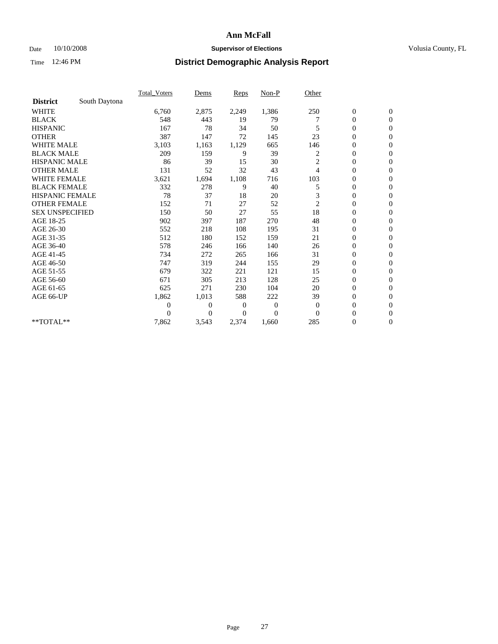### Date  $10/10/2008$  **Supervisor of Elections** Volusia County, FL

|                        |               | Total Voters   | Dems           | Reps         | Non-P        | Other          |                  |                  |
|------------------------|---------------|----------------|----------------|--------------|--------------|----------------|------------------|------------------|
| <b>District</b>        | South Daytona |                |                |              |              |                |                  |                  |
| <b>WHITE</b>           |               | 6,760          | 2,875          | 2,249        | 1,386        | 250            | $\boldsymbol{0}$ | $\boldsymbol{0}$ |
| <b>BLACK</b>           |               | 548            | 443            | 19           | 79           |                | $\boldsymbol{0}$ | $\mathbf{0}$     |
| <b>HISPANIC</b>        |               | 167            | 78             | 34           | 50           |                | $\boldsymbol{0}$ | $\mathbf{0}$     |
| <b>OTHER</b>           |               | 387            | 147            | 72           | 145          | 23             | $\boldsymbol{0}$ | $\mathbf{0}$     |
| <b>WHITE MALE</b>      |               | 3,103          | 1,163          | 1,129        | 665          | 146            | $\overline{0}$   | $\Omega$         |
| <b>BLACK MALE</b>      |               | 209            | 159            | 9            | 39           | 2              | $\overline{0}$   | $\mathbf{0}$     |
| <b>HISPANIC MALE</b>   |               | 86             | 39             | 15           | 30           | 2              | $\boldsymbol{0}$ | $\mathbf{0}$     |
| <b>OTHER MALE</b>      |               | 131            | 52             | 32           | 43           | 4              | $\overline{0}$   | $\mathbf{0}$     |
| <b>WHITE FEMALE</b>    |               | 3,621          | 1,694          | 1,108        | 716          | 103            | $\overline{0}$   | $\mathbf{0}$     |
| <b>BLACK FEMALE</b>    |               | 332            | 278            | 9            | 40           | 5              | $\boldsymbol{0}$ | $\boldsymbol{0}$ |
| <b>HISPANIC FEMALE</b> |               | 78             | 37             | 18           | 20           | 3              | $\overline{0}$   | $\Omega$         |
| <b>OTHER FEMALE</b>    |               | 152            | 71             | 27           | 52           | $\overline{c}$ | $\boldsymbol{0}$ | $\mathbf{0}$     |
| <b>SEX UNSPECIFIED</b> |               | 150            | 50             | 27           | 55           | 18             | $\boldsymbol{0}$ | $\mathbf{0}$     |
| AGE 18-25              |               | 902            | 397            | 187          | 270          | 48             | $\mathbf{0}$     | $\mathbf{0}$     |
| AGE 26-30              |               | 552            | 218            | 108          | 195          | 31             | $\boldsymbol{0}$ | $\mathbf{0}$     |
| AGE 31-35              |               | 512            | 180            | 152          | 159          | 21             | $\overline{0}$   | $\mathbf{0}$     |
| AGE 36-40              |               | 578            | 246            | 166          | 140          | 26             | $\overline{0}$   | $\overline{0}$   |
| AGE 41-45              |               | 734            | 272            | 265          | 166          | 31             | $\boldsymbol{0}$ | $\mathbf{0}$     |
| AGE 46-50              |               | 747            | 319            | 244          | 155          | 29             | $\overline{0}$   | $\mathbf{0}$     |
| AGE 51-55              |               | 679            | 322            | 221          | 121          | 15             | $\boldsymbol{0}$ | $\boldsymbol{0}$ |
| AGE 56-60              |               | 671            | 305            | 213          | 128          | 25             | 0                | $\mathbf{0}$     |
| AGE 61-65              |               | 625            | 271            | 230          | 104          | 20             | $\mathbf{0}$     | $\mathbf{0}$     |
| AGE 66-UP              |               | 1,862          | 1,013          | 588          | 222          | 39             | $\boldsymbol{0}$ | $\mathbf{0}$     |
|                        |               | $\overline{0}$ | $\overline{0}$ | $\mathbf{0}$ | $\mathbf{0}$ | $\theta$       | $\overline{0}$   | $\mathbf{0}$     |
|                        |               | $\Omega$       | $\theta$       | 0            | $\theta$     | $\Omega$       | $\overline{0}$   | $\mathbf{0}$     |
| **TOTAL**              |               | 7,862          | 3,543          | 2,374        | 1,660        | 285            | 0                | $\mathbf{0}$     |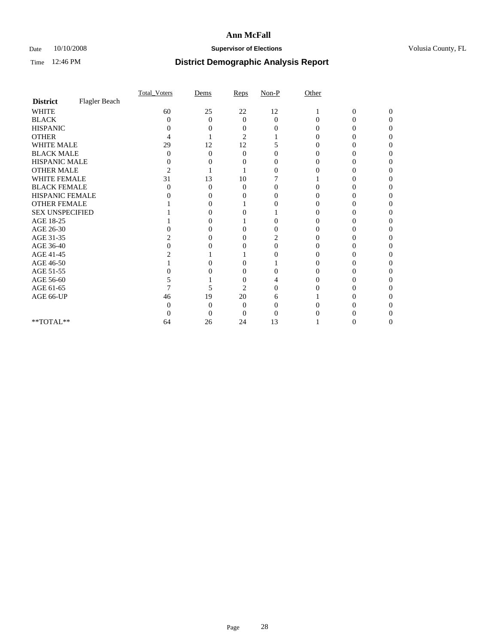### Date  $10/10/2008$  **Supervisor of Elections** Volusia County, FL

|                        |               | Total Voters   | Dems              | Reps           | $Non-P$  | Other    |                |              |  |
|------------------------|---------------|----------------|-------------------|----------------|----------|----------|----------------|--------------|--|
| <b>District</b>        | Flagler Beach |                |                   |                |          |          |                |              |  |
| <b>WHITE</b>           |               | 60             | 25                | 22             | 12       |          | $\overline{0}$ | $\mathbf{0}$ |  |
| <b>BLACK</b>           |               | 0              | $\theta$          | $\Omega$       | $\Omega$ | $\Omega$ | 0              | 0            |  |
| <b>HISPANIC</b>        |               |                |                   | $\theta$       |          |          |                |              |  |
| <b>OTHER</b>           |               |                |                   | 2              |          |          |                |              |  |
| WHITE MALE             |               | 29             | 12                | 12             |          |          |                |              |  |
| <b>BLACK MALE</b>      |               | 0              | 0                 | $\Omega$       |          |          |                |              |  |
| HISPANIC MALE          |               | 0              |                   |                |          |          |                |              |  |
| <b>OTHER MALE</b>      |               | $\overline{c}$ |                   |                | 0        |          |                |              |  |
| WHITE FEMALE           |               | 31             | 13                | 10             |          |          |                |              |  |
| <b>BLACK FEMALE</b>    |               | 0              | 0                 | $\theta$       | 0        |          |                |              |  |
| HISPANIC FEMALE        |               |                |                   |                | 0        |          |                |              |  |
| <b>OTHER FEMALE</b>    |               |                |                   |                |          |          |                |              |  |
| <b>SEX UNSPECIFIED</b> |               |                |                   |                |          |          |                |              |  |
| AGE 18-25              |               |                | $\mathbf{\Omega}$ |                | 0        |          |                |              |  |
| AGE 26-30              |               |                | $\mathbf{\Omega}$ | 0              |          |          |                |              |  |
| AGE 31-35              |               |                |                   |                | 2        |          |                |              |  |
| AGE 36-40              |               |                |                   |                | 0        |          |                |              |  |
| AGE 41-45              |               |                |                   |                |          |          |                |              |  |
| AGE 46-50              |               |                |                   |                |          |          |                |              |  |
| AGE 51-55              |               |                |                   | 0              |          |          |                |              |  |
| AGE 56-60              |               |                |                   |                |          |          |                |              |  |
| AGE 61-65              |               |                | 5                 | $\overline{2}$ |          |          |                |              |  |
| AGE 66-UP              |               | 46             | 19                | 20             | h        |          |                |              |  |
|                        |               |                | 0                 | $\Omega$       |          |          |                |              |  |
|                        |               |                | 0                 | 0              |          |          |                |              |  |
| **TOTAL**              |               | 64             | 26                | 24             | 13       |          |                |              |  |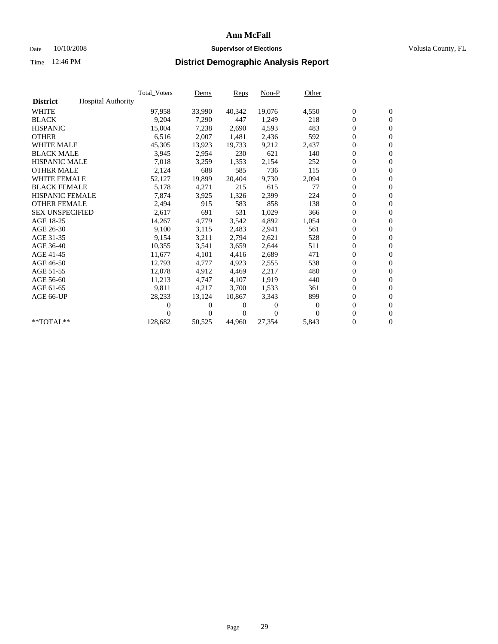### Date 10/10/2008 **Supervisor of Elections Supervisor of Elections** Volusia County, FL

|                        |                           | Total_Voters | Dems     | Reps   | Non-P    | Other    |                  |                  |  |
|------------------------|---------------------------|--------------|----------|--------|----------|----------|------------------|------------------|--|
| <b>District</b>        | <b>Hospital Authority</b> |              |          |        |          |          |                  |                  |  |
| <b>WHITE</b>           |                           | 97,958       | 33,990   | 40,342 | 19,076   | 4,550    | $\boldsymbol{0}$ | $\boldsymbol{0}$ |  |
| <b>BLACK</b>           |                           | 9,204        | 7,290    | 447    | 1,249    | 218      | $\boldsymbol{0}$ | $\mathbf{0}$     |  |
| <b>HISPANIC</b>        |                           | 15,004       | 7,238    | 2.690  | 4,593    | 483      | $\overline{0}$   | $\mathbf{0}$     |  |
| <b>OTHER</b>           |                           | 6,516        | 2,007    | 1,481  | 2,436    | 592      | 0                | $\mathbf{0}$     |  |
| <b>WHITE MALE</b>      |                           | 45,305       | 13,923   | 19,733 | 9,212    | 2,437    | 0                | $\mathbf{0}$     |  |
| <b>BLACK MALE</b>      |                           | 3,945        | 2,954    | 230    | 621      | 140      | $\boldsymbol{0}$ | $\mathbf{0}$     |  |
| <b>HISPANIC MALE</b>   |                           | 7,018        | 3,259    | 1,353  | 2,154    | 252      | 0                | $\mathbf{0}$     |  |
| <b>OTHER MALE</b>      |                           | 2,124        | 688      | 585    | 736      | 115      | 0                | $\mathbf{0}$     |  |
| <b>WHITE FEMALE</b>    |                           | 52,127       | 19,899   | 20,404 | 9,730    | 2,094    | $\overline{0}$   | $\mathbf{0}$     |  |
| <b>BLACK FEMALE</b>    |                           | 5,178        | 4,271    | 215    | 615      | 77       | $\boldsymbol{0}$ | $\mathbf{0}$     |  |
| <b>HISPANIC FEMALE</b> |                           | 7,874        | 3,925    | 1,326  | 2,399    | 224      | 0                | $\mathbf{0}$     |  |
| <b>OTHER FEMALE</b>    |                           | 2,494        | 915      | 583    | 858      | 138      | 0                | $\mathbf{0}$     |  |
| <b>SEX UNSPECIFIED</b> |                           | 2,617        | 691      | 531    | 1,029    | 366      | $\boldsymbol{0}$ | $\mathbf{0}$     |  |
| AGE 18-25              |                           | 14,267       | 4,779    | 3,542  | 4,892    | 1,054    | 0                | $\mathbf{0}$     |  |
| AGE 26-30              |                           | 9,100        | 3,115    | 2,483  | 2,941    | 561      | 0                | $\mathbf{0}$     |  |
| AGE 31-35              |                           | 9,154        | 3,211    | 2,794  | 2,621    | 528      | $\boldsymbol{0}$ | $\mathbf{0}$     |  |
| AGE 36-40              |                           | 10,355       | 3,541    | 3,659  | 2,644    | 511      | 0                | $\mathbf{0}$     |  |
| AGE 41-45              |                           | 11,677       | 4,101    | 4,416  | 2,689    | 471      | 0                | $\mathbf{0}$     |  |
| AGE 46-50              |                           | 12,793       | 4,777    | 4,923  | 2,555    | 538      | $\boldsymbol{0}$ | $\mathbf{0}$     |  |
| AGE 51-55              |                           | 12,078       | 4,912    | 4,469  | 2,217    | 480      | 0                | $\mathbf{0}$     |  |
| AGE 56-60              |                           | 11,213       | 4,747    | 4,107  | 1,919    | 440      | 0                | $\mathbf{0}$     |  |
| AGE 61-65              |                           | 9,811        | 4,217    | 3,700  | 1,533    | 361      | 0                | $\mathbf{0}$     |  |
| AGE 66-UP              |                           | 28,233       | 13,124   | 10,867 | 3,343    | 899      | 0                | $\mathbf{0}$     |  |
|                        |                           | 0            | 0        | 0      | $\theta$ | $\bf{0}$ | 0                | $\mathbf{0}$     |  |
|                        |                           | 0            | $\Omega$ | 0      | $\Omega$ | $\Omega$ | $\overline{0}$   | $\mathbf{0}$     |  |
| **TOTAL**              |                           | 128,682      | 50,525   | 44,960 | 27,354   | 5,843    | 0                | $\overline{0}$   |  |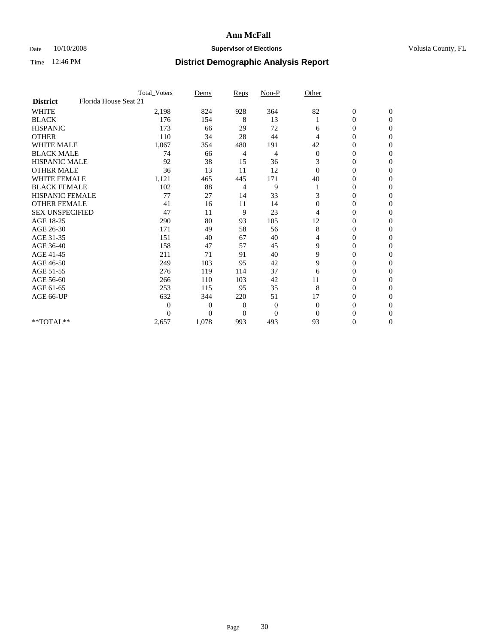### Date  $10/10/2008$  **Supervisor of Elections** Volusia County, FL

|                        |                       | Total Voters | Dems           | <b>Reps</b>    | $Non-P$        | Other            |                  |              |  |
|------------------------|-----------------------|--------------|----------------|----------------|----------------|------------------|------------------|--------------|--|
| <b>District</b>        | Florida House Seat 21 |              |                |                |                |                  |                  |              |  |
| <b>WHITE</b>           |                       | 2,198        | 824            | 928            | 364            | 82               | $\boldsymbol{0}$ | $\mathbf{0}$ |  |
| <b>BLACK</b>           |                       | 176          | 154            | 8              | 13             |                  | $\boldsymbol{0}$ | $\mathbf{0}$ |  |
| <b>HISPANIC</b>        |                       | 173          | 66             | 29             | 72             | 6                | $\mathbf{0}$     | $\Omega$     |  |
| <b>OTHER</b>           |                       | 110          | 34             | 28             | 44             | 4                | 0                | $\Omega$     |  |
| <b>WHITE MALE</b>      |                       | 1,067        | 354            | 480            | 191            | 42               | 0                | $\Omega$     |  |
| <b>BLACK MALE</b>      |                       | 74           | 66             | 4              | 4              | $\boldsymbol{0}$ | $\mathbf{0}$     | $\Omega$     |  |
| <b>HISPANIC MALE</b>   |                       | 92           | 38             | 15             | 36             | 3                | $\boldsymbol{0}$ | $\Omega$     |  |
| <b>OTHER MALE</b>      |                       | 36           | 13             | 11             | 12             | $\Omega$         | 0                | $\Omega$     |  |
| <b>WHITE FEMALE</b>    |                       | 1,121        | 465            | 445            | 171            | 40               | 0                | $\Omega$     |  |
| <b>BLACK FEMALE</b>    |                       | 102          | 88             | 4              | 9              |                  | $\overline{0}$   | $\mathbf{0}$ |  |
| <b>HISPANIC FEMALE</b> |                       | 77           | 27             | 14             | 33             | 3                | 0                | $\Omega$     |  |
| <b>OTHER FEMALE</b>    |                       | 41           | 16             | 11             | 14             | $\Omega$         | 0                | 0            |  |
| <b>SEX UNSPECIFIED</b> |                       | 47           | 11             | 9              | 23             | 4                | 0                | $\Omega$     |  |
| AGE 18-25              |                       | 290          | 80             | 93             | 105            | 12               | 0                | $\mathbf{0}$ |  |
| AGE 26-30              |                       | 171          | 49             | 58             | 56             | 8                | 0                | $\Omega$     |  |
| AGE 31-35              |                       | 151          | 40             | 67             | 40             | 4                | 0                | $\Omega$     |  |
| AGE 36-40              |                       | 158          | 47             | 57             | 45             | 9                | 0                | $\mathbf{0}$ |  |
| AGE 41-45              |                       | 211          | 71             | 91             | 40             | 9                | 0                | $\Omega$     |  |
| AGE 46-50              |                       | 249          | 103            | 95             | 42             | 9                | $\overline{0}$   | $\Omega$     |  |
| AGE 51-55              |                       | 276          | 119            | 114            | 37             | 6                | 0                | 0            |  |
| AGE 56-60              |                       | 266          | 110            | 103            | 42             | 11               | 0                | $\Omega$     |  |
| AGE 61-65              |                       | 253          | 115            | 95             | 35             | 8                | $\overline{0}$   | $\Omega$     |  |
| AGE 66-UP              |                       | 632          | 344            | 220            | 51             | 17               | 0                | 0            |  |
|                        |                       | $\theta$     | $\overline{0}$ | $\mathbf{0}$   | $\mathbf{0}$   | $\Omega$         | 0                | $\Omega$     |  |
|                        |                       | $\Omega$     | $\overline{0}$ | $\overline{0}$ | $\overline{0}$ | $\Omega$         | $\theta$         | $\Omega$     |  |
| **TOTAL**              |                       | 2,657        | 1,078          | 993            | 493            | 93               | 0                | $\mathbf{0}$ |  |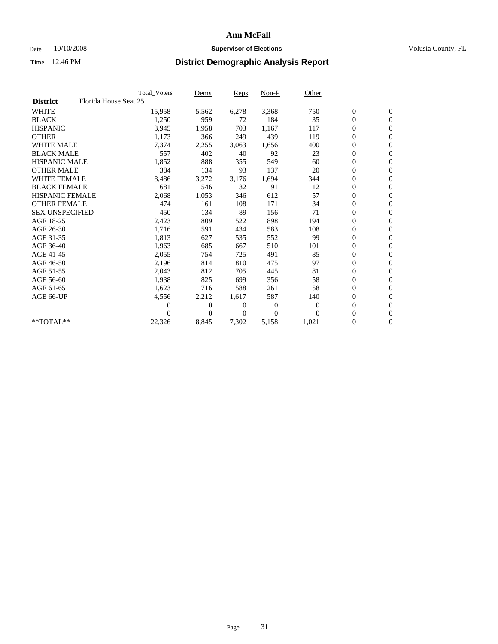### Date 10/10/2008 **Supervisor of Elections Supervisor of Elections** Volusia County, FL

|                        |                       | Total Voters   | Dems           | <b>Reps</b>  | $Non-P$      | Other        |                  |                  |  |
|------------------------|-----------------------|----------------|----------------|--------------|--------------|--------------|------------------|------------------|--|
| <b>District</b>        | Florida House Seat 25 |                |                |              |              |              |                  |                  |  |
| <b>WHITE</b>           |                       | 15,958         | 5,562          | 6,278        | 3,368        | 750          | $\boldsymbol{0}$ | $\boldsymbol{0}$ |  |
| <b>BLACK</b>           |                       | 1,250          | 959            | 72           | 184          | 35           | $\boldsymbol{0}$ | $\mathbf{0}$     |  |
| <b>HISPANIC</b>        |                       | 3,945          | 1,958          | 703          | 1,167        | 117          | $\boldsymbol{0}$ | $\mathbf{0}$     |  |
| <b>OTHER</b>           |                       | 1,173          | 366            | 249          | 439          | 119          | 0                | $\mathbf{0}$     |  |
| <b>WHITE MALE</b>      |                       | 7,374          | 2,255          | 3,063        | 1,656        | 400          | $\boldsymbol{0}$ | $\mathbf{0}$     |  |
| <b>BLACK MALE</b>      |                       | 557            | 402            | 40           | 92           | 23           | $\overline{0}$   | $\mathbf{0}$     |  |
| <b>HISPANIC MALE</b>   |                       | 1,852          | 888            | 355          | 549          | 60           | $\boldsymbol{0}$ | $\mathbf{0}$     |  |
| <b>OTHER MALE</b>      |                       | 384            | 134            | 93           | 137          | 20           | $\overline{0}$   | $\mathbf{0}$     |  |
| <b>WHITE FEMALE</b>    |                       | 8,486          | 3,272          | 3,176        | 1,694        | 344          | $\boldsymbol{0}$ | $\mathbf{0}$     |  |
| <b>BLACK FEMALE</b>    |                       | 681            | 546            | 32           | 91           | 12           | $\boldsymbol{0}$ | $\mathbf{0}$     |  |
| <b>HISPANIC FEMALE</b> |                       | 2,068          | 1,053          | 346          | 612          | 57           | $\boldsymbol{0}$ | $\mathbf{0}$     |  |
| <b>OTHER FEMALE</b>    |                       | 474            | 161            | 108          | 171          | 34           | $\mathbf{0}$     | $\mathbf{0}$     |  |
| <b>SEX UNSPECIFIED</b> |                       | 450            | 134            | 89           | 156          | 71           | $\boldsymbol{0}$ | $\mathbf{0}$     |  |
| AGE 18-25              |                       | 2,423          | 809            | 522          | 898          | 194          | $\boldsymbol{0}$ | $\mathbf{0}$     |  |
| AGE 26-30              |                       | 1,716          | 591            | 434          | 583          | 108          | $\overline{0}$   | $\mathbf{0}$     |  |
| AGE 31-35              |                       | 1,813          | 627            | 535          | 552          | 99           | $\boldsymbol{0}$ | $\mathbf{0}$     |  |
| AGE 36-40              |                       | 1,963          | 685            | 667          | 510          | 101          | $\boldsymbol{0}$ | $\mathbf{0}$     |  |
| AGE 41-45              |                       | 2,055          | 754            | 725          | 491          | 85           | $\boldsymbol{0}$ | $\mathbf{0}$     |  |
| AGE 46-50              |                       | 2,196          | 814            | 810          | 475          | 97           | $\boldsymbol{0}$ | $\mathbf{0}$     |  |
| AGE 51-55              |                       | 2,043          | 812            | 705          | 445          | 81           | $\boldsymbol{0}$ | $\mathbf{0}$     |  |
| AGE 56-60              |                       | 1,938          | 825            | 699          | 356          | 58           | $\overline{0}$   | $\mathbf{0}$     |  |
| AGE 61-65              |                       | 1,623          | 716            | 588          | 261          | 58           | $\overline{0}$   | $\mathbf{0}$     |  |
| AGE 66-UP              |                       | 4,556          | 2,212          | 1,617        | 587          | 140          | $\boldsymbol{0}$ | $\mathbf{0}$     |  |
|                        |                       | $\overline{0}$ | $\overline{0}$ | 0            | $\mathbf{0}$ | $\mathbf{0}$ | $\mathbf{0}$     | $\mathbf{0}$     |  |
|                        |                       | 0              | $\overline{0}$ | $\mathbf{0}$ | $\Omega$     | $\Omega$     | 0                | $\mathbf{0}$     |  |
| **TOTAL**              |                       | 22,326         | 8,845          | 7,302        | 5,158        | 1,021        | 0                | $\boldsymbol{0}$ |  |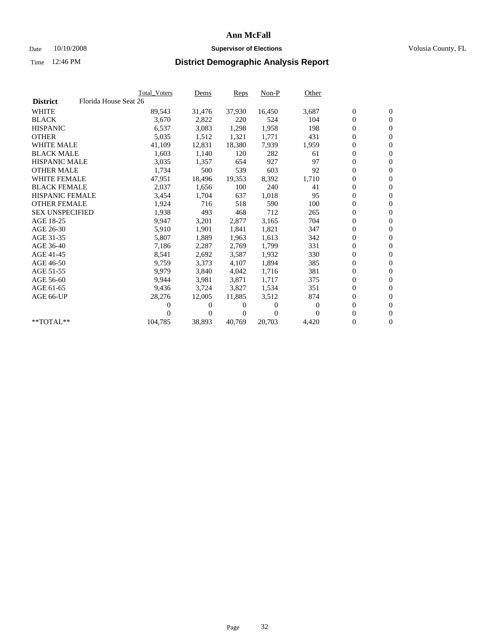### Date  $10/10/2008$  **Supervisor of Elections** Volusia County, FL

|                        |                       | <b>Total Voters</b> | Dems   | <b>Reps</b> | $Non-P$  | Other    |                  |                  |  |
|------------------------|-----------------------|---------------------|--------|-------------|----------|----------|------------------|------------------|--|
| <b>District</b>        | Florida House Seat 26 |                     |        |             |          |          |                  |                  |  |
| <b>WHITE</b>           |                       | 89,543              | 31,476 | 37,930      | 16,450   | 3,687    | $\boldsymbol{0}$ | $\boldsymbol{0}$ |  |
| <b>BLACK</b>           |                       | 3,670               | 2,822  | 220         | 524      | 104      | 0                | $\mathbf{0}$     |  |
| <b>HISPANIC</b>        |                       | 6,537               | 3,083  | 1,298       | 1,958    | 198      | 0                | $\mathbf{0}$     |  |
| <b>OTHER</b>           |                       | 5,035               | 1,512  | 1,321       | 1,771    | 431      | 0                | $\mathbf{0}$     |  |
| <b>WHITE MALE</b>      |                       | 41,109              | 12,831 | 18,380      | 7,939    | 1,959    | 0                | $\mathbf{0}$     |  |
| <b>BLACK MALE</b>      |                       | 1,603               | 1,140  | 120         | 282      | 61       | $\overline{0}$   | $\mathbf{0}$     |  |
| <b>HISPANIC MALE</b>   |                       | 3,035               | 1,357  | 654         | 927      | 97       | 0                | $\mathbf{0}$     |  |
| <b>OTHER MALE</b>      |                       | 1,734               | 500    | 539         | 603      | 92       | 0                | $\mathbf{0}$     |  |
| <b>WHITE FEMALE</b>    |                       | 47,951              | 18,496 | 19,353      | 8,392    | 1,710    | $\boldsymbol{0}$ | $\mathbf{0}$     |  |
| <b>BLACK FEMALE</b>    |                       | 2,037               | 1,656  | 100         | 240      | 41       | 0                | $\mathbf{0}$     |  |
| <b>HISPANIC FEMALE</b> |                       | 3,454               | 1,704  | 637         | 1,018    | 95       | $\boldsymbol{0}$ | $\mathbf{0}$     |  |
| <b>OTHER FEMALE</b>    |                       | 1,924               | 716    | 518         | 590      | 100      | 0                | $\mathbf{0}$     |  |
| <b>SEX UNSPECIFIED</b> |                       | 1,938               | 493    | 468         | 712      | 265      | 0                | $\mathbf{0}$     |  |
| AGE 18-25              |                       | 9,947               | 3,201  | 2,877       | 3,165    | 704      | 0                | $\mathbf{0}$     |  |
| AGE 26-30              |                       | 5,910               | 1,901  | 1,841       | 1,821    | 347      | 0                | $\mathbf{0}$     |  |
| AGE 31-35              |                       | 5,807               | 1,889  | 1,963       | 1,613    | 342      | 0                | $\mathbf{0}$     |  |
| AGE 36-40              |                       | 7,186               | 2,287  | 2,769       | 1,799    | 331      | 0                | $\mathbf{0}$     |  |
| AGE 41-45              |                       | 8,541               | 2,692  | 3,587       | 1,932    | 330      | 0                | $\mathbf{0}$     |  |
| AGE 46-50              |                       | 9,759               | 3,373  | 4,107       | 1,894    | 385      | 0                | $\mathbf{0}$     |  |
| AGE 51-55              |                       | 9,979               | 3,840  | 4,042       | 1,716    | 381      | 0                | $\mathbf{0}$     |  |
| AGE 56-60              |                       | 9.944               | 3,981  | 3.871       | 1,717    | 375      | 0                | $\mathbf{0}$     |  |
| AGE 61-65              |                       | 9,436               | 3,724  | 3,827       | 1,534    | 351      | 0                | $\mathbf{0}$     |  |
| AGE 66-UP              |                       | 28,276              | 12,005 | 11,885      | 3,512    | 874      | 0                | $\mathbf{0}$     |  |
|                        |                       | 0                   | 0      | 0           | $\theta$ | $\theta$ | 0                | $\mathbf{0}$     |  |
|                        |                       | 0                   | 0      | 0           | $\Omega$ | $\Omega$ | 0                | $\mathbf{0}$     |  |
| **TOTAL**              |                       | 104,785             | 38,893 | 40,769      | 20,703   | 4,420    | 0                | $\boldsymbol{0}$ |  |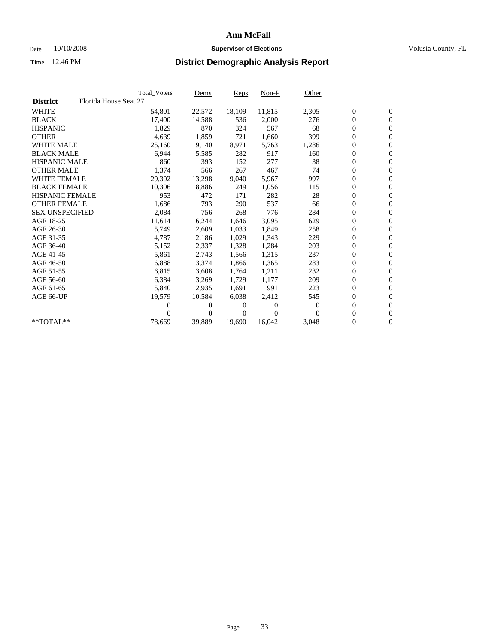### Date 10/10/2008 **Supervisor of Elections Supervisor of Elections** Volusia County, FL

|                        | Total Voters          | <u>Dems</u>    | <b>Reps</b> | $Non-P$      | Other    |                  |                  |  |
|------------------------|-----------------------|----------------|-------------|--------------|----------|------------------|------------------|--|
| <b>District</b>        | Florida House Seat 27 |                |             |              |          |                  |                  |  |
| <b>WHITE</b>           | 54,801                | 22,572         | 18,109      | 11,815       | 2,305    | $\boldsymbol{0}$ | $\boldsymbol{0}$ |  |
| <b>BLACK</b>           | 17,400                | 14,588         | 536         | 2,000        | 276      | $\boldsymbol{0}$ | $\mathbf{0}$     |  |
| <b>HISPANIC</b>        | 1,829                 | 870            | 324         | 567          | 68       | $\boldsymbol{0}$ | $\mathbf{0}$     |  |
| <b>OTHER</b>           | 4,639                 | 1,859          | 721         | 1,660        | 399      | 0                | $\mathbf{0}$     |  |
| <b>WHITE MALE</b>      | 25,160                | 9,140          | 8,971       | 5,763        | 1,286    | $\boldsymbol{0}$ | $\mathbf{0}$     |  |
| <b>BLACK MALE</b>      | 6,944                 | 5,585          | 282         | 917          | 160      | $\overline{0}$   | $\mathbf{0}$     |  |
| <b>HISPANIC MALE</b>   | 860                   | 393            | 152         | 277          | 38       | 0                | $\Omega$         |  |
| <b>OTHER MALE</b>      | 1,374                 | 566            | 267         | 467          | 74       | 0                | $\mathbf{0}$     |  |
| <b>WHITE FEMALE</b>    | 29,302                | 13,298         | 9,040       | 5,967        | 997      | $\boldsymbol{0}$ | $\mathbf{0}$     |  |
| <b>BLACK FEMALE</b>    | 10,306                | 8,886          | 249         | 1,056        | 115      | 0                | $\mathbf{0}$     |  |
| <b>HISPANIC FEMALE</b> | 953                   | 472            | 171         | 282          | 28       | 0                | $\mathbf{0}$     |  |
| <b>OTHER FEMALE</b>    | 1,686                 | 793            | 290         | 537          | 66       | $\overline{0}$   | $\mathbf{0}$     |  |
| <b>SEX UNSPECIFIED</b> | 2,084                 | 756            | 268         | 776          | 284      | 0                | $\mathbf{0}$     |  |
| AGE 18-25              | 11,614                | 6,244          | 1,646       | 3,095        | 629      | $\boldsymbol{0}$ | $\mathbf{0}$     |  |
| AGE 26-30              | 5,749                 | 2,609          | 1,033       | 1,849        | 258      | 0                | $\mathbf{0}$     |  |
| AGE 31-35              | 4,787                 | 2,186          | 1,029       | 1,343        | 229      | $\boldsymbol{0}$ | $\mathbf{0}$     |  |
| AGE 36-40              | 5,152                 | 2,337          | 1,328       | 1,284        | 203      | $\boldsymbol{0}$ | $\mathbf{0}$     |  |
| AGE 41-45              | 5,861                 | 2,743          | 1,566       | 1,315        | 237      | 0                | $\mathbf{0}$     |  |
| AGE 46-50              | 6,888                 | 3,374          | 1,866       | 1,365        | 283      | 0                | $\Omega$         |  |
| AGE 51-55              | 6,815                 | 3,608          | 1,764       | 1,211        | 232      | $\overline{0}$   | $\mathbf{0}$     |  |
| AGE 56-60              | 6,384                 | 3,269          | 1.729       | 1.177        | 209      | 0                | $\mathbf{0}$     |  |
| AGE 61-65              | 5,840                 | 2,935          | 1,691       | 991          | 223      | 0                | $\mathbf{0}$     |  |
| AGE 66-UP              | 19,579                | 10,584         | 6,038       | 2,412        | 545      | $\boldsymbol{0}$ | $\mathbf{0}$     |  |
|                        | 0                     | 0              | 0           | $\mathbf{0}$ | $\bf{0}$ | $\mathbf{0}$     | $\mathbf{0}$     |  |
|                        | 0                     | $\overline{0}$ | 0           | $\Omega$     | 0        | 0                | $\mathbf{0}$     |  |
| **TOTAL**              | 78,669                | 39,889         | 19,690      | 16,042       | 3,048    | 0                | $\boldsymbol{0}$ |  |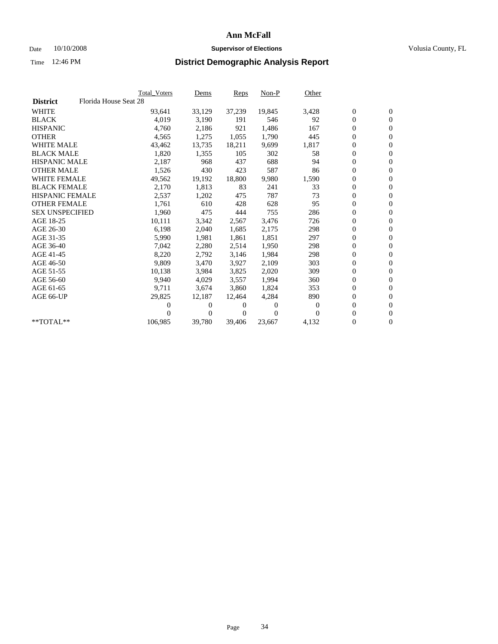### Date 10/10/2008 **Supervisor of Elections Supervisor of Elections** Volusia County, FL

|                        | Total Voters          | <u>Dems</u>    | <b>Reps</b> | $Non-P$        | Other    |                  |                  |  |
|------------------------|-----------------------|----------------|-------------|----------------|----------|------------------|------------------|--|
| <b>District</b>        | Florida House Seat 28 |                |             |                |          |                  |                  |  |
| <b>WHITE</b>           | 93,641                | 33,129         | 37,239      | 19,845         | 3,428    | $\boldsymbol{0}$ | $\boldsymbol{0}$ |  |
| <b>BLACK</b>           | 4,019                 | 3,190          | 191         | 546            | 92       | $\boldsymbol{0}$ | $\mathbf{0}$     |  |
| <b>HISPANIC</b>        | 4,760                 | 2,186          | 921         | 1,486          | 167      | $\boldsymbol{0}$ | $\mathbf{0}$     |  |
| <b>OTHER</b>           | 4,565                 | 1,275          | 1,055       | 1,790          | 445      | 0                | $\mathbf{0}$     |  |
| <b>WHITE MALE</b>      | 43,462                | 13,735         | 18,211      | 9,699          | 1,817    | $\boldsymbol{0}$ | $\mathbf{0}$     |  |
| <b>BLACK MALE</b>      | 1,820                 | 1,355          | 105         | 302            | 58       | $\overline{0}$   | $\mathbf{0}$     |  |
| <b>HISPANIC MALE</b>   | 2,187                 | 968            | 437         | 688            | 94       | 0                | $\mathbf{0}$     |  |
| <b>OTHER MALE</b>      | 1,526                 | 430            | 423         | 587            | 86       | $\overline{0}$   | $\mathbf{0}$     |  |
| <b>WHITE FEMALE</b>    | 49,562                | 19,192         | 18,800      | 9,980          | 1,590    | $\boldsymbol{0}$ | $\mathbf{0}$     |  |
| <b>BLACK FEMALE</b>    | 2,170                 | 1,813          | 83          | 241            | 33       | $\boldsymbol{0}$ | $\mathbf{0}$     |  |
| <b>HISPANIC FEMALE</b> | 2,537                 | 1,202          | 475         | 787            | 73       | $\boldsymbol{0}$ | $\mathbf{0}$     |  |
| <b>OTHER FEMALE</b>    | 1,761                 | 610            | 428         | 628            | 95       | $\mathbf{0}$     | $\mathbf{0}$     |  |
| <b>SEX UNSPECIFIED</b> | 1,960                 | 475            | 444         | 755            | 286      | $\boldsymbol{0}$ | $\mathbf{0}$     |  |
| AGE 18-25              | 10,111                | 3,342          | 2,567       | 3,476          | 726      | $\boldsymbol{0}$ | $\mathbf{0}$     |  |
| AGE 26-30              | 6,198                 | 2,040          | 1,685       | 2,175          | 298      | 0                | $\mathbf{0}$     |  |
| AGE 31-35              | 5,990                 | 1,981          | 1,861       | 1,851          | 297      | $\boldsymbol{0}$ | $\mathbf{0}$     |  |
| AGE 36-40              | 7,042                 | 2,280          | 2,514       | 1,950          | 298      | $\boldsymbol{0}$ | $\mathbf{0}$     |  |
| AGE 41-45              | 8,220                 | 2,792          | 3,146       | 1,984          | 298      | 0                | $\mathbf{0}$     |  |
| AGE 46-50              | 9,809                 | 3,470          | 3,927       | 2,109          | 303      | 0                | $\Omega$         |  |
| AGE 51-55              | 10,138                | 3,984          | 3,825       | 2,020          | 309      | $\boldsymbol{0}$ | $\mathbf{0}$     |  |
| AGE 56-60              | 9.940                 | 4,029          | 3,557       | 1.994          | 360      | $\overline{0}$   | $\mathbf{0}$     |  |
| AGE 61-65              | 9,711                 | 3,674          | 3.860       | 1,824          | 353      | 0                | $\overline{0}$   |  |
| AGE 66-UP              | 29,825                | 12,187         | 12,464      | 4,284          | 890      | $\boldsymbol{0}$ | $\mathbf{0}$     |  |
|                        | 0                     | $\overline{0}$ | $^{(1)}$    | $\overline{0}$ | $\bf{0}$ | $\mathbf{0}$     | $\mathbf{0}$     |  |
|                        | 0                     | $\overline{0}$ | 0           | $\Omega$       | 0        | 0                | $\mathbf{0}$     |  |
| **TOTAL**              | 106,985               | 39,780         | 39,406      | 23,667         | 4,132    | 0                | $\boldsymbol{0}$ |  |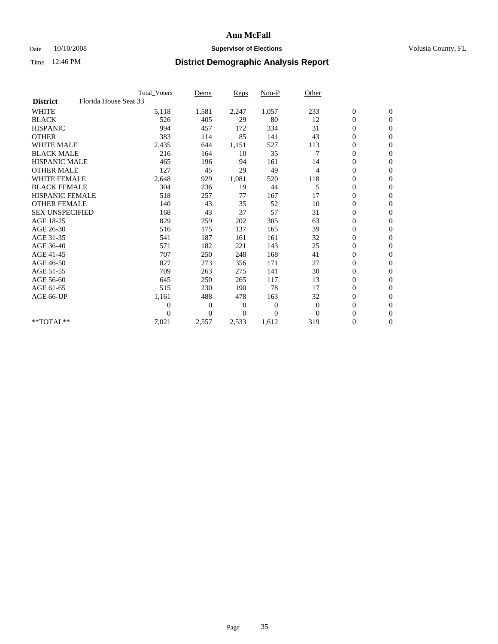### Date 10/10/2008 **Supervisor of Elections Supervisor of Elections** Volusia County, FL

|                        |                       | <b>Total Voters</b> | Dems         | <b>Reps</b>    | Non-P          | Other          |                  |                  |  |
|------------------------|-----------------------|---------------------|--------------|----------------|----------------|----------------|------------------|------------------|--|
| <b>District</b>        | Florida House Seat 33 |                     |              |                |                |                |                  |                  |  |
| <b>WHITE</b>           |                       | 5,118               | 1,581        | 2,247          | 1,057          | 233            | $\boldsymbol{0}$ | $\boldsymbol{0}$ |  |
| <b>BLACK</b>           |                       | 526                 | 405          | 29             | 80             | 12             | 0                | $\mathbf{0}$     |  |
| <b>HISPANIC</b>        |                       | 994                 | 457          | 172            | 334            | 31             | $\overline{0}$   | $\mathbf{0}$     |  |
| <b>OTHER</b>           |                       | 383                 | 114          | 85             | 141            | 43             | 0                | $\mathbf{0}$     |  |
| <b>WHITE MALE</b>      |                       | 2,435               | 644          | 1,151          | 527            | 113            | 0                | $\mathbf{0}$     |  |
| <b>BLACK MALE</b>      |                       | 216                 | 164          | 10             | 35             | 7              | $\overline{0}$   | $\mathbf{0}$     |  |
| <b>HISPANIC MALE</b>   |                       | 465                 | 196          | 94             | 161            | 14             | 0                | $\mathbf{0}$     |  |
| <b>OTHER MALE</b>      |                       | 127                 | 45           | 29             | 49             | $\overline{4}$ | 0                | $\mathbf{0}$     |  |
| <b>WHITE FEMALE</b>    |                       | 2,648               | 929          | 1,081          | 520            | 118            | 0                | $\mathbf{0}$     |  |
| <b>BLACK FEMALE</b>    |                       | 304                 | 236          | 19             | 44             | 5              | 0                | $\mathbf{0}$     |  |
| HISPANIC FEMALE        |                       | 518                 | 257          | 77             | 167            | 17             | 0                | $\mathbf{0}$     |  |
| <b>OTHER FEMALE</b>    |                       | 140                 | 43           | 35             | 52             | 10             | $\overline{0}$   | $\mathbf{0}$     |  |
| <b>SEX UNSPECIFIED</b> |                       | 168                 | 43           | 37             | 57             | 31             | 0                | $\Omega$         |  |
| AGE 18-25              |                       | 829                 | 259          | 202            | 305            | 63             | 0                | $\mathbf{0}$     |  |
| AGE 26-30              |                       | 516                 | 175          | 137            | 165            | 39             | $\overline{0}$   | $\Omega$         |  |
| AGE 31-35              |                       | 541                 | 187          | 161            | 161            | 32             | 0                | $\mathbf{0}$     |  |
| AGE 36-40              |                       | 571                 | 182          | 221            | 143            | 25             | 0                | $\mathbf{0}$     |  |
| AGE 41-45              |                       | 707                 | 250          | 248            | 168            | 41             | $\boldsymbol{0}$ | $\mathbf{0}$     |  |
| AGE 46-50              |                       | 827                 | 273          | 356            | 171            | 27             | 0                | $\Omega$         |  |
| AGE 51-55              |                       | 709                 | 263          | 275            | 141            | 30             | $\boldsymbol{0}$ | $\mathbf{0}$     |  |
| AGE 56-60              |                       | 645                 | 250          | 265            | 117            | 13             | 0                | $\mathbf{0}$     |  |
| AGE 61-65              |                       | 515                 | 230          | 190            | 78             | 17             | 0                | $\mathbf{0}$     |  |
| AGE 66-UP              |                       | 1,161               | 488          | 478            | 163            | 32             | $\boldsymbol{0}$ | $\mathbf{0}$     |  |
|                        |                       | 0                   | $\mathbf{0}$ | $\overline{0}$ | $\overline{0}$ | $\theta$       | $\overline{0}$   | $\mathbf{0}$     |  |
|                        |                       | 0                   | $\mathbf{0}$ | 0              | $\Omega$       | $\theta$       | 0                | $\mathbf{0}$     |  |
| **TOTAL**              |                       | 7,021               | 2,557        | 2,533          | 1,612          | 319            | 0                | $\boldsymbol{0}$ |  |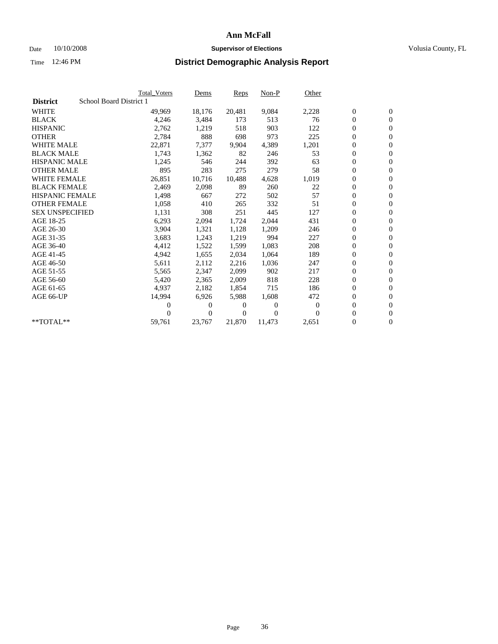### Date  $10/10/2008$  **Supervisor of Elections** Volusia County, FL

|                        |                         | <b>Total Voters</b> | Dems         | <b>Reps</b> | $Non-P$  | Other    |                  |                  |  |
|------------------------|-------------------------|---------------------|--------------|-------------|----------|----------|------------------|------------------|--|
| <b>District</b>        | School Board District 1 |                     |              |             |          |          |                  |                  |  |
| <b>WHITE</b>           |                         | 49,969              | 18,176       | 20,481      | 9,084    | 2,228    | $\boldsymbol{0}$ | $\mathbf{0}$     |  |
| <b>BLACK</b>           |                         | 4,246               | 3,484        | 173         | 513      | 76       | $\overline{0}$   | $\mathbf{0}$     |  |
| <b>HISPANIC</b>        |                         | 2,762               | 1,219        | 518         | 903      | 122      | $\overline{0}$   | $\mathbf{0}$     |  |
| <b>OTHER</b>           |                         | 2,784               | 888          | 698         | 973      | 225      | 0                | $\mathbf{0}$     |  |
| <b>WHITE MALE</b>      |                         | 22,871              | 7,377        | 9,904       | 4,389    | 1,201    | 0                | $\mathbf{0}$     |  |
| <b>BLACK MALE</b>      |                         | 1,743               | 1,362        | 82          | 246      | 53       | $\boldsymbol{0}$ | $\mathbf{0}$     |  |
| <b>HISPANIC MALE</b>   |                         | 1,245               | 546          | 244         | 392      | 63       | 0                | $\mathbf{0}$     |  |
| <b>OTHER MALE</b>      |                         | 895                 | 283          | 275         | 279      | 58       | $\boldsymbol{0}$ | $\mathbf{0}$     |  |
| <b>WHITE FEMALE</b>    |                         | 26,851              | 10,716       | 10,488      | 4,628    | 1,019    | 0                | $\mathbf{0}$     |  |
| <b>BLACK FEMALE</b>    |                         | 2,469               | 2,098        | 89          | 260      | 22       | 0                | $\Omega$         |  |
| HISPANIC FEMALE        |                         | 1,498               | 667          | 272         | 502      | 57       | $\boldsymbol{0}$ | $\mathbf{0}$     |  |
| <b>OTHER FEMALE</b>    |                         | 1,058               | 410          | 265         | 332      | 51       | 0                | $\mathbf{0}$     |  |
| <b>SEX UNSPECIFIED</b> |                         | 1,131               | 308          | 251         | 445      | 127      | 0                | $\Omega$         |  |
| AGE 18-25              |                         | 6,293               | 2,094        | 1,724       | 2,044    | 431      | $\overline{0}$   | $\mathbf{0}$     |  |
| AGE 26-30              |                         | 3,904               | 1,321        | 1,128       | 1,209    | 246      | 0                | $\mathbf{0}$     |  |
| AGE 31-35              |                         | 3,683               | 1,243        | 1,219       | 994      | 227      | 0                | $\mathbf{0}$     |  |
| AGE 36-40              |                         | 4,412               | 1,522        | 1,599       | 1,083    | 208      | $\overline{0}$   | $\mathbf{0}$     |  |
| AGE 41-45              |                         | 4,942               | 1,655        | 2,034       | 1,064    | 189      | 0                | $\mathbf{0}$     |  |
| AGE 46-50              |                         | 5,611               | 2,112        | 2,216       | 1,036    | 247      | 0                | $\Omega$         |  |
| AGE 51-55              |                         | 5,565               | 2,347        | 2,099       | 902      | 217      | $\boldsymbol{0}$ | $\mathbf{0}$     |  |
| AGE 56-60              |                         | 5,420               | 2,365        | 2.009       | 818      | 228      | 0                | $\mathbf{0}$     |  |
| AGE 61-65              |                         | 4,937               | 2,182        | 1,854       | 715      | 186      | 0                | $\Omega$         |  |
| AGE 66-UP              |                         | 14,994              | 6,926        | 5,988       | 1,608    | 472      | $\overline{0}$   | $\mathbf{0}$     |  |
|                        |                         | 0                   | 0            | 0           | $\theta$ | $\theta$ | 0                | $\mathbf{0}$     |  |
|                        |                         | 0                   | $\mathbf{0}$ | 0           | $\Omega$ | $\Omega$ | 0                | $\mathbf{0}$     |  |
| $*$ TOTAL $**$         |                         | 59,761              | 23,767       | 21,870      | 11,473   | 2,651    | 0                | $\boldsymbol{0}$ |  |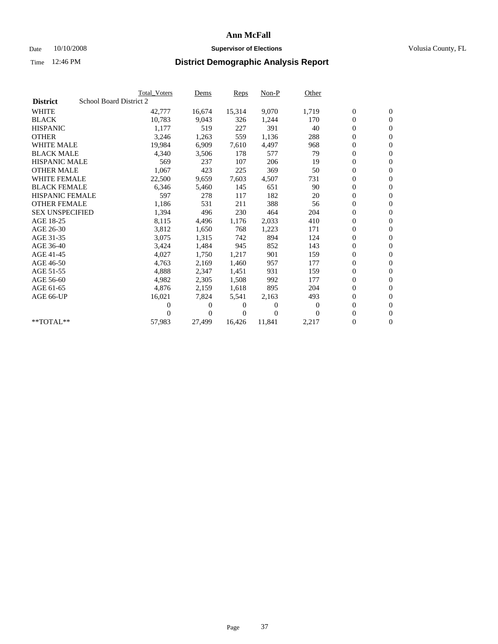### Date 10/10/2008 **Supervisor of Elections Supervisor of Elections** Volusia County, FL

|                        | <b>Total Voters</b>     | <u>Dems</u>    | <b>Reps</b> | $Non-P$      | Other        |                  |                  |  |
|------------------------|-------------------------|----------------|-------------|--------------|--------------|------------------|------------------|--|
| <b>District</b>        | School Board District 2 |                |             |              |              |                  |                  |  |
| <b>WHITE</b>           | 42,777                  | 16,674         | 15,314      | 9,070        | 1,719        | $\boldsymbol{0}$ | $\boldsymbol{0}$ |  |
| <b>BLACK</b>           | 10,783                  | 9,043          | 326         | 1,244        | 170          | $\boldsymbol{0}$ | $\mathbf{0}$     |  |
| <b>HISPANIC</b>        | 1,177                   | 519            | 227         | 391          | 40           | $\overline{0}$   | $\mathbf{0}$     |  |
| <b>OTHER</b>           | 3,246                   | 1,263          | 559         | 1,136        | 288          | 0                | $\mathbf{0}$     |  |
| <b>WHITE MALE</b>      | 19,984                  | 6,909          | 7,610       | 4,497        | 968          | $\boldsymbol{0}$ | $\mathbf{0}$     |  |
| <b>BLACK MALE</b>      | 4,340                   | 3,506          | 178         | 577          | 79           | $\overline{0}$   | $\mathbf{0}$     |  |
| <b>HISPANIC MALE</b>   | 569                     | 237            | 107         | 206          | 19           | 0                | $\Omega$         |  |
| <b>OTHER MALE</b>      | 1,067                   | 423            | 225         | 369          | 50           | $\overline{0}$   | $\mathbf{0}$     |  |
| <b>WHITE FEMALE</b>    | 22,500                  | 9,659          | 7,603       | 4,507        | 731          | $\boldsymbol{0}$ | $\mathbf{0}$     |  |
| <b>BLACK FEMALE</b>    | 6,346                   | 5,460          | 145         | 651          | 90           | $\boldsymbol{0}$ | $\mathbf{0}$     |  |
| <b>HISPANIC FEMALE</b> | 597                     | 278            | 117         | 182          | 20           | 0                | $\mathbf{0}$     |  |
| <b>OTHER FEMALE</b>    | 1,186                   | 531            | 211         | 388          | 56           | $\mathbf{0}$     | $\mathbf{0}$     |  |
| <b>SEX UNSPECIFIED</b> | 1,394                   | 496            | 230         | 464          | 204          | 0                | $\mathbf{0}$     |  |
| AGE 18-25              | 8,115                   | 4,496          | 1,176       | 2,033        | 410          | $\boldsymbol{0}$ | $\mathbf{0}$     |  |
| AGE 26-30              | 3,812                   | 1,650          | 768         | 1,223        | 171          | 0                | $\mathbf{0}$     |  |
| AGE 31-35              | 3,075                   | 1,315          | 742         | 894          | 124          | $\boldsymbol{0}$ | $\mathbf{0}$     |  |
| AGE 36-40              | 3,424                   | 1,484          | 945         | 852          | 143          | $\boldsymbol{0}$ | $\mathbf{0}$     |  |
| AGE 41-45              | 4,027                   | 1,750          | 1,217       | 901          | 159          | $\boldsymbol{0}$ | $\mathbf{0}$     |  |
| AGE 46-50              | 4,763                   | 2,169          | 1,460       | 957          | 177          | 0                | $\Omega$         |  |
| AGE 51-55              | 4,888                   | 2,347          | 1,451       | 931          | 159          | $\overline{0}$   | $\mathbf{0}$     |  |
| AGE 56-60              | 4,982                   | 2,305          | 1,508       | 992          | 177          | $\overline{0}$   | $\mathbf{0}$     |  |
| AGE 61-65              | 4,876                   | 2,159          | 1,618       | 895          | 204          | 0                | $\mathbf{0}$     |  |
| AGE 66-UP              | 16,021                  | 7,824          | 5,541       | 2,163        | 493          | 0                | $\mathbf{0}$     |  |
|                        | 0                       | 0              | 0           | $\mathbf{0}$ | $\mathbf{0}$ | $\mathbf{0}$     | $\mathbf{0}$     |  |
|                        | 0                       | $\overline{0}$ | 0           | $\Omega$     | $\Omega$     | 0                | $\mathbf{0}$     |  |
| **TOTAL**              | 57,983                  | 27,499         | 16,426      | 11,841       | 2,217        | 0                | $\boldsymbol{0}$ |  |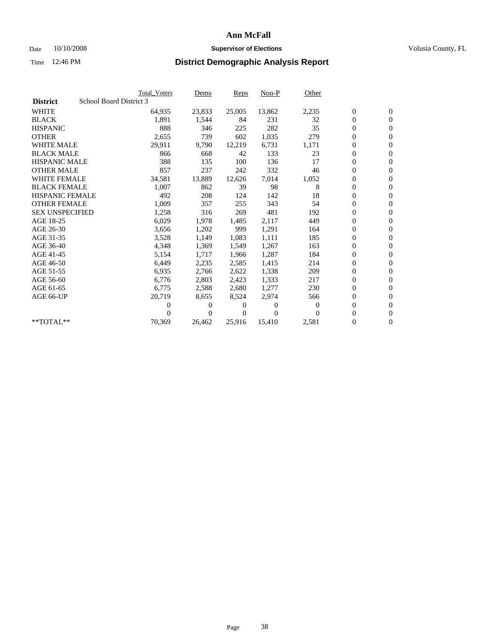### Date  $10/10/2008$  **Supervisor of Elections** Volusia County, FL

|                        |                         | <b>Total Voters</b> | Dems     | <b>Reps</b> | $Non-P$  | Other    |                  |                  |  |
|------------------------|-------------------------|---------------------|----------|-------------|----------|----------|------------------|------------------|--|
| <b>District</b>        | School Board District 3 |                     |          |             |          |          |                  |                  |  |
| <b>WHITE</b>           |                         | 64,935              | 23,833   | 25,005      | 13,862   | 2,235    | $\boldsymbol{0}$ | $\boldsymbol{0}$ |  |
| <b>BLACK</b>           |                         | 1,891               | 1,544    | 84          | 231      | 32       | 0                | $\mathbf{0}$     |  |
| <b>HISPANIC</b>        |                         | 888                 | 346      | 225         | 282      | 35       | 0                | $\mathbf{0}$     |  |
| <b>OTHER</b>           |                         | 2,655               | 739      | 602         | 1,035    | 279      | 0                | $\mathbf{0}$     |  |
| <b>WHITE MALE</b>      |                         | 29,911              | 9,790    | 12,219      | 6,731    | 1,171    | 0                | $\mathbf{0}$     |  |
| <b>BLACK MALE</b>      |                         | 866                 | 668      | 42          | 133      | 23       | 0                | $\mathbf{0}$     |  |
| <b>HISPANIC MALE</b>   |                         | 388                 | 135      | 100         | 136      | 17       | 0                | $\mathbf{0}$     |  |
| <b>OTHER MALE</b>      |                         | 857                 | 237      | 242         | 332      | 46       | 0                | $\mathbf{0}$     |  |
| <b>WHITE FEMALE</b>    |                         | 34,581              | 13,889   | 12,626      | 7,014    | 1,052    | 0                | $\mathbf{0}$     |  |
| <b>BLACK FEMALE</b>    |                         | 1,007               | 862      | 39          | 98       | 8        | 0                | $\mathbf{0}$     |  |
| <b>HISPANIC FEMALE</b> |                         | 492                 | 208      | 124         | 142      | 18       | 0                | $\mathbf{0}$     |  |
| <b>OTHER FEMALE</b>    |                         | 1,009               | 357      | 255         | 343      | 54       | 0                | $\mathbf{0}$     |  |
| <b>SEX UNSPECIFIED</b> |                         | 1,258               | 316      | 269         | 481      | 192      | 0                | $\Omega$         |  |
| AGE 18-25              |                         | 6,029               | 1,978    | 1,485       | 2,117    | 449      | 0                | $\mathbf{0}$     |  |
| AGE 26-30              |                         | 3,656               | 1,202    | 999         | 1,291    | 164      | 0                | $\Omega$         |  |
| AGE 31-35              |                         | 3,528               | 1,149    | 1,083       | 1,111    | 185      | 0                | $\mathbf{0}$     |  |
| AGE 36-40              |                         | 4,348               | 1,369    | 1,549       | 1,267    | 163      | 0                | $\mathbf{0}$     |  |
| AGE 41-45              |                         | 5,154               | 1,717    | 1,966       | 1,287    | 184      | 0                | $\mathbf{0}$     |  |
| AGE 46-50              |                         | 6,449               | 2,235    | 2,585       | 1,415    | 214      | 0                | $\Omega$         |  |
| AGE 51-55              |                         | 6,935               | 2,766    | 2,622       | 1,338    | 209      | 0                | $\mathbf{0}$     |  |
| AGE 56-60              |                         | 6,776               | 2,803    | 2.423       | 1,333    | 217      | 0                | $\mathbf{0}$     |  |
| AGE 61-65              |                         | 6,775               | 2,588    | 2,680       | 1,277    | 230      | 0                | $\mathbf{0}$     |  |
| AGE 66-UP              |                         | 20,719              | 8,655    | 8,524       | 2,974    | 566      | 0                | $\mathbf{0}$     |  |
|                        |                         | 0                   | $\theta$ | 0           | $\theta$ | $\Omega$ | 0                | $\mathbf{0}$     |  |
|                        |                         | 0                   | 0        | 0           | $\Omega$ | $\Omega$ | 0                | $\overline{0}$   |  |
| **TOTAL**              |                         | 70,369              | 26,462   | 25,916      | 15,410   | 2,581    | 0                | $\boldsymbol{0}$ |  |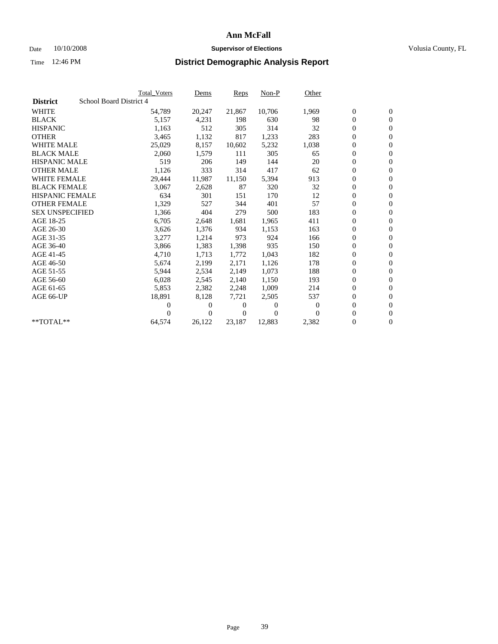### Date 10/10/2008 **Supervisor of Elections Supervisor of Elections** Volusia County, FL

|                        |                         | <b>Total Voters</b> | Dems           | <b>Reps</b>    | $Non-P$  | Other            |                  |                  |  |
|------------------------|-------------------------|---------------------|----------------|----------------|----------|------------------|------------------|------------------|--|
| <b>District</b>        | School Board District 4 |                     |                |                |          |                  |                  |                  |  |
| <b>WHITE</b>           |                         | 54,789              | 20,247         | 21,867         | 10,706   | 1,969            | $\boldsymbol{0}$ | $\boldsymbol{0}$ |  |
| <b>BLACK</b>           |                         | 5,157               | 4,231          | 198            | 630      | 98               | $\boldsymbol{0}$ | $\mathbf{0}$     |  |
| <b>HISPANIC</b>        |                         | 1,163               | 512            | 305            | 314      | 32               | 0                | $\mathbf{0}$     |  |
| <b>OTHER</b>           |                         | 3,465               | 1,132          | 817            | 1,233    | 283              | 0                | $\mathbf{0}$     |  |
| <b>WHITE MALE</b>      |                         | 25,029              | 8,157          | 10,602         | 5,232    | 1,038            | 0                | $\mathbf{0}$     |  |
| <b>BLACK MALE</b>      |                         | 2,060               | 1,579          | 111            | 305      | 65               | 0                | $\mathbf{0}$     |  |
| <b>HISPANIC MALE</b>   |                         | 519                 | 206            | 149            | 144      | 20               | 0                | $\mathbf{0}$     |  |
| <b>OTHER MALE</b>      |                         | 1,126               | 333            | 314            | 417      | 62               | 0                | $\mathbf{0}$     |  |
| <b>WHITE FEMALE</b>    |                         | 29,444              | 11,987         | 11,150         | 5,394    | 913              | $\boldsymbol{0}$ | $\mathbf{0}$     |  |
| <b>BLACK FEMALE</b>    |                         | 3,067               | 2,628          | 87             | 320      | 32               | 0                | $\mathbf{0}$     |  |
| <b>HISPANIC FEMALE</b> |                         | 634                 | 301            | 151            | 170      | 12               | 0                | $\mathbf{0}$     |  |
| <b>OTHER FEMALE</b>    |                         | 1,329               | 527            | 344            | 401      | 57               | 0                | $\mathbf{0}$     |  |
| <b>SEX UNSPECIFIED</b> |                         | 1,366               | 404            | 279            | 500      | 183              | 0                | $\mathbf{0}$     |  |
| AGE 18-25              |                         | 6,705               | 2,648          | 1,681          | 1,965    | 411              | 0                | $\mathbf{0}$     |  |
| AGE 26-30              |                         | 3,626               | 1,376          | 934            | 1,153    | 163              | 0                | $\mathbf{0}$     |  |
| AGE 31-35              |                         | 3,277               | 1,214          | 973            | 924      | 166              | 0                | $\mathbf{0}$     |  |
| AGE 36-40              |                         | 3,866               | 1,383          | 1,398          | 935      | 150              | 0                | $\mathbf{0}$     |  |
| AGE 41-45              |                         | 4,710               | 1,713          | 1,772          | 1,043    | 182              | 0                | $\mathbf{0}$     |  |
| AGE 46-50              |                         | 5,674               | 2,199          | 2,171          | 1,126    | 178              | 0                | $\mathbf{0}$     |  |
| AGE 51-55              |                         | 5,944               | 2,534          | 2,149          | 1,073    | 188              | 0                | $\mathbf{0}$     |  |
| AGE 56-60              |                         | 6,028               | 2,545          | 2.140          | 1,150    | 193              | 0                | $\mathbf{0}$     |  |
| AGE 61-65              |                         | 5,853               | 2,382          | 2,248          | 1,009    | 214              | 0                | $\mathbf{0}$     |  |
| AGE 66-UP              |                         | 18,891              | 8,128          | 7,721          | 2,505    | 537              | $\boldsymbol{0}$ | $\mathbf{0}$     |  |
|                        |                         | 0                   | 0              | $\Omega$       | $\theta$ | $\boldsymbol{0}$ | 0                | $\mathbf{0}$     |  |
|                        |                         | 0                   | $\overline{0}$ | $\overline{0}$ | $\Omega$ | $\Omega$         | 0                | $\mathbf{0}$     |  |
| **TOTAL**              |                         | 64,574              | 26,122         | 23,187         | 12,883   | 2,382            | 0                | $\boldsymbol{0}$ |  |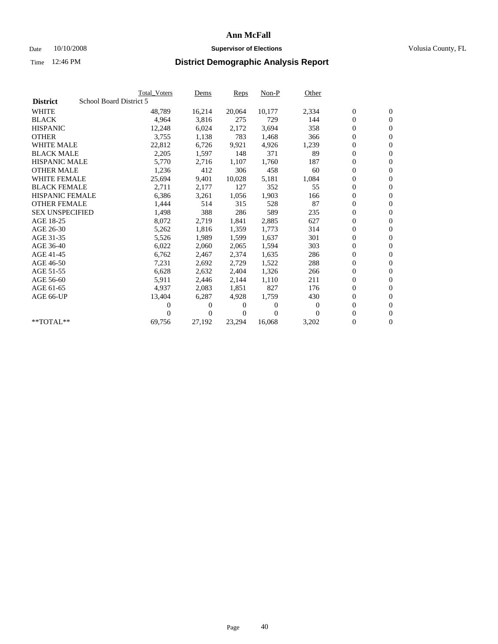### Date 10/10/2008 **Supervisor of Elections Supervisor of Elections** Volusia County, FL

|                        | <b>Total Voters</b>     | Dems           | <b>Reps</b> | $Non-P$      | Other    |                  |                  |  |
|------------------------|-------------------------|----------------|-------------|--------------|----------|------------------|------------------|--|
| <b>District</b>        | School Board District 5 |                |             |              |          |                  |                  |  |
| <b>WHITE</b>           | 48,789                  | 16,214         | 20,064      | 10,177       | 2,334    | $\boldsymbol{0}$ | $\mathbf{0}$     |  |
| <b>BLACK</b>           | 4,964                   | 3,816          | 275         | 729          | 144      | $\overline{0}$   | $\mathbf{0}$     |  |
| <b>HISPANIC</b>        | 12,248                  | 6,024          | 2,172       | 3.694        | 358      | $\overline{0}$   | $\mathbf{0}$     |  |
| <b>OTHER</b>           | 3,755                   | 1,138          | 783         | 1,468        | 366      | 0                | $\mathbf{0}$     |  |
| <b>WHITE MALE</b>      | 22,812                  | 6,726          | 9,921       | 4,926        | 1,239    | $\boldsymbol{0}$ | $\mathbf{0}$     |  |
| <b>BLACK MALE</b>      | 2,205                   | 1,597          | 148         | 371          | 89       | $\boldsymbol{0}$ | $\mathbf{0}$     |  |
| <b>HISPANIC MALE</b>   | 5,770                   | 2,716          | 1,107       | 1,760        | 187      | 0                | $\mathbf{0}$     |  |
| <b>OTHER MALE</b>      | 1,236                   | 412            | 306         | 458          | 60       | $\boldsymbol{0}$ | $\mathbf{0}$     |  |
| <b>WHITE FEMALE</b>    | 25,694                  | 9,401          | 10,028      | 5,181        | 1,084    | $\overline{0}$   | $\mathbf{0}$     |  |
| <b>BLACK FEMALE</b>    | 2,711                   | 2,177          | 127         | 352          | 55       | $\boldsymbol{0}$ | $\Omega$         |  |
| <b>HISPANIC FEMALE</b> | 6,386                   | 3,261          | 1,056       | 1,903        | 166      | $\boldsymbol{0}$ | $\mathbf{0}$     |  |
| <b>OTHER FEMALE</b>    | 1,444                   | 514            | 315         | 528          | 87       | $\overline{0}$   | $\mathbf{0}$     |  |
| <b>SEX UNSPECIFIED</b> | 1,498                   | 388            | 286         | 589          | 235      | $\boldsymbol{0}$ | $\mathbf{0}$     |  |
| AGE 18-25              | 8,072                   | 2,719          | 1,841       | 2,885        | 627      | $\overline{0}$   | $\mathbf{0}$     |  |
| AGE 26-30              | 5,262                   | 1,816          | 1,359       | 1,773        | 314      | $\overline{0}$   | $\mathbf{0}$     |  |
| AGE 31-35              | 5,526                   | 1,989          | 1,599       | 1,637        | 301      | $\boldsymbol{0}$ | $\mathbf{0}$     |  |
| AGE 36-40              | 6,022                   | 2,060          | 2,065       | 1,594        | 303      | $\boldsymbol{0}$ | $\mathbf{0}$     |  |
| AGE 41-45              | 6,762                   | 2,467          | 2,374       | 1,635        | 286      | $\boldsymbol{0}$ | $\mathbf{0}$     |  |
| AGE 46-50              | 7,231                   | 2,692          | 2,729       | 1,522        | 288      | 0                | $\Omega$         |  |
| AGE 51-55              | 6,628                   | 2,632          | 2,404       | 1,326        | 266      | $\boldsymbol{0}$ | $\mathbf{0}$     |  |
| AGE 56-60              | 5,911                   | 2,446          | 2.144       | 1,110        | 211      | $\mathbf{0}$     | $\mathbf{0}$     |  |
| AGE 61-65              | 4,937                   | 2,083          | 1,851       | 827          | 176      | 0                | $\mathbf{0}$     |  |
| AGE 66-UP              | 13,404                  | 6,287          | 4,928       | 1,759        | 430      | $\mathbf{0}$     | $\mathbf{0}$     |  |
|                        | 0                       | 0              | 0           | $\mathbf{0}$ | $\bf{0}$ | $\overline{0}$   | $\mathbf{0}$     |  |
|                        | 0                       | $\overline{0}$ | 0           | $\Omega$     | 0        | 0                | $\mathbf{0}$     |  |
| $*$ TOTAL $**$         | 69,756                  | 27,192         | 23,294      | 16,068       | 3,202    | 0                | $\boldsymbol{0}$ |  |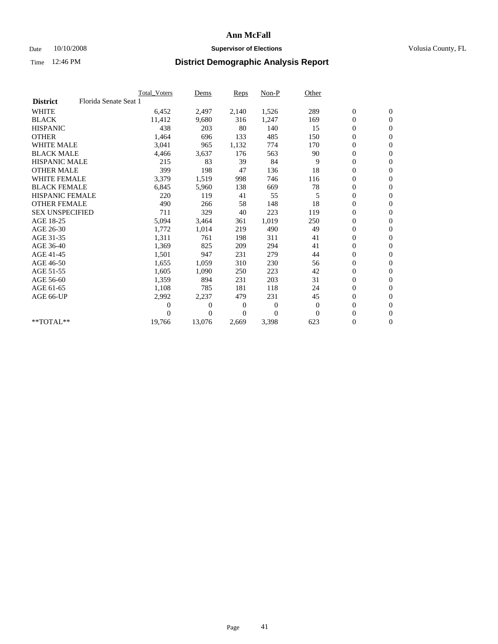### Date 10/10/2008 **Supervisor of Elections Supervisor of Elections** Volusia County, FL

|                        |                       | Total Voters | Dems           | <b>Reps</b>  | $Non-P$      | Other        |                  |              |  |
|------------------------|-----------------------|--------------|----------------|--------------|--------------|--------------|------------------|--------------|--|
| <b>District</b>        | Florida Senate Seat 1 |              |                |              |              |              |                  |              |  |
| <b>WHITE</b>           |                       | 6,452        | 2,497          | 2,140        | 1,526        | 289          | $\boldsymbol{0}$ | $\mathbf{0}$ |  |
| <b>BLACK</b>           |                       | 11,412       | 9,680          | 316          | 1,247        | 169          | $\boldsymbol{0}$ | $\mathbf{0}$ |  |
| <b>HISPANIC</b>        |                       | 438          | 203            | 80           | 140          | 15           | $\overline{0}$   | $\mathbf{0}$ |  |
| <b>OTHER</b>           |                       | 1,464        | 696            | 133          | 485          | 150          | $\boldsymbol{0}$ | $\mathbf{0}$ |  |
| <b>WHITE MALE</b>      |                       | 3,041        | 965            | 1,132        | 774          | 170          | $\boldsymbol{0}$ | $\mathbf{0}$ |  |
| <b>BLACK MALE</b>      |                       | 4,466        | 3,637          | 176          | 563          | 90           | $\boldsymbol{0}$ | $\mathbf{0}$ |  |
| <b>HISPANIC MALE</b>   |                       | 215          | 83             | 39           | 84           | 9            | $\boldsymbol{0}$ | $\mathbf{0}$ |  |
| <b>OTHER MALE</b>      |                       | 399          | 198            | 47           | 136          | 18           | 0                | $\mathbf{0}$ |  |
| <b>WHITE FEMALE</b>    |                       | 3,379        | 1,519          | 998          | 746          | 116          | $\mathbf{0}$     | $\mathbf{0}$ |  |
| <b>BLACK FEMALE</b>    |                       | 6,845        | 5,960          | 138          | 669          | 78           | $\boldsymbol{0}$ | $\mathbf{0}$ |  |
| <b>HISPANIC FEMALE</b> |                       | 220          | 119            | 41           | 55           | 5            | $\boldsymbol{0}$ | $\mathbf{0}$ |  |
| <b>OTHER FEMALE</b>    |                       | 490          | 266            | 58           | 148          | 18           | 0                | $\mathbf{0}$ |  |
| <b>SEX UNSPECIFIED</b> |                       | 711          | 329            | 40           | 223          | 119          | $\mathbf{0}$     | $\mathbf{0}$ |  |
| AGE 18-25              |                       | 5,094        | 3,464          | 361          | 1,019        | 250          | 0                | $\mathbf{0}$ |  |
| AGE 26-30              |                       | 1,772        | 1,014          | 219          | 490          | 49           | $\overline{0}$   | $\mathbf{0}$ |  |
| AGE 31-35              |                       | 1,311        | 761            | 198          | 311          | 41           | $\boldsymbol{0}$ | $\mathbf{0}$ |  |
| AGE 36-40              |                       | 1,369        | 825            | 209          | 294          | 41           | $\boldsymbol{0}$ | $\mathbf{0}$ |  |
| AGE 41-45              |                       | 1,501        | 947            | 231          | 279          | 44           | $\overline{0}$   | $\mathbf{0}$ |  |
| AGE 46-50              |                       | 1,655        | 1,059          | 310          | 230          | 56           | $\mathbf{0}$     | $\mathbf{0}$ |  |
| AGE 51-55              |                       | 1,605        | 1,090          | 250          | 223          | 42           | $\boldsymbol{0}$ | $\mathbf{0}$ |  |
| AGE 56-60              |                       | 1,359        | 894            | 231          | 203          | 31           | $\boldsymbol{0}$ | $\mathbf{0}$ |  |
| AGE 61-65              |                       | 1,108        | 785            | 181          | 118          | 24           | $\boldsymbol{0}$ | $\mathbf{0}$ |  |
| AGE 66-UP              |                       | 2,992        | 2,237          | 479          | 231          | 45           | $\boldsymbol{0}$ | $\mathbf{0}$ |  |
|                        |                       | $\theta$     | $\overline{0}$ | $\mathbf{0}$ | $\mathbf{0}$ | $\mathbf{0}$ | $\boldsymbol{0}$ | $\mathbf{0}$ |  |
|                        |                       | $\Omega$     | $\theta$       | 0            | $\theta$     | $\Omega$     | $\overline{0}$   | $\mathbf{0}$ |  |
| **TOTAL**              |                       | 19,766       | 13,076         | 2,669        | 3,398        | 623          | 0                | $\mathbf{0}$ |  |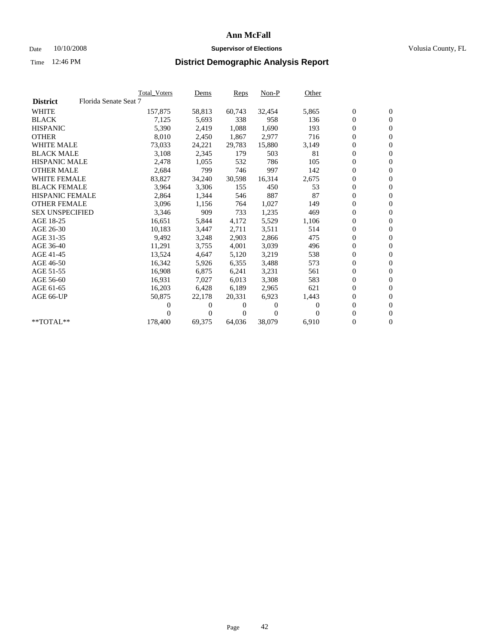### Date 10/10/2008 **Supervisor of Elections Supervisor of Elections** Volusia County, FL

|                        |                       | <b>Total Voters</b> | <u>Dems</u>    | <b>Reps</b> | $Non-P$      | Other    |                  |                  |  |
|------------------------|-----------------------|---------------------|----------------|-------------|--------------|----------|------------------|------------------|--|
| <b>District</b>        | Florida Senate Seat 7 |                     |                |             |              |          |                  |                  |  |
| <b>WHITE</b>           |                       | 157,875             | 58,813         | 60,743      | 32,454       | 5,865    | $\boldsymbol{0}$ | $\boldsymbol{0}$ |  |
| <b>BLACK</b>           |                       | 7,125               | 5,693          | 338         | 958          | 136      | $\boldsymbol{0}$ | $\mathbf{0}$     |  |
| <b>HISPANIC</b>        |                       | 5,390               | 2,419          | 1,088       | 1,690        | 193      | $\boldsymbol{0}$ | $\mathbf{0}$     |  |
| <b>OTHER</b>           |                       | 8,010               | 2,450          | 1,867       | 2,977        | 716      | 0                | $\overline{0}$   |  |
| <b>WHITE MALE</b>      |                       | 73,033              | 24,221         | 29,783      | 15,880       | 3,149    | $\boldsymbol{0}$ | $\mathbf{0}$     |  |
| <b>BLACK MALE</b>      |                       | 3,108               | 2,345          | 179         | 503          | 81       | $\overline{0}$   | $\mathbf{0}$     |  |
| <b>HISPANIC MALE</b>   |                       | 2,478               | 1,055          | 532         | 786          | 105      | 0                | $\mathbf{0}$     |  |
| <b>OTHER MALE</b>      |                       | 2,684               | 799            | 746         | 997          | 142      | $\overline{0}$   | $\mathbf{0}$     |  |
| <b>WHITE FEMALE</b>    |                       | 83,827              | 34,240         | 30,598      | 16,314       | 2,675    | $\boldsymbol{0}$ | $\mathbf{0}$     |  |
| <b>BLACK FEMALE</b>    |                       | 3,964               | 3,306          | 155         | 450          | 53       | $\boldsymbol{0}$ | $\mathbf{0}$     |  |
| <b>HISPANIC FEMALE</b> |                       | 2,864               | 1,344          | 546         | 887          | 87       | 0                | $\mathbf{0}$     |  |
| <b>OTHER FEMALE</b>    |                       | 3,096               | 1,156          | 764         | 1,027        | 149      | $\overline{0}$   | $\mathbf{0}$     |  |
| <b>SEX UNSPECIFIED</b> |                       | 3,346               | 909            | 733         | 1,235        | 469      | $\boldsymbol{0}$ | $\mathbf{0}$     |  |
| AGE 18-25              |                       | 16,651              | 5,844          | 4,172       | 5,529        | 1,106    | $\boldsymbol{0}$ | $\mathbf{0}$     |  |
| AGE 26-30              |                       | 10,183              | 3,447          | 2,711       | 3,511        | 514      | 0                | $\mathbf{0}$     |  |
| AGE 31-35              |                       | 9,492               | 3,248          | 2,903       | 2,866        | 475      | $\boldsymbol{0}$ | $\mathbf{0}$     |  |
| AGE 36-40              |                       | 11,291              | 3,755          | 4,001       | 3,039        | 496      | $\boldsymbol{0}$ | $\mathbf{0}$     |  |
| AGE 41-45              |                       | 13,524              | 4,647          | 5,120       | 3,219        | 538      | 0                | $\mathbf{0}$     |  |
| AGE 46-50              |                       | 16,342              | 5,926          | 6,355       | 3,488        | 573      | 0                | $\mathbf{0}$     |  |
| AGE 51-55              |                       | 16,908              | 6,875          | 6,241       | 3,231        | 561      | $\boldsymbol{0}$ | $\mathbf{0}$     |  |
| AGE 56-60              |                       | 16,931              | 7.027          | 6.013       | 3,308        | 583      | $\overline{0}$   | $\mathbf{0}$     |  |
| AGE 61-65              |                       | 16,203              | 6,428          | 6,189       | 2,965        | 621      | 0                | $\mathbf{0}$     |  |
| AGE 66-UP              |                       | 50,875              | 22,178         | 20,331      | 6,923        | 1,443    | 0                | $\mathbf{0}$     |  |
|                        |                       | 0                   | $\overline{0}$ | 0           | $\mathbf{0}$ | $\Omega$ | $\mathbf{0}$     | $\mathbf{0}$     |  |
|                        |                       | 0                   | $\overline{0}$ | 0           | $\Omega$     | 0        | 0                | $\mathbf{0}$     |  |
| **TOTAL**              |                       | 178,400             | 69,375         | 64,036      | 38,079       | 6,910    | 0                | $\boldsymbol{0}$ |  |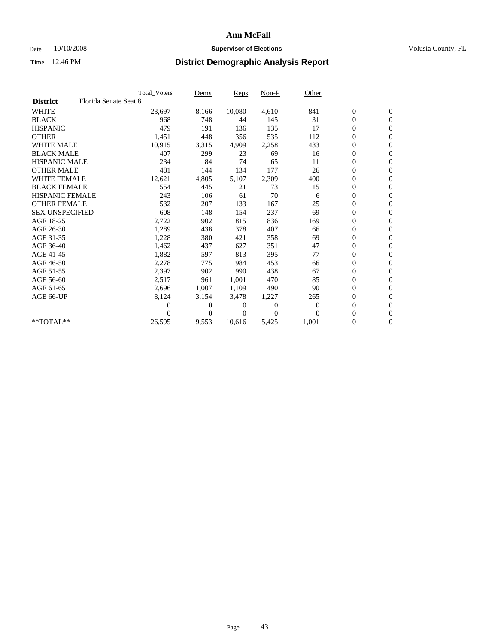### Date  $10/10/2008$  **Supervisor of Elections** Volusia County, FL

|                        |                       | Total Voters | Dems           | <b>Reps</b> | $Non-P$      | Other        |                  |                  |  |
|------------------------|-----------------------|--------------|----------------|-------------|--------------|--------------|------------------|------------------|--|
| <b>District</b>        | Florida Senate Seat 8 |              |                |             |              |              |                  |                  |  |
| <b>WHITE</b>           |                       | 23,697       | 8,166          | 10,080      | 4,610        | 841          | $\boldsymbol{0}$ | $\boldsymbol{0}$ |  |
| <b>BLACK</b>           |                       | 968          | 748            | 44          | 145          | 31           | $\boldsymbol{0}$ | $\mathbf{0}$     |  |
| <b>HISPANIC</b>        |                       | 479          | 191            | 136         | 135          | 17           | $\overline{0}$   | $\mathbf{0}$     |  |
| <b>OTHER</b>           |                       | 1,451        | 448            | 356         | 535          | 112          | 0                | $\mathbf{0}$     |  |
| <b>WHITE MALE</b>      |                       | 10,915       | 3,315          | 4,909       | 2,258        | 433          | $\boldsymbol{0}$ | $\mathbf{0}$     |  |
| <b>BLACK MALE</b>      |                       | 407          | 299            | 23          | 69           | 16           | $\boldsymbol{0}$ | $\mathbf{0}$     |  |
| <b>HISPANIC MALE</b>   |                       | 234          | 84             | 74          | 65           | 11           | $\boldsymbol{0}$ | $\mathbf{0}$     |  |
| <b>OTHER MALE</b>      |                       | 481          | 144            | 134         | 177          | 26           | $\boldsymbol{0}$ | $\mathbf{0}$     |  |
| <b>WHITE FEMALE</b>    |                       | 12,621       | 4,805          | 5,107       | 2,309        | 400          | $\boldsymbol{0}$ | $\mathbf{0}$     |  |
| <b>BLACK FEMALE</b>    |                       | 554          | 445            | 21          | 73           | 15           | $\boldsymbol{0}$ | $\Omega$         |  |
| <b>HISPANIC FEMALE</b> |                       | 243          | 106            | 61          | 70           | 6            | $\boldsymbol{0}$ | $\mathbf{0}$     |  |
| <b>OTHER FEMALE</b>    |                       | 532          | 207            | 133         | 167          | 25           | $\overline{0}$   | $\mathbf{0}$     |  |
| <b>SEX UNSPECIFIED</b> |                       | 608          | 148            | 154         | 237          | 69           | $\boldsymbol{0}$ | $\mathbf{0}$     |  |
| AGE 18-25              |                       | 2,722        | 902            | 815         | 836          | 169          | $\boldsymbol{0}$ | $\mathbf{0}$     |  |
| AGE 26-30              |                       | 1,289        | 438            | 378         | 407          | 66           | $\boldsymbol{0}$ | $\mathbf{0}$     |  |
| AGE 31-35              |                       | 1,228        | 380            | 421         | 358          | 69           | $\boldsymbol{0}$ | $\mathbf{0}$     |  |
| AGE 36-40              |                       | 1,462        | 437            | 627         | 351          | 47           | $\boldsymbol{0}$ | $\mathbf{0}$     |  |
| AGE 41-45              |                       | 1,882        | 597            | 813         | 395          | 77           | $\boldsymbol{0}$ | $\mathbf{0}$     |  |
| AGE 46-50              |                       | 2,278        | 775            | 984         | 453          | 66           | 0                | $\Omega$         |  |
| AGE 51-55              |                       | 2,397        | 902            | 990         | 438          | 67           | $\boldsymbol{0}$ | $\mathbf{0}$     |  |
| AGE 56-60              |                       | 2,517        | 961            | 1,001       | 470          | 85           | $\mathbf{0}$     | $\mathbf{0}$     |  |
| AGE 61-65              |                       | 2,696        | 1,007          | 1,109       | 490          | 90           | $\boldsymbol{0}$ | $\mathbf{0}$     |  |
| AGE 66-UP              |                       | 8,124        | 3,154          | 3,478       | 1,227        | 265          | $\mathbf{0}$     | $\mathbf{0}$     |  |
|                        |                       | 0            | $\overline{0}$ | 0           | $\mathbf{0}$ | $\mathbf{0}$ | $\boldsymbol{0}$ | $\mathbf{0}$     |  |
|                        |                       | 0            | $\overline{0}$ | 0           | $\Omega$     | $\Omega$     | 0                | $\mathbf{0}$     |  |
| $*$ TOTAL $**$         |                       | 26,595       | 9,553          | 10,616      | 5,425        | 1,001        | $\boldsymbol{0}$ | $\boldsymbol{0}$ |  |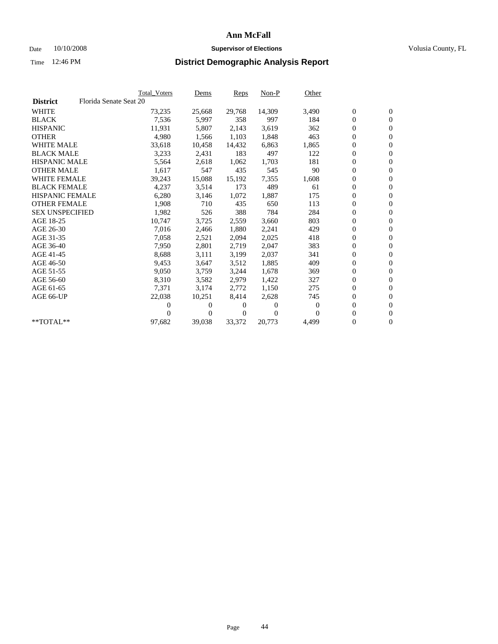### Date 10/10/2008 **Supervisor of Elections Supervisor of Elections** Volusia County, FL

|                        | Total Voters           | <u>Dems</u>    | <b>Reps</b>    | $Non-P$  | Other        |                  |                  |  |
|------------------------|------------------------|----------------|----------------|----------|--------------|------------------|------------------|--|
| <b>District</b>        | Florida Senate Seat 20 |                |                |          |              |                  |                  |  |
| <b>WHITE</b>           | 73,235                 | 25,668         | 29,768         | 14,309   | 3,490        | $\boldsymbol{0}$ | $\boldsymbol{0}$ |  |
| <b>BLACK</b>           | 7,536                  | 5,997          | 358            | 997      | 184          | $\overline{0}$   | $\mathbf{0}$     |  |
| <b>HISPANIC</b>        | 11,931                 | 5,807          | 2,143          | 3,619    | 362          | $\overline{0}$   | $\mathbf{0}$     |  |
| <b>OTHER</b>           | 4,980                  | 1,566          | 1,103          | 1,848    | 463          | 0                | $\mathbf{0}$     |  |
| <b>WHITE MALE</b>      | 33,618                 | 10,458         | 14,432         | 6,863    | 1,865        | $\boldsymbol{0}$ | $\mathbf{0}$     |  |
| <b>BLACK MALE</b>      | 3,233                  | 2,431          | 183            | 497      | 122          | $\boldsymbol{0}$ | $\mathbf{0}$     |  |
| <b>HISPANIC MALE</b>   | 5,564                  | 2,618          | 1,062          | 1,703    | 181          | 0                | $\mathbf{0}$     |  |
| <b>OTHER MALE</b>      | 1,617                  | 547            | 435            | 545      | 90           | $\boldsymbol{0}$ | $\mathbf{0}$     |  |
| <b>WHITE FEMALE</b>    | 39,243                 | 15,088         | 15,192         | 7,355    | 1,608        | 0                | $\mathbf{0}$     |  |
| <b>BLACK FEMALE</b>    | 4,237                  | 3,514          | 173            | 489      | 61           | $\boldsymbol{0}$ | $\Omega$         |  |
| <b>HISPANIC FEMALE</b> | 6,280                  | 3,146          | 1,072          | 1,887    | 175          | $\boldsymbol{0}$ | $\mathbf{0}$     |  |
| <b>OTHER FEMALE</b>    | 1,908                  | 710            | 435            | 650      | 113          | $\overline{0}$   | $\mathbf{0}$     |  |
| <b>SEX UNSPECIFIED</b> | 1,982                  | 526            | 388            | 784      | 284          | 0                | $\mathbf{0}$     |  |
| AGE 18-25              | 10,747                 | 3,725          | 2,559          | 3,660    | 803          | $\overline{0}$   | $\mathbf{0}$     |  |
| AGE 26-30              | 7,016                  | 2,466          | 1,880          | 2,241    | 429          | $\overline{0}$   | $\mathbf{0}$     |  |
| AGE 31-35              | 7,058                  | 2,521          | 2,094          | 2,025    | 418          | $\boldsymbol{0}$ | $\mathbf{0}$     |  |
| AGE 36-40              | 7,950                  | 2,801          | 2,719          | 2,047    | 383          | $\boldsymbol{0}$ | $\mathbf{0}$     |  |
| AGE 41-45              | 8,688                  | 3,111          | 3,199          | 2,037    | 341          | $\boldsymbol{0}$ | $\mathbf{0}$     |  |
| AGE 46-50              | 9,453                  | 3,647          | 3,512          | 1,885    | 409          | 0                | $\Omega$         |  |
| AGE 51-55              | 9,050                  | 3,759          | 3,244          | 1,678    | 369          | $\boldsymbol{0}$ | $\mathbf{0}$     |  |
| AGE 56-60              | 8,310                  | 3,582          | 2.979          | 1.422    | 327          | $\mathbf{0}$     | $\mathbf{0}$     |  |
| AGE 61-65              | 7,371                  | 3,174          | 2,772          | 1,150    | 275          | 0                | $\mathbf{0}$     |  |
| AGE 66-UP              | 22,038                 | 10,251         | 8,414          | 2,628    | 745          | $\mathbf{0}$     | $\mathbf{0}$     |  |
|                        | 0                      | 0              | 0              | 0        | $\mathbf{0}$ | $\overline{0}$   | $\mathbf{0}$     |  |
|                        | 0                      | $\overline{0}$ | $\overline{0}$ | $\Omega$ | 0            | 0                | $\mathbf{0}$     |  |
| $*$ TOTAL $**$         | 97,682                 | 39,038         | 33,372         | 20,773   | 4,499        | 0                | $\boldsymbol{0}$ |  |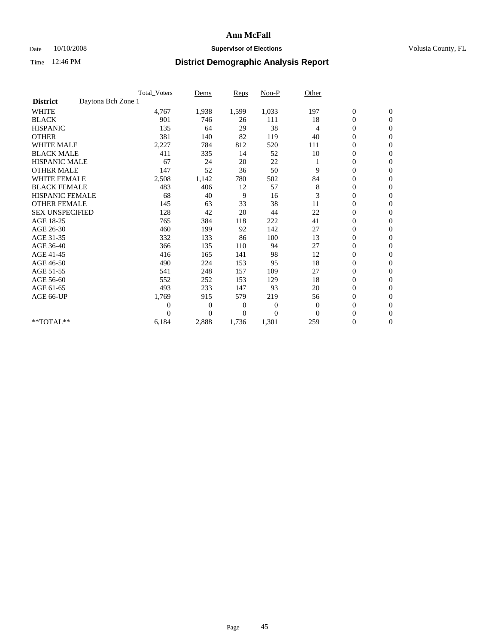### Date 10/10/2008 **Supervisor of Elections Supervisor of Elections** Volusia County, FL

|                                       | <b>Total Voters</b> | Dems           | <b>Reps</b>    | Non-P          | Other        |                  |                |  |
|---------------------------------------|---------------------|----------------|----------------|----------------|--------------|------------------|----------------|--|
| Daytona Bch Zone 1<br><b>District</b> |                     |                |                |                |              |                  |                |  |
| <b>WHITE</b>                          | 4,767               | 1,938          | 1,599          | 1,033          | 197          | $\boldsymbol{0}$ | $\mathbf{0}$   |  |
| <b>BLACK</b>                          | 901                 | 746            | 26             | 111            | 18           | $\boldsymbol{0}$ | $\mathbf{0}$   |  |
| <b>HISPANIC</b>                       | 135                 | 64             | 29             | 38             | 4            | $\overline{0}$   | $\mathbf{0}$   |  |
| <b>OTHER</b>                          | 381                 | 140            | 82             | 119            | 40           | $\overline{0}$   | $\mathbf{0}$   |  |
| <b>WHITE MALE</b>                     | 2,227               | 784            | 812            | 520            | 111          | $\boldsymbol{0}$ | $\mathbf{0}$   |  |
| <b>BLACK MALE</b>                     | 411                 | 335            | 14             | 52             | 10           | $\boldsymbol{0}$ | $\mathbf{0}$   |  |
| <b>HISPANIC MALE</b>                  | 67                  | 24             | 20             | 22             |              | $\boldsymbol{0}$ | $\mathbf{0}$   |  |
| <b>OTHER MALE</b>                     | 147                 | 52             | 36             | 50             | 9            | 0                | $\mathbf{0}$   |  |
| <b>WHITE FEMALE</b>                   | 2,508               | 1,142          | 780            | 502            | 84           | $\overline{0}$   | $\mathbf{0}$   |  |
| <b>BLACK FEMALE</b>                   | 483                 | 406            | 12             | 57             | 8            | $\boldsymbol{0}$ | $\mathbf{0}$   |  |
| <b>HISPANIC FEMALE</b>                | 68                  | 40             | 9              | 16             | 3            | $\boldsymbol{0}$ | $\mathbf{0}$   |  |
| <b>OTHER FEMALE</b>                   | 145                 | 63             | 33             | 38             | 11           | $\overline{0}$   | $\Omega$       |  |
| <b>SEX UNSPECIFIED</b>                | 128                 | 42             | 20             | 44             | 22           | $\mathbf{0}$     | $\mathbf{0}$   |  |
| AGE 18-25                             | 765                 | 384            | 118            | 222            | 41           | $\boldsymbol{0}$ | $\mathbf{0}$   |  |
| AGE 26-30                             | 460                 | 199            | 92             | 142            | 27           | $\overline{0}$   | $\mathbf{0}$   |  |
| AGE 31-35                             | 332                 | 133            | 86             | 100            | 13           | $\boldsymbol{0}$ | $\mathbf{0}$   |  |
| AGE 36-40                             | 366                 | 135            | 110            | 94             | 27           | $\boldsymbol{0}$ | $\mathbf{0}$   |  |
| AGE 41-45                             | 416                 | 165            | 141            | 98             | 12           | $\overline{0}$   | $\mathbf{0}$   |  |
| AGE 46-50                             | 490                 | 224            | 153            | 95             | 18           | $\mathbf{0}$     | $\mathbf{0}$   |  |
| AGE 51-55                             | 541                 | 248            | 157            | 109            | 27           | $\boldsymbol{0}$ | $\mathbf{0}$   |  |
| AGE 56-60                             | 552                 | 252            | 153            | 129            | 18           | $\boldsymbol{0}$ | $\mathbf{0}$   |  |
| AGE 61-65                             | 493                 | 233            | 147            | 93             | 20           | $\boldsymbol{0}$ | $\mathbf{0}$   |  |
| AGE 66-UP                             | 1,769               | 915            | 579            | 219            | 56           | $\boldsymbol{0}$ | $\mathbf{0}$   |  |
|                                       | $\theta$            | 0              | $\overline{0}$ | 0              | $\mathbf{0}$ | $\boldsymbol{0}$ | $\Omega$       |  |
|                                       | $\Omega$            | $\overline{0}$ | $\overline{0}$ | $\overline{0}$ | $\Omega$     | $\overline{0}$   | $\overline{0}$ |  |
| **TOTAL**                             | 6,184               | 2,888          | 1,736          | 1,301          | 259          | 0                | $\mathbf{0}$   |  |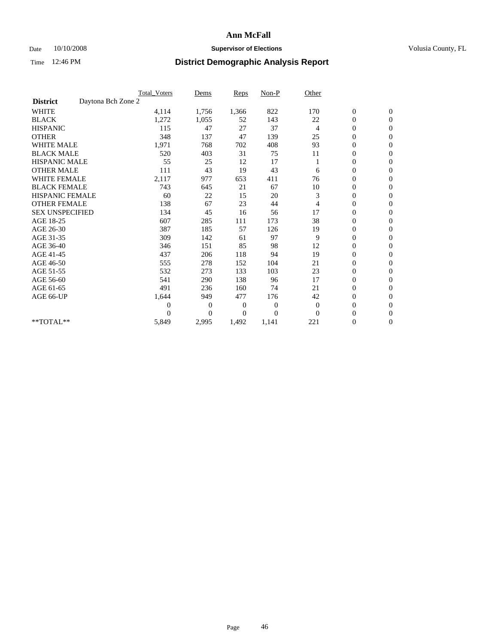### Date 10/10/2008 **Supervisor of Elections Supervisor of Elections** Volusia County, FL

|                        | <b>Total Voters</b> | Dems           | <b>Reps</b> | $Non-P$      | Other          |                  |                  |  |
|------------------------|---------------------|----------------|-------------|--------------|----------------|------------------|------------------|--|
| <b>District</b>        | Daytona Bch Zone 2  |                |             |              |                |                  |                  |  |
| <b>WHITE</b>           | 4,114               | 1,756          | 1,366       | 822          | 170            | $\boldsymbol{0}$ | $\boldsymbol{0}$ |  |
| <b>BLACK</b>           | 1,272               | 1,055          | 52          | 143          | 22             | $\boldsymbol{0}$ | $\mathbf{0}$     |  |
| <b>HISPANIC</b>        | 115                 | 47             | 27          | 37           | $\overline{4}$ | $\overline{0}$   | $\mathbf{0}$     |  |
| <b>OTHER</b>           | 348                 | 137            | 47          | 139          | 25             | $\boldsymbol{0}$ | $\Omega$         |  |
| <b>WHITE MALE</b>      | 1,971               | 768            | 702         | 408          | 93             | $\overline{0}$   | $\mathbf{0}$     |  |
| <b>BLACK MALE</b>      | 520                 | 403            | 31          | 75           | 11             | $\boldsymbol{0}$ | $\mathbf{0}$     |  |
| <b>HISPANIC MALE</b>   | 55                  | 25             | 12          | 17           |                | $\boldsymbol{0}$ | $\mathbf{0}$     |  |
| <b>OTHER MALE</b>      | 111                 | 43             | 19          | 43           | 6              | $\boldsymbol{0}$ | $\mathbf{0}$     |  |
| <b>WHITE FEMALE</b>    | 2,117               | 977            | 653         | 411          | 76             | $\overline{0}$   | $\mathbf{0}$     |  |
| <b>BLACK FEMALE</b>    | 743                 | 645            | 21          | 67           | 10             | $\boldsymbol{0}$ | $\mathbf{0}$     |  |
| <b>HISPANIC FEMALE</b> | 60                  | 22             | 15          | 20           | 3              | $\boldsymbol{0}$ | $\mathbf{0}$     |  |
| <b>OTHER FEMALE</b>    | 138                 | 67             | 23          | 44           | 4              | $\mathbf{0}$     | $\Omega$         |  |
| <b>SEX UNSPECIFIED</b> | 134                 | 45             | 16          | 56           | 17             | $\overline{0}$   | $\mathbf{0}$     |  |
| AGE 18-25              | 607                 | 285            | 111         | 173          | 38             | $\overline{0}$   | $\mathbf{0}$     |  |
| AGE 26-30              | 387                 | 185            | 57          | 126          | 19             | $\overline{0}$   | $\mathbf{0}$     |  |
| AGE 31-35              | 309                 | 142            | 61          | 97           | 9              | $\boldsymbol{0}$ | $\mathbf{0}$     |  |
| AGE 36-40              | 346                 | 151            | 85          | 98           | 12             | 0                | $\mathbf{0}$     |  |
| AGE 41-45              | 437                 | 206            | 118         | 94           | 19             | $\overline{0}$   | $\mathbf{0}$     |  |
| AGE 46-50              | 555                 | 278            | 152         | 104          | 21             | $\boldsymbol{0}$ | $\mathbf{0}$     |  |
| AGE 51-55              | 532                 | 273            | 133         | 103          | 23             | $\boldsymbol{0}$ | $\mathbf{0}$     |  |
| AGE 56-60              | 541                 | 290            | 138         | 96           | 17             | $\overline{0}$   | $\Omega$         |  |
| AGE 61-65              | 491                 | 236            | 160         | 74           | 21             | $\overline{0}$   | $\mathbf{0}$     |  |
| AGE 66-UP              | 1,644               | 949            | 477         | 176          | 42             | $\boldsymbol{0}$ | $\mathbf{0}$     |  |
|                        | $\overline{0}$      | $\overline{0}$ | 0           | $\mathbf{0}$ | $\theta$       | $\overline{0}$   | $\mathbf{0}$     |  |
|                        | $\theta$            | $\theta$       | $\Omega$    | $\Omega$     | $\Omega$       | $\boldsymbol{0}$ | $\mathbf{0}$     |  |
| **TOTAL**              | 5,849               | 2,995          | 1,492       | 1,141        | 221            | 0                | $\mathbf{0}$     |  |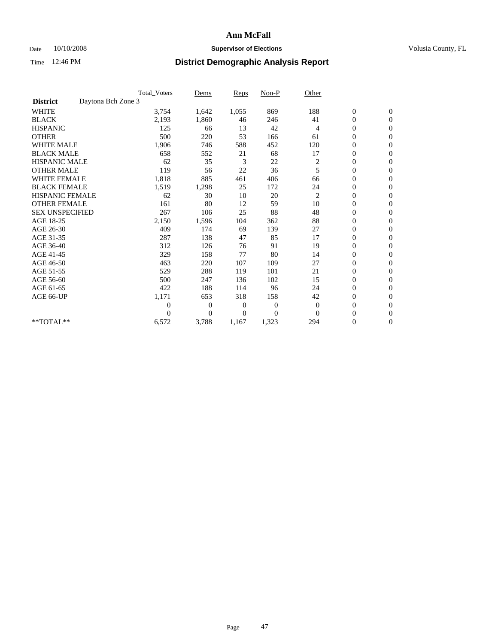### Date 10/10/2008 **Supervisor of Elections Supervisor of Elections** Volusia County, FL

|                        |                    | <b>Total Voters</b> | Dems           | <b>Reps</b>  | $Non-P$          | Other        |                  |                |  |
|------------------------|--------------------|---------------------|----------------|--------------|------------------|--------------|------------------|----------------|--|
| <b>District</b>        | Daytona Bch Zone 3 |                     |                |              |                  |              |                  |                |  |
| <b>WHITE</b>           |                    | 3,754               | 1,642          | 1,055        | 869              | 188          | $\boldsymbol{0}$ | $\mathbf{0}$   |  |
| <b>BLACK</b>           |                    | 2,193               | 1,860          | 46           | 246              | 41           | $\boldsymbol{0}$ | $\mathbf{0}$   |  |
| <b>HISPANIC</b>        |                    | 125                 | 66             | 13           | 42               | 4            | $\overline{0}$   | $\mathbf{0}$   |  |
| <b>OTHER</b>           |                    | 500                 | 220            | 53           | 166              | 61           | $\overline{0}$   | $\mathbf{0}$   |  |
| <b>WHITE MALE</b>      |                    | 1,906               | 746            | 588          | 452              | 120          | $\boldsymbol{0}$ | $\mathbf{0}$   |  |
| <b>BLACK MALE</b>      |                    | 658                 | 552            | 21           | 68               | 17           | $\boldsymbol{0}$ | $\mathbf{0}$   |  |
| <b>HISPANIC MALE</b>   |                    | 62                  | 35             | 3            | 22               | 2            | $\boldsymbol{0}$ | $\mathbf{0}$   |  |
| <b>OTHER MALE</b>      |                    | 119                 | 56             | 22           | 36               | 5            | $\boldsymbol{0}$ | $\mathbf{0}$   |  |
| <b>WHITE FEMALE</b>    |                    | 1,818               | 885            | 461          | 406              | 66           | $\overline{0}$   | $\mathbf{0}$   |  |
| <b>BLACK FEMALE</b>    |                    | 1,519               | 1,298          | 25           | 172              | 24           | $\boldsymbol{0}$ | $\mathbf{0}$   |  |
| <b>HISPANIC FEMALE</b> |                    | 62                  | 30             | 10           | 20               | 2            | $\boldsymbol{0}$ | $\mathbf{0}$   |  |
| <b>OTHER FEMALE</b>    |                    | 161                 | 80             | 12           | 59               | 10           | $\overline{0}$   | $\Omega$       |  |
| <b>SEX UNSPECIFIED</b> |                    | 267                 | 106            | 25           | 88               | 48           | $\mathbf{0}$     | $\mathbf{0}$   |  |
| AGE 18-25              |                    | 2,150               | 1,596          | 104          | 362              | 88           | $\boldsymbol{0}$ | $\mathbf{0}$   |  |
| AGE 26-30              |                    | 409                 | 174            | 69           | 139              | 27           | $\overline{0}$   | $\mathbf{0}$   |  |
| AGE 31-35              |                    | 287                 | 138            | 47           | 85               | 17           | $\boldsymbol{0}$ | $\mathbf{0}$   |  |
| AGE 36-40              |                    | 312                 | 126            | 76           | 91               | 19           | $\boldsymbol{0}$ | $\mathbf{0}$   |  |
| AGE 41-45              |                    | 329                 | 158            | 77           | 80               | 14           | $\overline{0}$   | $\mathbf{0}$   |  |
| AGE 46-50              |                    | 463                 | 220            | 107          | 109              | 27           | $\mathbf{0}$     | $\mathbf{0}$   |  |
| AGE 51-55              |                    | 529                 | 288            | 119          | 101              | 21           | $\boldsymbol{0}$ | $\mathbf{0}$   |  |
| AGE 56-60              |                    | 500                 | 247            | 136          | 102              | 15           | $\boldsymbol{0}$ | $\mathbf{0}$   |  |
| AGE 61-65              |                    | 422                 | 188            | 114          | 96               | 24           | $\boldsymbol{0}$ | $\overline{0}$ |  |
| AGE 66-UP              |                    | 1,171               | 653            | 318          | 158              | 42           | $\boldsymbol{0}$ | $\mathbf{0}$   |  |
|                        |                    | $\theta$            | 0              | $\mathbf{0}$ | $\boldsymbol{0}$ | $\mathbf{0}$ | $\boldsymbol{0}$ | $\Omega$       |  |
|                        |                    | $\theta$            | $\overline{0}$ | $\theta$     | $\overline{0}$   | $\Omega$     | $\overline{0}$   | $\overline{0}$ |  |
| **TOTAL**              |                    | 6,572               | 3,788          | 1,167        | 1,323            | 294          | 0                | $\mathbf{0}$   |  |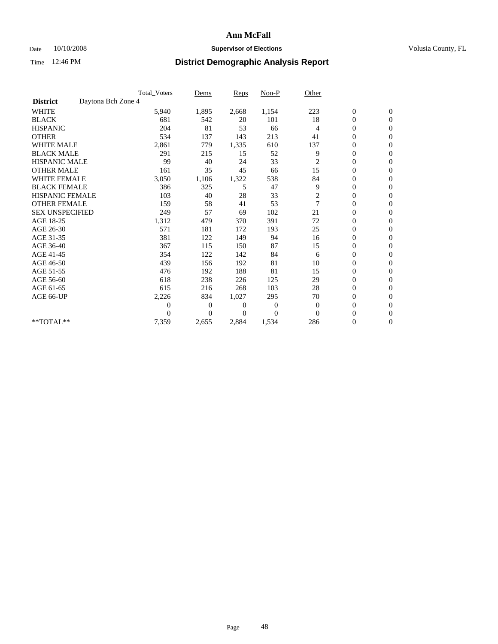### Date 10/10/2008 **Supervisor of Elections Supervisor of Elections** Volusia County, FL

|                        |                    | <b>Total Voters</b> | Dems           | <b>Reps</b> | Non-P    | Other          |                  |                  |  |
|------------------------|--------------------|---------------------|----------------|-------------|----------|----------------|------------------|------------------|--|
| <b>District</b>        | Daytona Bch Zone 4 |                     |                |             |          |                |                  |                  |  |
| <b>WHITE</b>           |                    | 5,940               | 1,895          | 2,668       | 1,154    | 223            | $\boldsymbol{0}$ | $\boldsymbol{0}$ |  |
| <b>BLACK</b>           |                    | 681                 | 542            | 20          | 101      | 18             | $\boldsymbol{0}$ | $\mathbf{0}$     |  |
| <b>HISPANIC</b>        |                    | 204                 | 81             | 53          | 66       | $\overline{4}$ | $\overline{0}$   | $\mathbf{0}$     |  |
| <b>OTHER</b>           |                    | 534                 | 137            | 143         | 213      | 41             | $\boldsymbol{0}$ | $\Omega$         |  |
| <b>WHITE MALE</b>      |                    | 2,861               | 779            | 1,335       | 610      | 137            | $\overline{0}$   | $\mathbf{0}$     |  |
| <b>BLACK MALE</b>      |                    | 291                 | 215            | 15          | 52       | 9              | $\boldsymbol{0}$ | $\mathbf{0}$     |  |
| <b>HISPANIC MALE</b>   |                    | 99                  | 40             | 24          | 33       | $\overline{c}$ | $\overline{0}$   | $\mathbf{0}$     |  |
| <b>OTHER MALE</b>      |                    | 161                 | 35             | 45          | 66       | 15             | 0                | $\mathbf{0}$     |  |
| WHITE FEMALE           |                    | 3,050               | 1,106          | 1,322       | 538      | 84             | $\overline{0}$   | $\mathbf{0}$     |  |
| <b>BLACK FEMALE</b>    |                    | 386                 | 325            | 5           | 47       | 9              | $\boldsymbol{0}$ | $\mathbf{0}$     |  |
| <b>HISPANIC FEMALE</b> |                    | 103                 | 40             | 28          | 33       | 2              | 0                | $\mathbf{0}$     |  |
| <b>OTHER FEMALE</b>    |                    | 159                 | 58             | 41          | 53       | $\overline{7}$ | $\mathbf{0}$     | $\mathbf{0}$     |  |
| <b>SEX UNSPECIFIED</b> |                    | 249                 | 57             | 69          | 102      | 21             | $\boldsymbol{0}$ | $\mathbf{0}$     |  |
| AGE 18-25              |                    | 1,312               | 479            | 370         | 391      | 72             | $\overline{0}$   | $\mathbf{0}$     |  |
| AGE 26-30              |                    | 571                 | 181            | 172         | 193      | 25             | $\overline{0}$   | $\mathbf{0}$     |  |
| AGE 31-35              |                    | 381                 | 122            | 149         | 94       | 16             | $\boldsymbol{0}$ | $\mathbf{0}$     |  |
| AGE 36-40              |                    | 367                 | 115            | 150         | 87       | 15             | $\boldsymbol{0}$ | $\mathbf{0}$     |  |
| AGE 41-45              |                    | 354                 | 122            | 142         | 84       | 6              | $\overline{0}$   | $\mathbf{0}$     |  |
| AGE 46-50              |                    | 439                 | 156            | 192         | 81       | 10             | $\boldsymbol{0}$ | $\mathbf{0}$     |  |
| AGE 51-55              |                    | 476                 | 192            | 188         | 81       | 15             | $\boldsymbol{0}$ | $\mathbf{0}$     |  |
| AGE 56-60              |                    | 618                 | 238            | 226         | 125      | 29             | $\overline{0}$   | $\Omega$         |  |
| AGE 61-65              |                    | 615                 | 216            | 268         | 103      | 28             | $\overline{0}$   | $\mathbf{0}$     |  |
| AGE 66-UP              |                    | 2,226               | 834            | 1,027       | 295      | 70             | $\boldsymbol{0}$ | $\mathbf{0}$     |  |
|                        |                    | 0                   | $\overline{0}$ | 0           | 0        | $\theta$       | $\overline{0}$   | $\mathbf{0}$     |  |
|                        |                    | $\theta$            | $\theta$       | $\Omega$    | $\Omega$ | $\Omega$       | $\boldsymbol{0}$ | $\mathbf{0}$     |  |
| **TOTAL**              |                    | 7,359               | 2,655          | 2,884       | 1,534    | 286            | 0                | $\mathbf{0}$     |  |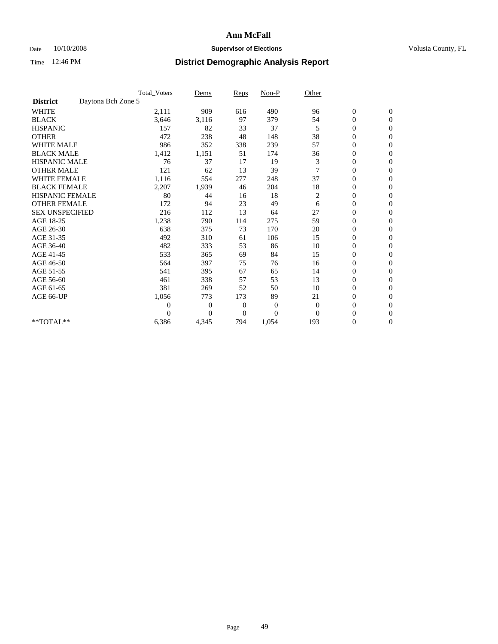### Date 10/10/2008 **Supervisor of Elections Supervisor of Elections** Volusia County, FL

|                        |                    | <b>Total Voters</b> | Dems           | <b>Reps</b>    | $Non-P$      | Other          |                  |                |  |
|------------------------|--------------------|---------------------|----------------|----------------|--------------|----------------|------------------|----------------|--|
| <b>District</b>        | Daytona Bch Zone 5 |                     |                |                |              |                |                  |                |  |
| <b>WHITE</b>           |                    | 2,111               | 909            | 616            | 490          | 96             | $\boldsymbol{0}$ | $\mathbf{0}$   |  |
| <b>BLACK</b>           |                    | 3,646               | 3,116          | 97             | 379          | 54             | $\boldsymbol{0}$ | $\mathbf{0}$   |  |
| <b>HISPANIC</b>        |                    | 157                 | 82             | 33             | 37           | 5              | $\overline{0}$   | $\mathbf{0}$   |  |
| <b>OTHER</b>           |                    | 472                 | 238            | 48             | 148          | 38             | $\boldsymbol{0}$ | $\mathbf{0}$   |  |
| <b>WHITE MALE</b>      |                    | 986                 | 352            | 338            | 239          | 57             | $\boldsymbol{0}$ | $\mathbf{0}$   |  |
| <b>BLACK MALE</b>      |                    | 1,412               | 1,151          | 51             | 174          | 36             | $\boldsymbol{0}$ | $\mathbf{0}$   |  |
| <b>HISPANIC MALE</b>   |                    | 76                  | 37             | 17             | 19           | 3              | $\boldsymbol{0}$ | $\mathbf{0}$   |  |
| <b>OTHER MALE</b>      |                    | 121                 | 62             | 13             | 39           |                | 0                | $\mathbf{0}$   |  |
| <b>WHITE FEMALE</b>    |                    | 1,116               | 554            | 277            | 248          | 37             | $\overline{0}$   | $\mathbf{0}$   |  |
| <b>BLACK FEMALE</b>    |                    | 2,207               | 1,939          | 46             | 204          | 18             | $\boldsymbol{0}$ | $\mathbf{0}$   |  |
| <b>HISPANIC FEMALE</b> |                    | 80                  | 44             | 16             | 18           | 2              | $\boldsymbol{0}$ | $\mathbf{0}$   |  |
| <b>OTHER FEMALE</b>    |                    | 172                 | 94             | 23             | 49           | 6              | $\overline{0}$   | $\Omega$       |  |
| <b>SEX UNSPECIFIED</b> |                    | 216                 | 112            | 13             | 64           | 27             | $\overline{0}$   | $\mathbf{0}$   |  |
| AGE 18-25              |                    | 1,238               | 790            | 114            | 275          | 59             | $\boldsymbol{0}$ | $\mathbf{0}$   |  |
| AGE 26-30              |                    | 638                 | 375            | 73             | 170          | 20             | $\overline{0}$   | $\mathbf{0}$   |  |
| AGE 31-35              |                    | 492                 | 310            | 61             | 106          | 15             | $\boldsymbol{0}$ | $\mathbf{0}$   |  |
| AGE 36-40              |                    | 482                 | 333            | 53             | 86           | 10             | $\boldsymbol{0}$ | $\mathbf{0}$   |  |
| AGE 41-45              |                    | 533                 | 365            | 69             | 84           | 15             | $\overline{0}$   | $\mathbf{0}$   |  |
| AGE 46-50              |                    | 564                 | 397            | 75             | 76           | 16             | $\mathbf{0}$     | $\mathbf{0}$   |  |
| AGE 51-55              |                    | 541                 | 395            | 67             | 65           | 14             | $\boldsymbol{0}$ | $\mathbf{0}$   |  |
| AGE 56-60              |                    | 461                 | 338            | 57             | 53           | 13             | $\boldsymbol{0}$ | $\Omega$       |  |
| AGE 61-65              |                    | 381                 | 269            | 52             | 50           | 10             | $\boldsymbol{0}$ | $\overline{0}$ |  |
| AGE 66-UP              |                    | 1,056               | 773            | 173            | 89           | 21             | $\overline{0}$   | $\mathbf{0}$   |  |
|                        |                    | $\theta$            | 0              | $\mathbf{0}$   | $\mathbf{0}$ | $\overline{0}$ | $\overline{0}$   | $\Omega$       |  |
|                        |                    | $\Omega$            | $\overline{0}$ | $\overline{0}$ | $\theta$     | $\Omega$       | $\overline{0}$   | $\overline{0}$ |  |
| **TOTAL**              |                    | 6,386               | 4,345          | 794            | 1,054        | 193            | 0                | $\mathbf{0}$   |  |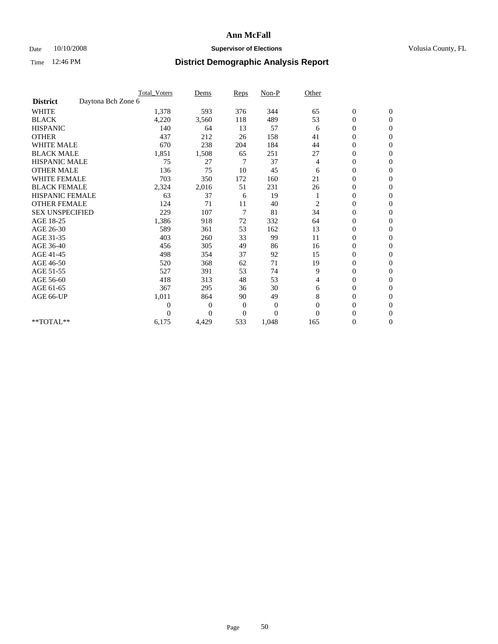### Date 10/10/2008 **Supervisor of Elections Supervisor of Elections** Volusia County, FL

|                        |                    | Total Voters   | Dems           | <b>Reps</b>    | $Non-P$  | Other          |                  |                  |  |
|------------------------|--------------------|----------------|----------------|----------------|----------|----------------|------------------|------------------|--|
| <b>District</b>        | Daytona Bch Zone 6 |                |                |                |          |                |                  |                  |  |
| <b>WHITE</b>           |                    | 1,378          | 593            | 376            | 344      | 65             | $\boldsymbol{0}$ | $\boldsymbol{0}$ |  |
| <b>BLACK</b>           |                    | 4,220          | 3,560          | 118            | 489      | 53             | $\boldsymbol{0}$ | $\mathbf{0}$     |  |
| <b>HISPANIC</b>        |                    | 140            | 64             | 13             | 57       | 6              | $\overline{0}$   | $\mathbf{0}$     |  |
| <b>OTHER</b>           |                    | 437            | 212            | 26             | 158      | 41             | $\boldsymbol{0}$ | $\Omega$         |  |
| <b>WHITE MALE</b>      |                    | 670            | 238            | 204            | 184      | 44             | $\overline{0}$   | $\mathbf{0}$     |  |
| <b>BLACK MALE</b>      |                    | 1,851          | 1,508          | 65             | 251      | 27             | $\boldsymbol{0}$ | $\mathbf{0}$     |  |
| <b>HISPANIC MALE</b>   |                    | 75             | 27             | 7              | 37       | 4              | $\boldsymbol{0}$ | $\mathbf{0}$     |  |
| <b>OTHER MALE</b>      |                    | 136            | 75             | 10             | 45       | 6              | $\boldsymbol{0}$ | $\mathbf{0}$     |  |
| <b>WHITE FEMALE</b>    |                    | 703            | 350            | 172            | 160      | 21             | $\overline{0}$   | $\mathbf{0}$     |  |
| <b>BLACK FEMALE</b>    |                    | 2,324          | 2,016          | 51             | 231      | 26             | $\boldsymbol{0}$ | $\mathbf{0}$     |  |
| <b>HISPANIC FEMALE</b> |                    | 63             | 37             | 6              | 19       |                | $\boldsymbol{0}$ | $\mathbf{0}$     |  |
| <b>OTHER FEMALE</b>    |                    | 124            | 71             | 11             | 40       | $\overline{2}$ | $\mathbf{0}$     | $\Omega$         |  |
| <b>SEX UNSPECIFIED</b> |                    | 229            | 107            | $\overline{7}$ | 81       | 34             | $\overline{0}$   | $\mathbf{0}$     |  |
| AGE 18-25              |                    | 1,386          | 918            | 72             | 332      | 64             | 0                | $\mathbf{0}$     |  |
| AGE 26-30              |                    | 589            | 361            | 53             | 162      | 13             | $\overline{0}$   | $\mathbf{0}$     |  |
| AGE 31-35              |                    | 403            | 260            | 33             | 99       | 11             | $\boldsymbol{0}$ | $\mathbf{0}$     |  |
| AGE 36-40              |                    | 456            | 305            | 49             | 86       | 16             | 0                | $\mathbf{0}$     |  |
| AGE 41-45              |                    | 498            | 354            | 37             | 92       | 15             | $\overline{0}$   | $\mathbf{0}$     |  |
| AGE 46-50              |                    | 520            | 368            | 62             | 71       | 19             | $\boldsymbol{0}$ | $\mathbf{0}$     |  |
| AGE 51-55              |                    | 527            | 391            | 53             | 74       | 9              | $\boldsymbol{0}$ | $\mathbf{0}$     |  |
| AGE 56-60              |                    | 418            | 313            | 48             | 53       | 4              | $\overline{0}$   | $\Omega$         |  |
| AGE 61-65              |                    | 367            | 295            | 36             | 30       | 6              | $\overline{0}$   | $\overline{0}$   |  |
| AGE 66-UP              |                    | 1,011          | 864            | 90             | 49       | 8              | $\boldsymbol{0}$ | $\mathbf{0}$     |  |
|                        |                    | $\overline{0}$ | $\overline{0}$ | 0              | 0        | $\mathbf{0}$   | $\overline{0}$   | $\mathbf{0}$     |  |
|                        |                    | $\theta$       | $\theta$       | $\Omega$       | $\theta$ | $\Omega$       | $\overline{0}$   | $\mathbf{0}$     |  |
| **TOTAL**              |                    | 6,175          | 4,429          | 533            | 1,048    | 165            | 0                | $\overline{0}$   |  |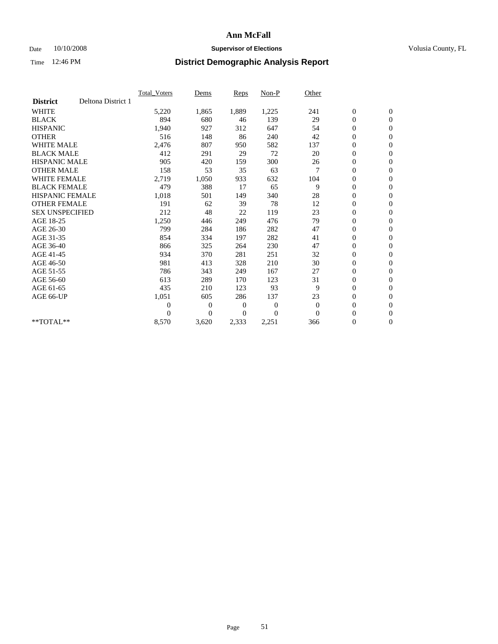### Date  $10/10/2008$  **Supervisor of Elections** Volusia County, FL

|                        |                    | <b>Total Voters</b> | Dems           | <b>Reps</b>    | Non-P          | Other          |                  |                  |  |
|------------------------|--------------------|---------------------|----------------|----------------|----------------|----------------|------------------|------------------|--|
| <b>District</b>        | Deltona District 1 |                     |                |                |                |                |                  |                  |  |
| <b>WHITE</b>           |                    | 5,220               | 1,865          | 1,889          | 1,225          | 241            | $\boldsymbol{0}$ | $\boldsymbol{0}$ |  |
| <b>BLACK</b>           |                    | 894                 | 680            | 46             | 139            | 29             | $\boldsymbol{0}$ | $\mathbf{0}$     |  |
| <b>HISPANIC</b>        |                    | 1,940               | 927            | 312            | 647            | 54             | $\boldsymbol{0}$ | $\mathbf{0}$     |  |
| <b>OTHER</b>           |                    | 516                 | 148            | 86             | 240            | 42             | 0                | $\mathbf{0}$     |  |
| <b>WHITE MALE</b>      |                    | 2,476               | 807            | 950            | 582            | 137            | 0                | $\mathbf{0}$     |  |
| <b>BLACK MALE</b>      |                    | 412                 | 291            | 29             | 72             | 20             | $\overline{0}$   | $\mathbf{0}$     |  |
| <b>HISPANIC MALE</b>   |                    | 905                 | 420            | 159            | 300            | 26             | 0                | $\mathbf{0}$     |  |
| <b>OTHER MALE</b>      |                    | 158                 | 53             | 35             | 63             | 7              | 0                | $\mathbf{0}$     |  |
| <b>WHITE FEMALE</b>    |                    | 2,719               | 1,050          | 933            | 632            | 104            | $\boldsymbol{0}$ | $\mathbf{0}$     |  |
| <b>BLACK FEMALE</b>    |                    | 479                 | 388            | 17             | 65             | 9              | 0                | $\mathbf{0}$     |  |
| HISPANIC FEMALE        |                    | 1,018               | 501            | 149            | 340            | 28             | 0                | $\mathbf{0}$     |  |
| <b>OTHER FEMALE</b>    |                    | 191                 | 62             | 39             | 78             | 12             | 0                | $\mathbf{0}$     |  |
| <b>SEX UNSPECIFIED</b> |                    | 212                 | 48             | 22             | 119            | 23             | 0                | $\mathbf{0}$     |  |
| AGE 18-25              |                    | 1,250               | 446            | 249            | 476            | 79             | $\boldsymbol{0}$ | $\mathbf{0}$     |  |
| AGE 26-30              |                    | 799                 | 284            | 186            | 282            | 47             | $\overline{0}$   | $\mathbf{0}$     |  |
| AGE 31-35              |                    | 854                 | 334            | 197            | 282            | 41             | 0                | $\mathbf{0}$     |  |
| AGE 36-40              |                    | 866                 | 325            | 264            | 230            | 47             | 0                | $\mathbf{0}$     |  |
| AGE 41-45              |                    | 934                 | 370            | 281            | 251            | 32             | $\boldsymbol{0}$ | $\mathbf{0}$     |  |
| AGE 46-50              |                    | 981                 | 413            | 328            | 210            | 30             | 0                | $\mathbf{0}$     |  |
| AGE 51-55              |                    | 786                 | 343            | 249            | 167            | 27             | $\boldsymbol{0}$ | $\mathbf{0}$     |  |
| AGE 56-60              |                    | 613                 | 289            | 170            | 123            | 31             | $\overline{0}$   | $\mathbf{0}$     |  |
| AGE 61-65              |                    | 435                 | 210            | 123            | 93             | 9              | 0                | $\mathbf{0}$     |  |
| AGE 66-UP              |                    | 1,051               | 605            | 286            | 137            | 23             | 0                | $\mathbf{0}$     |  |
|                        |                    | 0                   | $\mathbf{0}$   | $\overline{0}$ | $\overline{0}$ | $\theta$       | $\overline{0}$   | $\mathbf{0}$     |  |
|                        |                    | 0                   | $\overline{0}$ | 0              | $\overline{0}$ | $\overline{0}$ | 0                | $\mathbf{0}$     |  |
| **TOTAL**              |                    | 8,570               | 3,620          | 2,333          | 2,251          | 366            | 0                | $\boldsymbol{0}$ |  |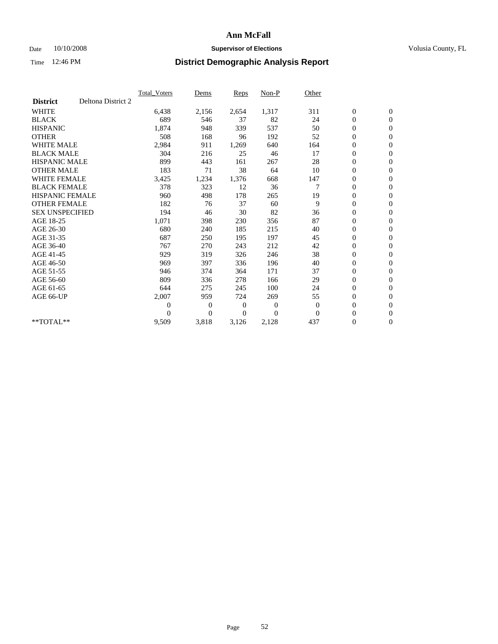### Date  $10/10/2008$  **Supervisor of Elections** Volusia County, FL

|                        |                    | <b>Total Voters</b> | Dems           | <b>Reps</b>    | Non-P          | Other        |                  |                  |  |
|------------------------|--------------------|---------------------|----------------|----------------|----------------|--------------|------------------|------------------|--|
| <b>District</b>        | Deltona District 2 |                     |                |                |                |              |                  |                  |  |
| <b>WHITE</b>           |                    | 6,438               | 2,156          | 2,654          | 1,317          | 311          | $\boldsymbol{0}$ | $\boldsymbol{0}$ |  |
| <b>BLACK</b>           |                    | 689                 | 546            | 37             | 82             | 24           | $\boldsymbol{0}$ | $\mathbf{0}$     |  |
| <b>HISPANIC</b>        |                    | 1,874               | 948            | 339            | 537            | 50           | $\boldsymbol{0}$ | $\mathbf{0}$     |  |
| <b>OTHER</b>           |                    | 508                 | 168            | 96             | 192            | 52           | $\boldsymbol{0}$ | $\mathbf{0}$     |  |
| <b>WHITE MALE</b>      |                    | 2,984               | 911            | 1,269          | 640            | 164          | $\boldsymbol{0}$ | $\mathbf{0}$     |  |
| <b>BLACK MALE</b>      |                    | 304                 | 216            | 25             | 46             | 17           | $\overline{0}$   | $\mathbf{0}$     |  |
| <b>HISPANIC MALE</b>   |                    | 899                 | 443            | 161            | 267            | 28           | $\boldsymbol{0}$ | $\mathbf{0}$     |  |
| <b>OTHER MALE</b>      |                    | 183                 | 71             | 38             | 64             | 10           | $\overline{0}$   | $\mathbf{0}$     |  |
| <b>WHITE FEMALE</b>    |                    | 3,425               | 1,234          | 1,376          | 668            | 147          | $\boldsymbol{0}$ | $\mathbf{0}$     |  |
| <b>BLACK FEMALE</b>    |                    | 378                 | 323            | 12             | 36             | 7            | $\boldsymbol{0}$ | $\mathbf{0}$     |  |
| <b>HISPANIC FEMALE</b> |                    | 960                 | 498            | 178            | 265            | 19           | $\boldsymbol{0}$ | $\mathbf{0}$     |  |
| <b>OTHER FEMALE</b>    |                    | 182                 | 76             | 37             | 60             | 9            | $\mathbf{0}$     | $\mathbf{0}$     |  |
| <b>SEX UNSPECIFIED</b> |                    | 194                 | 46             | 30             | 82             | 36           | $\boldsymbol{0}$ | $\mathbf{0}$     |  |
| AGE 18-25              |                    | 1,071               | 398            | 230            | 356            | 87           | $\boldsymbol{0}$ | $\mathbf{0}$     |  |
| AGE 26-30              |                    | 680                 | 240            | 185            | 215            | 40           | $\boldsymbol{0}$ | $\mathbf{0}$     |  |
| AGE 31-35              |                    | 687                 | 250            | 195            | 197            | 45           | $\boldsymbol{0}$ | $\mathbf{0}$     |  |
| AGE 36-40              |                    | 767                 | 270            | 243            | 212            | 42           | $\boldsymbol{0}$ | $\mathbf{0}$     |  |
| AGE 41-45              |                    | 929                 | 319            | 326            | 246            | 38           | $\boldsymbol{0}$ | $\mathbf{0}$     |  |
| AGE 46-50              |                    | 969                 | 397            | 336            | 196            | 40           | $\boldsymbol{0}$ | $\mathbf{0}$     |  |
| AGE 51-55              |                    | 946                 | 374            | 364            | 171            | 37           | $\boldsymbol{0}$ | $\mathbf{0}$     |  |
| AGE 56-60              |                    | 809                 | 336            | 278            | 166            | 29           | $\overline{0}$   | $\mathbf{0}$     |  |
| AGE 61-65              |                    | 644                 | 275            | 245            | 100            | 24           | $\overline{0}$   | $\mathbf{0}$     |  |
| AGE 66-UP              |                    | 2,007               | 959            | 724            | 269            | 55           | $\boldsymbol{0}$ | $\mathbf{0}$     |  |
|                        |                    | $\boldsymbol{0}$    | $\overline{0}$ | $\mathbf{0}$   | $\mathbf{0}$   | $\mathbf{0}$ | $\mathbf{0}$     | $\mathbf{0}$     |  |
|                        |                    | $\theta$            | $\overline{0}$ | $\overline{0}$ | $\overline{0}$ | $\mathbf{0}$ | $\boldsymbol{0}$ | $\mathbf{0}$     |  |
| **TOTAL**              |                    | 9,509               | 3,818          | 3,126          | 2,128          | 437          | 0                | $\boldsymbol{0}$ |  |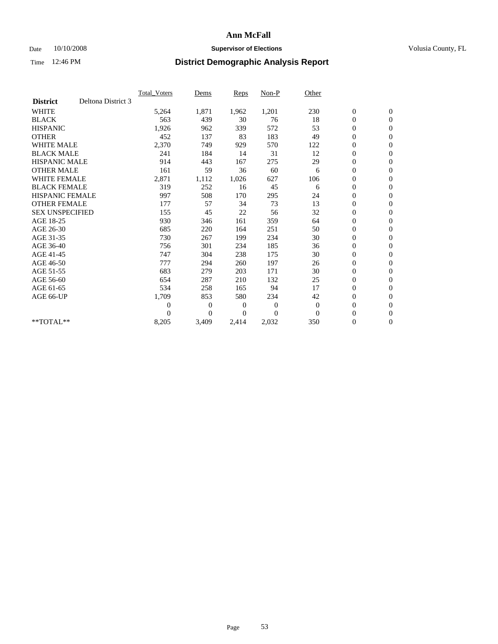### Date  $10/10/2008$  **Supervisor of Elections** Volusia County, FL

|                        |                    | <b>Total Voters</b> | Dems           | Reps           | Non-P          | Other          |                  |                  |  |
|------------------------|--------------------|---------------------|----------------|----------------|----------------|----------------|------------------|------------------|--|
| <b>District</b>        | Deltona District 3 |                     |                |                |                |                |                  |                  |  |
| <b>WHITE</b>           |                    | 5,264               | 1,871          | 1,962          | 1,201          | 230            | $\boldsymbol{0}$ | $\boldsymbol{0}$ |  |
| <b>BLACK</b>           |                    | 563                 | 439            | 30             | 76             | 18             | $\boldsymbol{0}$ | $\mathbf{0}$     |  |
| <b>HISPANIC</b>        |                    | 1,926               | 962            | 339            | 572            | 53             | $\overline{0}$   | $\mathbf{0}$     |  |
| <b>OTHER</b>           |                    | 452                 | 137            | 83             | 183            | 49             | 0                | $\mathbf{0}$     |  |
| <b>WHITE MALE</b>      |                    | 2,370               | 749            | 929            | 570            | 122            | 0                | $\mathbf{0}$     |  |
| <b>BLACK MALE</b>      |                    | 241                 | 184            | 14             | 31             | 12             | $\overline{0}$   | $\mathbf{0}$     |  |
| <b>HISPANIC MALE</b>   |                    | 914                 | 443            | 167            | 275            | 29             | 0                | $\mathbf{0}$     |  |
| <b>OTHER MALE</b>      |                    | 161                 | 59             | 36             | 60             | 6              | 0                | $\mathbf{0}$     |  |
| <b>WHITE FEMALE</b>    |                    | 2,871               | 1,112          | 1,026          | 627            | 106            | $\boldsymbol{0}$ | $\mathbf{0}$     |  |
| <b>BLACK FEMALE</b>    |                    | 319                 | 252            | 16             | 45             | 6              | 0                | $\mathbf{0}$     |  |
| <b>HISPANIC FEMALE</b> |                    | 997                 | 508            | 170            | 295            | 24             | $\boldsymbol{0}$ | $\mathbf{0}$     |  |
| <b>OTHER FEMALE</b>    |                    | 177                 | 57             | 34             | 73             | 13             | $\overline{0}$   | $\mathbf{0}$     |  |
| <b>SEX UNSPECIFIED</b> |                    | 155                 | 45             | 22             | 56             | 32             | 0                | $\mathbf{0}$     |  |
| AGE 18-25              |                    | 930                 | 346            | 161            | 359            | 64             | 0                | $\mathbf{0}$     |  |
| AGE 26-30              |                    | 685                 | 220            | 164            | 251            | 50             | $\boldsymbol{0}$ | $\mathbf{0}$     |  |
| AGE 31-35              |                    | 730                 | 267            | 199            | 234            | 30             | 0                | $\mathbf{0}$     |  |
| AGE 36-40              |                    | 756                 | 301            | 234            | 185            | 36             | 0                | $\mathbf{0}$     |  |
| AGE 41-45              |                    | 747                 | 304            | 238            | 175            | 30             | 0                | $\mathbf{0}$     |  |
| AGE 46-50              |                    | 777                 | 294            | 260            | 197            | 26             | 0                | $\mathbf{0}$     |  |
| AGE 51-55              |                    | 683                 | 279            | 203            | 171            | 30             | $\boldsymbol{0}$ | $\mathbf{0}$     |  |
| AGE 56-60              |                    | 654                 | 287            | 210            | 132            | 25             | 0                | $\mathbf{0}$     |  |
| AGE 61-65              |                    | 534                 | 258            | 165            | 94             | 17             | 0                | $\mathbf{0}$     |  |
| AGE 66-UP              |                    | 1,709               | 853            | 580            | 234            | 42             | $\boldsymbol{0}$ | $\mathbf{0}$     |  |
|                        |                    | 0                   | $\overline{0}$ | $\overline{0}$ | $\overline{0}$ | $\theta$       | $\overline{0}$   | $\mathbf{0}$     |  |
|                        |                    | 0                   | $\overline{0}$ | 0              | $\theta$       | $\overline{0}$ | 0                | $\mathbf{0}$     |  |
| **TOTAL**              |                    | 8,205               | 3,409          | 2,414          | 2,032          | 350            | 0                | $\boldsymbol{0}$ |  |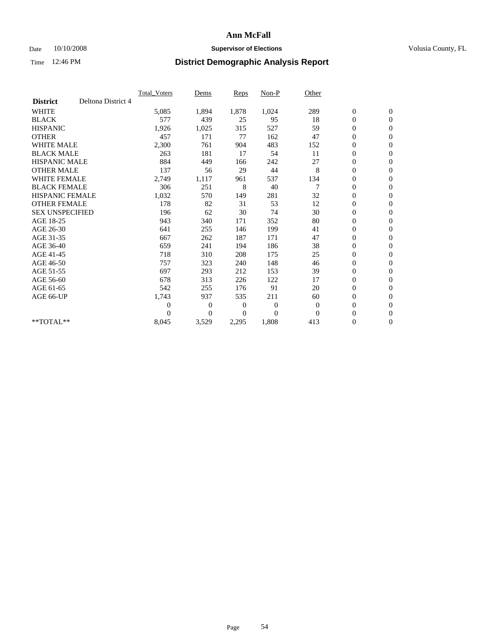### Date 10/10/2008 **Supervisor of Elections Supervisor of Elections** Volusia County, FL

|                        |                    | Total Voters   | Dems           | <b>Reps</b> | Non-P        | Other        |                  |                  |  |
|------------------------|--------------------|----------------|----------------|-------------|--------------|--------------|------------------|------------------|--|
| <b>District</b>        | Deltona District 4 |                |                |             |              |              |                  |                  |  |
| <b>WHITE</b>           |                    | 5,085          | 1,894          | 1,878       | 1,024        | 289          | $\boldsymbol{0}$ | $\boldsymbol{0}$ |  |
| <b>BLACK</b>           |                    | 577            | 439            | 25          | 95           | 18           | $\boldsymbol{0}$ | $\mathbf{0}$     |  |
| <b>HISPANIC</b>        |                    | 1,926          | 1,025          | 315         | 527          | 59           | $\overline{0}$   | $\mathbf{0}$     |  |
| <b>OTHER</b>           |                    | 457            | 171            | 77          | 162          | 47           | $\boldsymbol{0}$ | $\mathbf{0}$     |  |
| <b>WHITE MALE</b>      |                    | 2,300          | 761            | 904         | 483          | 152          | $\boldsymbol{0}$ | $\mathbf{0}$     |  |
| <b>BLACK MALE</b>      |                    | 263            | 181            | 17          | 54           | 11           | $\boldsymbol{0}$ | $\mathbf{0}$     |  |
| <b>HISPANIC MALE</b>   |                    | 884            | 449            | 166         | 242          | 27           | $\boldsymbol{0}$ | $\mathbf{0}$     |  |
| <b>OTHER MALE</b>      |                    | 137            | 56             | 29          | 44           | 8            | $\boldsymbol{0}$ | $\mathbf{0}$     |  |
| <b>WHITE FEMALE</b>    |                    | 2,749          | 1,117          | 961         | 537          | 134          | $\overline{0}$   | $\mathbf{0}$     |  |
| <b>BLACK FEMALE</b>    |                    | 306            | 251            | 8           | 40           | 7            | $\boldsymbol{0}$ | $\mathbf{0}$     |  |
| <b>HISPANIC FEMALE</b> |                    | 1,032          | 570            | 149         | 281          | 32           | $\boldsymbol{0}$ | $\mathbf{0}$     |  |
| <b>OTHER FEMALE</b>    |                    | 178            | 82             | 31          | 53           | 12           | $\mathbf{0}$     | $\mathbf{0}$     |  |
| <b>SEX UNSPECIFIED</b> |                    | 196            | 62             | 30          | 74           | 30           | $\boldsymbol{0}$ | $\mathbf{0}$     |  |
| AGE 18-25              |                    | 943            | 340            | 171         | 352          | 80           | $\overline{0}$   | $\mathbf{0}$     |  |
| AGE 26-30              |                    | 641            | 255            | 146         | 199          | 41           | $\overline{0}$   | $\mathbf{0}$     |  |
| AGE 31-35              |                    | 667            | 262            | 187         | 171          | 47           | $\boldsymbol{0}$ | $\mathbf{0}$     |  |
| AGE 36-40              |                    | 659            | 241            | 194         | 186          | 38           | $\boldsymbol{0}$ | $\mathbf{0}$     |  |
| AGE 41-45              |                    | 718            | 310            | 208         | 175          | 25           | $\overline{0}$   | $\mathbf{0}$     |  |
| AGE 46-50              |                    | 757            | 323            | 240         | 148          | 46           | $\boldsymbol{0}$ | $\mathbf{0}$     |  |
| AGE 51-55              |                    | 697            | 293            | 212         | 153          | 39           | $\boldsymbol{0}$ | $\mathbf{0}$     |  |
| AGE 56-60              |                    | 678            | 313            | 226         | 122          | 17           | $\boldsymbol{0}$ | $\Omega$         |  |
| AGE 61-65              |                    | 542            | 255            | 176         | 91           | 20           | $\mathbf{0}$     | $\mathbf{0}$     |  |
| AGE 66-UP              |                    | 1,743          | 937            | 535         | 211          | 60           | $\boldsymbol{0}$ | $\mathbf{0}$     |  |
|                        |                    | $\overline{0}$ | $\overline{0}$ | 0           | $\mathbf{0}$ | $\mathbf{0}$ | $\overline{0}$   | $\mathbf{0}$     |  |
|                        |                    | $\theta$       | $\overline{0}$ | $\Omega$    | $\theta$     | $\Omega$     | $\boldsymbol{0}$ | $\mathbf{0}$     |  |
| **TOTAL**              |                    | 8,045          | 3,529          | 2,295       | 1,808        | 413          | 0                | $\mathbf{0}$     |  |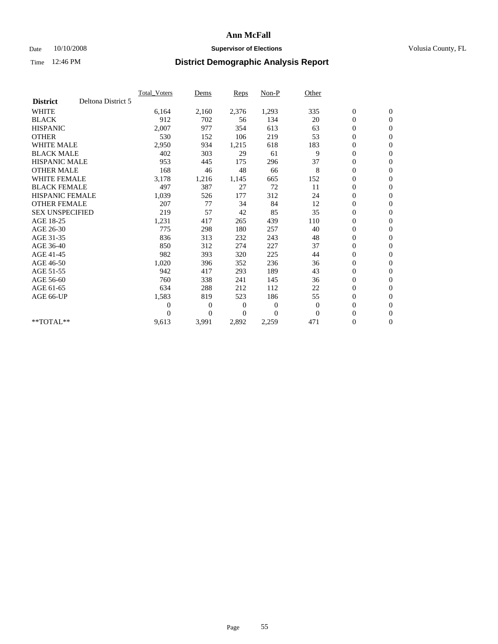### Date 10/10/2008 **Supervisor of Elections Supervisor of Elections** Volusia County, FL

|                        |                    | Total Voters   | Dems           | <b>Reps</b>    | Non-P          | Other        |                  |                  |  |
|------------------------|--------------------|----------------|----------------|----------------|----------------|--------------|------------------|------------------|--|
| <b>District</b>        | Deltona District 5 |                |                |                |                |              |                  |                  |  |
| <b>WHITE</b>           |                    | 6,164          | 2,160          | 2,376          | 1,293          | 335          | $\boldsymbol{0}$ | $\boldsymbol{0}$ |  |
| <b>BLACK</b>           |                    | 912            | 702            | 56             | 134            | 20           | $\boldsymbol{0}$ | $\mathbf{0}$     |  |
| <b>HISPANIC</b>        |                    | 2,007          | 977            | 354            | 613            | 63           | $\boldsymbol{0}$ | $\mathbf{0}$     |  |
| <b>OTHER</b>           |                    | 530            | 152            | 106            | 219            | 53           | $\boldsymbol{0}$ | $\mathbf{0}$     |  |
| <b>WHITE MALE</b>      |                    | 2,950          | 934            | 1,215          | 618            | 183          | $\boldsymbol{0}$ | $\mathbf{0}$     |  |
| <b>BLACK MALE</b>      |                    | 402            | 303            | 29             | 61             | 9            | $\overline{0}$   | $\mathbf{0}$     |  |
| <b>HISPANIC MALE</b>   |                    | 953            | 445            | 175            | 296            | 37           | 0                | $\Omega$         |  |
| <b>OTHER MALE</b>      |                    | 168            | 46             | 48             | 66             | 8            | $\overline{0}$   | $\mathbf{0}$     |  |
| <b>WHITE FEMALE</b>    |                    | 3,178          | 1,216          | 1,145          | 665            | 152          | $\boldsymbol{0}$ | $\mathbf{0}$     |  |
| <b>BLACK FEMALE</b>    |                    | 497            | 387            | 27             | 72             | 11           | $\boldsymbol{0}$ | $\mathbf{0}$     |  |
| <b>HISPANIC FEMALE</b> |                    | 1,039          | 526            | 177            | 312            | 24           | $\boldsymbol{0}$ | $\mathbf{0}$     |  |
| <b>OTHER FEMALE</b>    |                    | 207            | 77             | 34             | 84             | 12           | $\mathbf{0}$     | $\mathbf{0}$     |  |
| <b>SEX UNSPECIFIED</b> |                    | 219            | 57             | 42             | 85             | 35           | $\boldsymbol{0}$ | $\mathbf{0}$     |  |
| AGE 18-25              |                    | 1,231          | 417            | 265            | 439            | 110          | $\boldsymbol{0}$ | $\mathbf{0}$     |  |
| AGE 26-30              |                    | 775            | 298            | 180            | 257            | 40           | $\overline{0}$   | $\mathbf{0}$     |  |
| AGE 31-35              |                    | 836            | 313            | 232            | 243            | 48           | $\boldsymbol{0}$ | $\mathbf{0}$     |  |
| AGE 36-40              |                    | 850            | 312            | 274            | 227            | 37           | $\boldsymbol{0}$ | $\mathbf{0}$     |  |
| AGE 41-45              |                    | 982            | 393            | 320            | 225            | 44           | $\boldsymbol{0}$ | $\mathbf{0}$     |  |
| AGE 46-50              |                    | 1,020          | 396            | 352            | 236            | 36           | $\boldsymbol{0}$ | $\Omega$         |  |
| AGE 51-55              |                    | 942            | 417            | 293            | 189            | 43           | $\boldsymbol{0}$ | $\mathbf{0}$     |  |
| AGE 56-60              |                    | 760            | 338            | 241            | 145            | 36           | $\boldsymbol{0}$ | $\mathbf{0}$     |  |
| AGE 61-65              |                    | 634            | 288            | 212            | 112            | 22           | $\overline{0}$   | $\mathbf{0}$     |  |
| AGE 66-UP              |                    | 1,583          | 819            | 523            | 186            | 55           | $\boldsymbol{0}$ | $\mathbf{0}$     |  |
|                        |                    | $\overline{0}$ | $\overline{0}$ | 0              | $\mathbf{0}$   | $\mathbf{0}$ | $\mathbf{0}$     | $\mathbf{0}$     |  |
|                        |                    | $\Omega$       | $\overline{0}$ | $\overline{0}$ | $\overline{0}$ | $\mathbf{0}$ | $\boldsymbol{0}$ | $\mathbf{0}$     |  |
| **TOTAL**              |                    | 9,613          | 3,991          | 2,892          | 2,259          | 471          | 0                | $\boldsymbol{0}$ |  |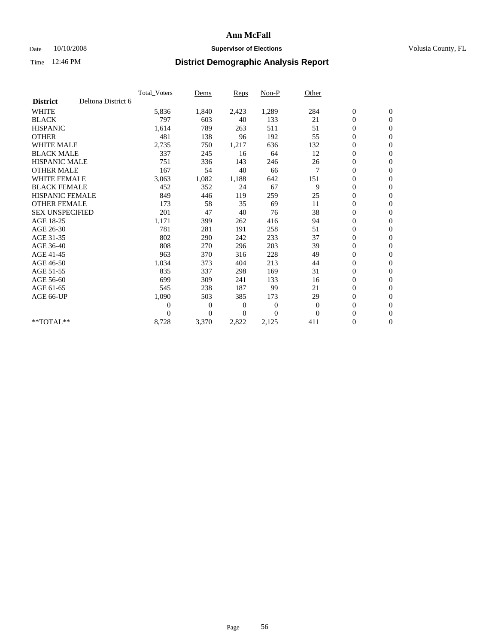### Date  $10/10/2008$  **Supervisor of Elections** Volusia County, FL

|                        |                    | Total Voters   | Dems           | Reps         | Non-P            | Other    |                  |                  |
|------------------------|--------------------|----------------|----------------|--------------|------------------|----------|------------------|------------------|
| <b>District</b>        | Deltona District 6 |                |                |              |                  |          |                  |                  |
| <b>WHITE</b>           |                    | 5,836          | 1,840          | 2,423        | 1,289            | 284      | $\boldsymbol{0}$ | $\boldsymbol{0}$ |
| <b>BLACK</b>           |                    | 797            | 603            | 40           | 133              | 21       | $\boldsymbol{0}$ | $\mathbf{0}$     |
| <b>HISPANIC</b>        |                    | 1,614          | 789            | 263          | 511              | 51       | $\overline{0}$   | $\mathbf{0}$     |
| <b>OTHER</b>           |                    | 481            | 138            | 96           | 192              | 55       | $\boldsymbol{0}$ | $\mathbf{0}$     |
| <b>WHITE MALE</b>      |                    | 2,735          | 750            | 1,217        | 636              | 132      | $\boldsymbol{0}$ | $\mathbf{0}$     |
| <b>BLACK MALE</b>      |                    | 337            | 245            | 16           | 64               | 12       | $\boldsymbol{0}$ | $\mathbf{0}$     |
| <b>HISPANIC MALE</b>   |                    | 751            | 336            | 143          | 246              | 26       | $\boldsymbol{0}$ | $\mathbf{0}$     |
| <b>OTHER MALE</b>      |                    | 167            | 54             | 40           | 66               | 7        | $\boldsymbol{0}$ | $\mathbf{0}$     |
| <b>WHITE FEMALE</b>    |                    | 3,063          | 1,082          | 1,188        | 642              | 151      | $\overline{0}$   | $\mathbf{0}$     |
| <b>BLACK FEMALE</b>    |                    | 452            | 352            | 24           | 67               | 9        | $\boldsymbol{0}$ | $\mathbf{0}$     |
| <b>HISPANIC FEMALE</b> |                    | 849            | 446            | 119          | 259              | 25       | $\overline{0}$   | $\mathbf{0}$     |
| <b>OTHER FEMALE</b>    |                    | 173            | 58             | 35           | 69               | 11       | $\boldsymbol{0}$ | $\mathbf{0}$     |
| <b>SEX UNSPECIFIED</b> |                    | 201            | 47             | 40           | 76               | 38       | $\boldsymbol{0}$ | $\boldsymbol{0}$ |
| AGE 18-25              |                    | 1,171          | 399            | 262          | 416              | 94       | $\boldsymbol{0}$ | $\boldsymbol{0}$ |
| AGE 26-30              |                    | 781            | 281            | 191          | 258              | 51       | $\boldsymbol{0}$ | $\mathbf{0}$     |
| AGE 31-35              |                    | 802            | 290            | 242          | 233              | 37       | $\boldsymbol{0}$ | $\mathbf{0}$     |
| AGE 36-40              |                    | 808            | 270            | 296          | 203              | 39       | $\boldsymbol{0}$ | $\mathbf{0}$     |
| AGE 41-45              |                    | 963            | 370            | 316          | 228              | 49       | 0                | $\mathbf{0}$     |
| AGE 46-50              |                    | 1,034          | 373            | 404          | 213              | 44       | $\boldsymbol{0}$ | $\boldsymbol{0}$ |
| AGE 51-55              |                    | 835            | 337            | 298          | 169              | 31       | $\boldsymbol{0}$ | $\mathbf{0}$     |
| AGE 56-60              |                    | 699            | 309            | 241          | 133              | 16       | $\boldsymbol{0}$ | $\boldsymbol{0}$ |
| AGE 61-65              |                    | 545            | 238            | 187          | 99               | 21       | $\overline{0}$   | $\mathbf{0}$     |
| AGE 66-UP              |                    | 1,090          | 503            | 385          | 173              | 29       | $\boldsymbol{0}$ | $\mathbf{0}$     |
|                        |                    | $\overline{0}$ | $\overline{0}$ | $\mathbf{0}$ | $\boldsymbol{0}$ | $\theta$ | $\boldsymbol{0}$ | $\mathbf{0}$     |
|                        |                    | $\theta$       | $\overline{0}$ | $\mathbf{0}$ | $\theta$         | $\theta$ | $\overline{0}$   | $\mathbf{0}$     |
| $*$ TOTAL $**$         |                    | 8,728          | 3,370          | 2,822        | 2,125            | 411      | 0                | $\boldsymbol{0}$ |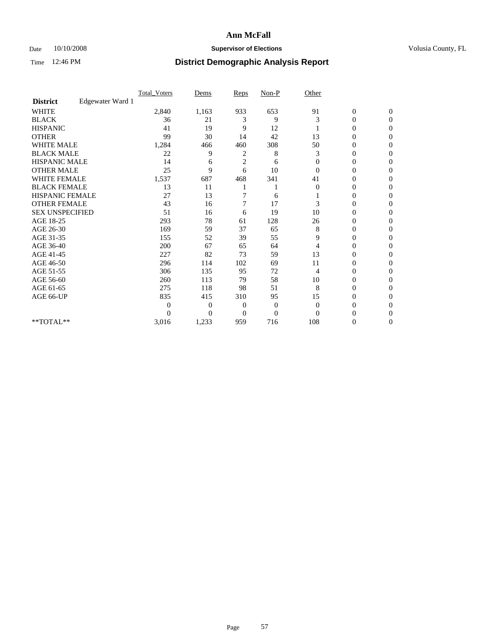### Date 10/10/2008 **Supervisor of Elections Supervisor of Elections** Volusia County, FL

|                        |                  | Total Voters   | Dems           | Reps           | $Non-P$      | Other          |                  |                  |  |
|------------------------|------------------|----------------|----------------|----------------|--------------|----------------|------------------|------------------|--|
| <b>District</b>        | Edgewater Ward 1 |                |                |                |              |                |                  |                  |  |
| WHITE                  |                  | 2,840          | 1,163          | 933            | 653          | 91             | $\boldsymbol{0}$ | $\boldsymbol{0}$ |  |
| <b>BLACK</b>           |                  | 36             | 21             | 3              | 9            | 3              | $\overline{0}$   | $\Omega$         |  |
| <b>HISPANIC</b>        |                  | 41             | 19             | 9              | 12           |                | 0                | $\Omega$         |  |
| <b>OTHER</b>           |                  | 99             | 30             | 14             | 42           | 13             | 0                | $\Omega$         |  |
| <b>WHITE MALE</b>      |                  | 1,284          | 466            | 460            | 308          | 50             | $\mathbf{0}$     | $\Omega$         |  |
| <b>BLACK MALE</b>      |                  | 22             | 9              | 2              | 8            | 3              | 0                | $\Omega$         |  |
| <b>HISPANIC MALE</b>   |                  | 14             | 6              | $\overline{2}$ | 6            | $\mathbf{0}$   | 0                | $\Omega$         |  |
| <b>OTHER MALE</b>      |                  | 25             | 9              | 6              | 10           | $\Omega$       | 0                | 0                |  |
| <b>WHITE FEMALE</b>    |                  | 1,537          | 687            | 468            | 341          | 41             | 0                | $\Omega$         |  |
| <b>BLACK FEMALE</b>    |                  | 13             | 11             |                |              | $\overline{0}$ | 0                | $\Omega$         |  |
| HISPANIC FEMALE        |                  | 27             | 13             |                | 6            |                | 0                | $\Omega$         |  |
| <b>OTHER FEMALE</b>    |                  | 43             | 16             | 7              | 17           | 3              | 0                | $\Omega$         |  |
| <b>SEX UNSPECIFIED</b> |                  | 51             | 16             | 6              | 19           | 10             | 0                | $\Omega$         |  |
| AGE 18-25              |                  | 293            | 78             | 61             | 128          | 26             | 0                | $\Omega$         |  |
| AGE 26-30              |                  | 169            | 59             | 37             | 65           | 8              | 0                | $\Omega$         |  |
| AGE 31-35              |                  | 155            | 52             | 39             | 55           | 9              | 0                | $\Omega$         |  |
| AGE 36-40              |                  | 200            | 67             | 65             | 64           | 4              | 0                | 0                |  |
| AGE 41-45              |                  | 227            | 82             | 73             | 59           | 13             | 0                | $\Omega$         |  |
| AGE 46-50              |                  | 296            | 114            | 102            | 69           | 11             | 0                | $\Omega$         |  |
| AGE 51-55              |                  | 306            | 135            | 95             | 72           | 4              | 0                | $\mathbf{0}$     |  |
| AGE 56-60              |                  | 260            | 113            | 79             | 58           | 10             | 0                | 0                |  |
| AGE 61-65              |                  | 275            | 118            | 98             | 51           | 8              | $\overline{0}$   | $\Omega$         |  |
| AGE 66-UP              |                  | 835            | 415            | 310            | 95           | 15             | 0                | 0                |  |
|                        |                  | $\overline{0}$ | $\overline{0}$ | 0              | $\mathbf{0}$ | $\overline{0}$ | 0                | $\Omega$         |  |
|                        |                  | $\theta$       | $\overline{0}$ | $\Omega$       | $\theta$     | $\Omega$       | 0                | $\Omega$         |  |
| **TOTAL**              |                  | 3,016          | 1,233          | 959            | 716          | 108            | 0                | $\mathbf{0}$     |  |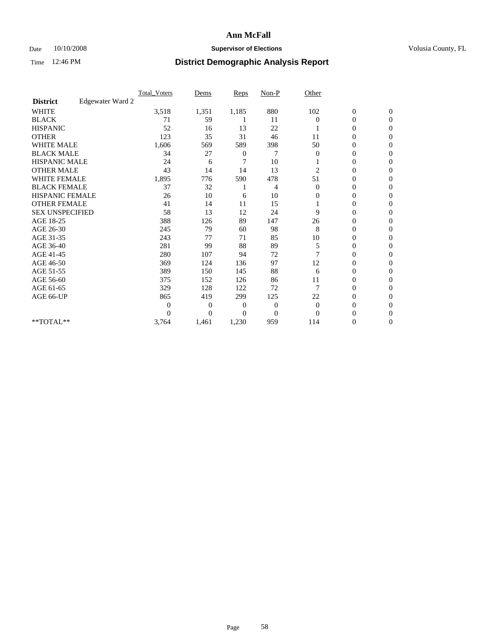### Date  $10/10/2008$  **Supervisor of Elections** Volusia County, FL

|                        |                  | <b>Total Voters</b> | Dems           | Reps           | $Non-P$        | Other          |                  |              |  |
|------------------------|------------------|---------------------|----------------|----------------|----------------|----------------|------------------|--------------|--|
| <b>District</b>        | Edgewater Ward 2 |                     |                |                |                |                |                  |              |  |
| <b>WHITE</b>           |                  | 3,518               | 1,351          | 1,185          | 880            | 102            | $\boldsymbol{0}$ | $\mathbf{0}$ |  |
| <b>BLACK</b>           |                  | 71                  | 59             |                | 11             | $\Omega$       | 0                | $\mathbf{0}$ |  |
| <b>HISPANIC</b>        |                  | 52                  | 16             | 13             | 22             |                | 0                | $\mathbf{0}$ |  |
| <b>OTHER</b>           |                  | 123                 | 35             | 31             | 46             | 11             | 0                | $\Omega$     |  |
| <b>WHITE MALE</b>      |                  | 1,606               | 569            | 589            | 398            | 50             | 0                | $\Omega$     |  |
| <b>BLACK MALE</b>      |                  | 34                  | 27             | 0              | 7              | $\overline{0}$ | 0                | $\Omega$     |  |
| HISPANIC MALE          |                  | 24                  | 6              | 7              | 10             |                | 0                | $\Omega$     |  |
| <b>OTHER MALE</b>      |                  | 43                  | 14             | 14             | 13             | 2              | 0                | $\mathbf{0}$ |  |
| <b>WHITE FEMALE</b>    |                  | 1,895               | 776            | 590            | 478            | 51             | 0                | $\Omega$     |  |
| <b>BLACK FEMALE</b>    |                  | 37                  | 32             |                | 4              | $\overline{0}$ | 0                | $\mathbf{0}$ |  |
| <b>HISPANIC FEMALE</b> |                  | 26                  | 10             | 6              | 10             | 0              | 0                | $\mathbf{0}$ |  |
| <b>OTHER FEMALE</b>    |                  | 41                  | 14             | 11             | 15             |                | 0                | $\Omega$     |  |
| <b>SEX UNSPECIFIED</b> |                  | 58                  | 13             | 12             | 24             | 9              | 0                | $\mathbf{0}$ |  |
| AGE 18-25              |                  | 388                 | 126            | 89             | 147            | 26             | 0                | $\mathbf{0}$ |  |
| AGE 26-30              |                  | 245                 | 79             | 60             | 98             | 8              | 0                | $\Omega$     |  |
| AGE 31-35              |                  | 243                 | 77             | 71             | 85             | 10             | 0                | $\mathbf{0}$ |  |
| AGE 36-40              |                  | 281                 | 99             | 88             | 89             | 5              | 0                | 0            |  |
| AGE 41-45              |                  | 280                 | 107            | 94             | 72             |                | 0                | $\Omega$     |  |
| AGE 46-50              |                  | 369                 | 124            | 136            | 97             | 12             | 0                | $\mathbf{0}$ |  |
| AGE 51-55              |                  | 389                 | 150            | 145            | 88             | 6              | 0                | 0            |  |
| AGE 56-60              |                  | 375                 | 152            | 126            | 86             | 11             | 0                | $\Omega$     |  |
| AGE 61-65              |                  | 329                 | 128            | 122            | 72             | 7              | 0                | $\Omega$     |  |
| AGE 66-UP              |                  | 865                 | 419            | 299            | 125            | 22             | 0                | $\mathbf{0}$ |  |
|                        |                  | $\Omega$            | $\overline{0}$ | $\overline{0}$ | $\overline{0}$ | $\overline{0}$ | 0                | $\Omega$     |  |
|                        |                  | 0                   | $\overline{0}$ | 0              | $\overline{0}$ | $\Omega$       | $\theta$         | $\theta$     |  |
| **TOTAL**              |                  | 3,764               | 1,461          | 1,230          | 959            | 114            | 0                | $\mathbf{0}$ |  |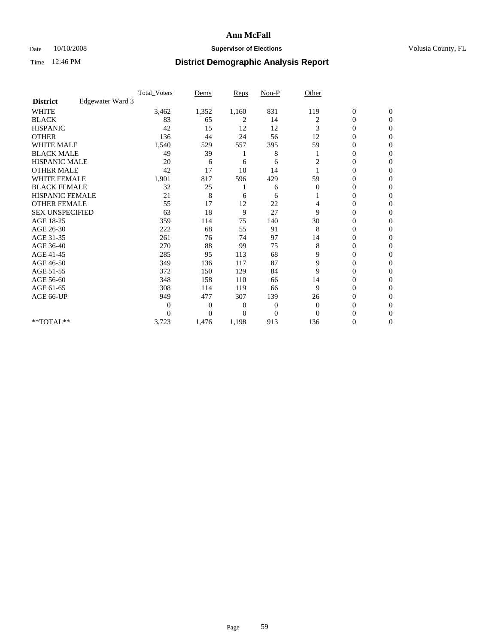### Date 10/10/2008 **Supervisor of Elections Supervisor of Elections** Volusia County, FL

|                        |                  | <b>Total_Voters</b> | Dems           | <b>Reps</b> | $Non-P$  | Other          |                  |                  |  |
|------------------------|------------------|---------------------|----------------|-------------|----------|----------------|------------------|------------------|--|
| <b>District</b>        | Edgewater Ward 3 |                     |                |             |          |                |                  |                  |  |
| <b>WHITE</b>           |                  | 3,462               | 1,352          | 1,160       | 831      | 119            | $\boldsymbol{0}$ | $\boldsymbol{0}$ |  |
| <b>BLACK</b>           |                  | 83                  | 65             | 2           | 14       | 2              | $\overline{0}$   | $\Omega$         |  |
| <b>HISPANIC</b>        |                  | 42                  | 15             | 12          | 12       | 3              | $\mathbf{0}$     | $\Omega$         |  |
| <b>OTHER</b>           |                  | 136                 | 44             | 24          | 56       | 12             | 0                | $\Omega$         |  |
| <b>WHITE MALE</b>      |                  | 1,540               | 529            | 557         | 395      | 59             | $\mathbf{0}$     | $\mathbf{0}$     |  |
| <b>BLACK MALE</b>      |                  | 49                  | 39             |             | 8        |                | $\mathbf{0}$     | $\Omega$         |  |
| <b>HISPANIC MALE</b>   |                  | 20                  | 6              | 6           | 6        | $\overline{c}$ | 0                | $\Omega$         |  |
| <b>OTHER MALE</b>      |                  | 42                  | 17             | 10          | 14       |                | 0                | 0                |  |
| <b>WHITE FEMALE</b>    |                  | 1,901               | 817            | 596         | 429      | 59             | 0                | $\Omega$         |  |
| <b>BLACK FEMALE</b>    |                  | 32                  | 25             |             | 6        | $\overline{0}$ | 0                | $\Omega$         |  |
| <b>HISPANIC FEMALE</b> |                  | 21                  | 8              | 6           | 6        |                | 0                | $\Omega$         |  |
| <b>OTHER FEMALE</b>    |                  | 55                  | 17             | 12          | 22       | 4              | 0                | $\Omega$         |  |
| <b>SEX UNSPECIFIED</b> |                  | 63                  | 18             | 9           | 27       | 9              | $\overline{0}$   | $\Omega$         |  |
| AGE 18-25              |                  | 359                 | 114            | 75          | 140      | 30             | 0                | 0                |  |
| AGE 26-30              |                  | 222                 | 68             | 55          | 91       | 8              | 0                | $\Omega$         |  |
| AGE 31-35              |                  | 261                 | 76             | 74          | 97       | 14             | 0                | $\Omega$         |  |
| AGE 36-40              |                  | 270                 | 88             | 99          | 75       | 8              | 0                | 0                |  |
| AGE 41-45              |                  | 285                 | 95             | 113         | 68       | 9              | 0                | $\Omega$         |  |
| AGE 46-50              |                  | 349                 | 136            | 117         | 87       | 9              | 0                | $\Omega$         |  |
| AGE 51-55              |                  | 372                 | 150            | 129         | 84       | 9              | 0                | $\mathbf{0}$     |  |
| AGE 56-60              |                  | 348                 | 158            | 110         | 66       | 14             | 0                | 0                |  |
| AGE 61-65              |                  | 308                 | 114            | 119         | 66       | 9              | 0                | $\Omega$         |  |
| AGE 66-UP              |                  | 949                 | 477            | 307         | 139      | 26             | 0                | 0                |  |
|                        |                  | 0                   | 0              | 0           | 0        | $\mathbf{0}$   | 0                | $\Omega$         |  |
|                        |                  | $\theta$            | $\overline{0}$ | $\Omega$    | $\Omega$ | $\Omega$       | 0                | $\Omega$         |  |
| **TOTAL**              |                  | 3,723               | 1,476          | 1,198       | 913      | 136            | 0                | $\mathbf{0}$     |  |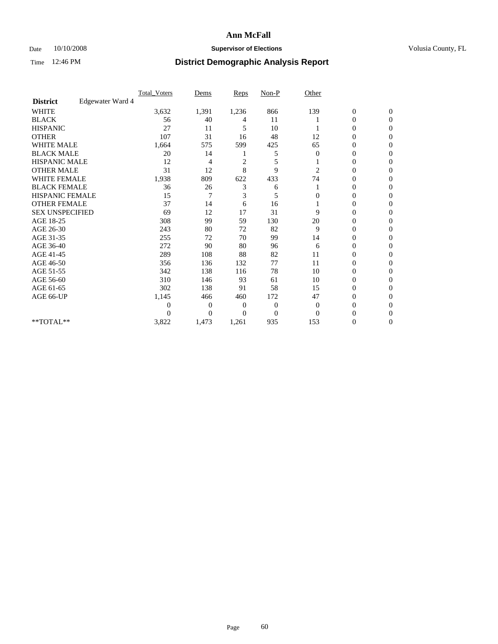### Date  $10/10/2008$  **Supervisor of Elections** Volusia County, FL

|                        |                  | Total Voters | Dems           | <b>Reps</b>    | $Non-P$        | Other          |                  |              |  |
|------------------------|------------------|--------------|----------------|----------------|----------------|----------------|------------------|--------------|--|
| <b>District</b>        | Edgewater Ward 4 |              |                |                |                |                |                  |              |  |
| <b>WHITE</b>           |                  | 3,632        | 1,391          | 1,236          | 866            | 139            | $\boldsymbol{0}$ | $\mathbf{0}$ |  |
| <b>BLACK</b>           |                  | 56           | 40             | 4              | 11             |                | 0                | $\mathbf{0}$ |  |
| <b>HISPANIC</b>        |                  | 27           | 11             | 5              | 10             |                | 0                | $\Omega$     |  |
| <b>OTHER</b>           |                  | 107          | 31             | 16             | 48             | 12             | 0                | $\Omega$     |  |
| <b>WHITE MALE</b>      |                  | 1,664        | 575            | 599            | 425            | 65             | 0                | 0            |  |
| <b>BLACK MALE</b>      |                  | 20           | 14             |                | 5              | $\Omega$       | $\mathbf{0}$     | $\Omega$     |  |
| HISPANIC MALE          |                  | 12           | 4              | $\overline{c}$ | 5              |                | 0                | $\Omega$     |  |
| <b>OTHER MALE</b>      |                  | 31           | 12             | 8              | 9              | 2              | 0                | 0            |  |
| <b>WHITE FEMALE</b>    |                  | 1,938        | 809            | 622            | 433            | 74             | 0                | $\Omega$     |  |
| <b>BLACK FEMALE</b>    |                  | 36           | 26             | 3              | 6              |                | $\overline{0}$   | $\mathbf{0}$ |  |
| <b>HISPANIC FEMALE</b> |                  | 15           | 7              | 3              | 5              | 0              | 0                | $\Omega$     |  |
| <b>OTHER FEMALE</b>    |                  | 37           | 14             | 6              | 16             |                | 0                | 0            |  |
| <b>SEX UNSPECIFIED</b> |                  | 69           | 12             | 17             | 31             | 9              | 0                | $\Omega$     |  |
| AGE 18-25              |                  | 308          | 99             | 59             | 130            | 20             | 0                | $\mathbf{0}$ |  |
| AGE 26-30              |                  | 243          | 80             | 72             | 82             | 9              | 0                | $\Omega$     |  |
| AGE 31-35              |                  | 255          | 72             | 70             | 99             | 14             | 0                | $\Omega$     |  |
| AGE 36-40              |                  | 272          | 90             | 80             | 96             | 6              | 0                | 0            |  |
| AGE 41-45              |                  | 289          | 108            | 88             | 82             | 11             | $\mathbf{0}$     | $\Omega$     |  |
| AGE 46-50              |                  | 356          | 136            | 132            | 77             | 11             | $\overline{0}$   | $\Omega$     |  |
| AGE 51-55              |                  | 342          | 138            | 116            | 78             | 10             | 0                | 0            |  |
| AGE 56-60              |                  | 310          | 146            | 93             | 61             | 10             | 0                | $\Omega$     |  |
| AGE 61-65              |                  | 302          | 138            | 91             | 58             | 15             | 0                | $\Omega$     |  |
| AGE 66-UP              |                  | 1,145        | 466            | 460            | 172            | 47             | 0                | 0            |  |
|                        |                  | 0            | $\overline{0}$ | $\overline{0}$ | $\overline{0}$ | $\overline{0}$ | 0                | $\Omega$     |  |
|                        |                  | $\theta$     | $\overline{0}$ | 0              | $\overline{0}$ | $\Omega$       | 0                | $\Omega$     |  |
| **TOTAL**              |                  | 3,822        | 1,473          | 1,261          | 935            | 153            | 0                | 0            |  |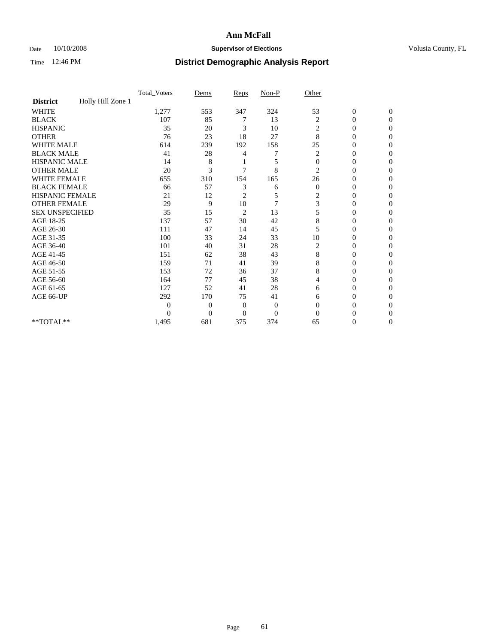### Date 10/10/2008 **Supervisor of Elections Supervisor of Elections** Volusia County, FL

|                        |                   | Total Voters   | Dems           | Reps           | Non-P          | Other          |                  |                  |
|------------------------|-------------------|----------------|----------------|----------------|----------------|----------------|------------------|------------------|
| <b>District</b>        | Holly Hill Zone 1 |                |                |                |                |                |                  |                  |
| <b>WHITE</b>           |                   | 1,277          | 553            | 347            | 324            | 53             | $\boldsymbol{0}$ | $\boldsymbol{0}$ |
| <b>BLACK</b>           |                   | 107            | 85             | 7              | 13             | $\overline{c}$ | 0                | $\Omega$         |
| <b>HISPANIC</b>        |                   | 35             | 20             | 3              | 10             | 2              | $\overline{0}$   | $\Omega$         |
| <b>OTHER</b>           |                   | 76             | 23             | 18             | 27             | 8              | 0                | $\Omega$         |
| <b>WHITE MALE</b>      |                   | 614            | 239            | 192            | 158            | 25             | $\theta$         | $\Omega$         |
| <b>BLACK MALE</b>      |                   | 41             | 28             | 4              | 7              | 2              | $\overline{0}$   | $\overline{0}$   |
| <b>HISPANIC MALE</b>   |                   | 14             | 8              |                | 5              | $\mathbf{0}$   | $\overline{0}$   | 0                |
| <b>OTHER MALE</b>      |                   | 20             | 3              | 7              | 8              | $\overline{2}$ | $\theta$         | $\Omega$         |
| <b>WHITE FEMALE</b>    |                   | 655            | 310            | 154            | 165            | 26             | $\overline{0}$   | $\Omega$         |
| <b>BLACK FEMALE</b>    |                   | 66             | 57             | 3              | 6              | $\mathbf{0}$   | 0                | $\overline{0}$   |
| <b>HISPANIC FEMALE</b> |                   | 21             | 12             | 2              | 5              | 2              | 0                | $\Omega$         |
| <b>OTHER FEMALE</b>    |                   | 29             | 9              | 10             | $\overline{7}$ | 3              | $\overline{0}$   | $\Omega$         |
| <b>SEX UNSPECIFIED</b> |                   | 35             | 15             | $\overline{c}$ | 13             | 5              | 0                | $\overline{0}$   |
| AGE 18-25              |                   | 137            | 57             | 30             | 42             | 8              | $\theta$         | $\Omega$         |
| AGE 26-30              |                   | 111            | 47             | 14             | 45             | 5              | 0                | 0                |
| AGE 31-35              |                   | 100            | 33             | 24             | 33             | 10             | $\overline{0}$   | 0                |
| AGE 36-40              |                   | 101            | 40             | 31             | 28             | $\overline{c}$ | $\overline{0}$   | $\Omega$         |
| AGE 41-45              |                   | 151            | 62             | 38             | 43             | 8              | 0                | 0                |
| AGE 46-50              |                   | 159            | 71             | 41             | 39             | 8              | $\overline{0}$   | $\Omega$         |
| AGE 51-55              |                   | 153            | 72             | 36             | 37             | 8              | 0                | $\Omega$         |
| AGE 56-60              |                   | 164            | 77             | 45             | 38             | 4              | 0                | $\Omega$         |
| AGE 61-65              |                   | 127            | 52             | 41             | 28             | 6              | $\overline{0}$   | $\Omega$         |
| AGE 66-UP              |                   | 292            | 170            | 75             | 41             | 6              | 0                | $\mathbf{0}$     |
|                        |                   | $\overline{0}$ | $\overline{0}$ | $\mathbf{0}$   | $\mathbf{0}$   | $\Omega$       | 0                | $\Omega$         |
|                        |                   | $\theta$       | $\overline{0}$ | $\mathbf{0}$   | $\overline{0}$ | $\Omega$       | $\theta$         | $\overline{0}$   |
| **TOTAL**              |                   | 1,495          | 681            | 375            | 374            | 65             | 0                | $\mathbf{0}$     |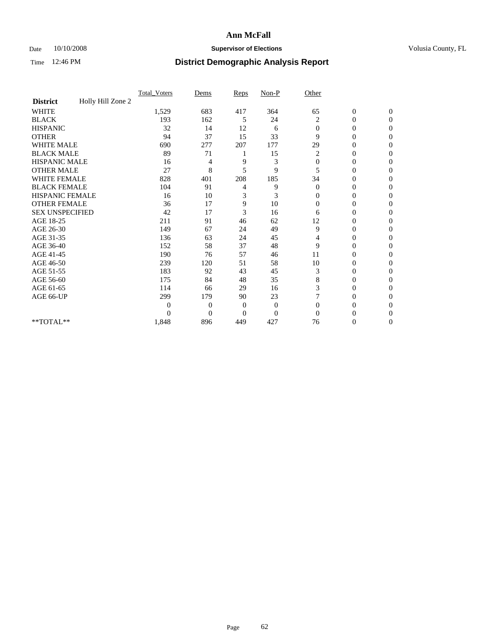### Date  $10/10/2008$  **Supervisor of Elections** Volusia County, FL

|                        |                   | Total Voters | Dems           | Reps           | $Non-P$        | Other        |                  |                |  |
|------------------------|-------------------|--------------|----------------|----------------|----------------|--------------|------------------|----------------|--|
| <b>District</b>        | Holly Hill Zone 2 |              |                |                |                |              |                  |                |  |
| <b>WHITE</b>           |                   | 1,529        | 683            | 417            | 364            | 65           | $\boldsymbol{0}$ | $\mathbf{0}$   |  |
| <b>BLACK</b>           |                   | 193          | 162            | 5              | 24             | 2            | $\overline{0}$   | $\Omega$       |  |
| <b>HISPANIC</b>        |                   | 32           | 14             | 12             | 6              | $\mathbf{0}$ | 0                | $\Omega$       |  |
| <b>OTHER</b>           |                   | 94           | 37             | 15             | 33             | 9            | 0                | $\Omega$       |  |
| <b>WHITE MALE</b>      |                   | 690          | 277            | 207            | 177            | 29           | 0                | $\Omega$       |  |
| <b>BLACK MALE</b>      |                   | 89           | 71             |                | 15             | 2            | $\mathbf{0}$     | $\Omega$       |  |
| HISPANIC MALE          |                   | 16           | 4              | 9              | 3              | $\mathbf{0}$ | $\overline{0}$   | $\Omega$       |  |
| <b>OTHER MALE</b>      |                   | 27           | 8              | 5              | 9              | 5            | 0                | 0              |  |
| <b>WHITE FEMALE</b>    |                   | 828          | 401            | 208            | 185            | 34           | 0                | $\Omega$       |  |
| <b>BLACK FEMALE</b>    |                   | 104          | 91             | 4              | 9              | $\mathbf{0}$ | $\overline{0}$   | $\overline{0}$ |  |
| <b>HISPANIC FEMALE</b> |                   | 16           | 10             | 3              | 3              | 0            | 0                | $\Omega$       |  |
| <b>OTHER FEMALE</b>    |                   | 36           | 17             | 9              | 10             | $\Omega$     | 0                | 0              |  |
| <b>SEX UNSPECIFIED</b> |                   | 42           | 17             | 3              | 16             | 6            | 0                | $\Omega$       |  |
| AGE 18-25              |                   | 211          | 91             | 46             | 62             | 12           | 0                | $\mathbf{0}$   |  |
| AGE 26-30              |                   | 149          | 67             | 24             | 49             | 9            | 0                | $\Omega$       |  |
| AGE 31-35              |                   | 136          | 63             | 24             | 45             | 4            | 0                | $\Omega$       |  |
| AGE 36-40              |                   | 152          | 58             | 37             | 48             | 9            | 0                | 0              |  |
| AGE 41-45              |                   | 190          | 76             | 57             | 46             | 11           | 0                | $\Omega$       |  |
| AGE 46-50              |                   | 239          | 120            | 51             | 58             | 10           | $\overline{0}$   | $\Omega$       |  |
| AGE 51-55              |                   | 183          | 92             | 43             | 45             | 3            | 0                | 0              |  |
| AGE 56-60              |                   | 175          | 84             | 48             | 35             | 8            | 0                | $\Omega$       |  |
| AGE 61-65              |                   | 114          | 66             | 29             | 16             | 3            | $\overline{0}$   | $\Omega$       |  |
| AGE 66-UP              |                   | 299          | 179            | 90             | 23             |              | 0                | 0              |  |
|                        |                   | $\theta$     | $\overline{0}$ | $\mathbf{0}$   | $\mathbf{0}$   | $\Omega$     | 0                | $\Omega$       |  |
|                        |                   | $\theta$     | $\overline{0}$ | $\overline{0}$ | $\overline{0}$ | $\Omega$     | 0                | $\Omega$       |  |
| **TOTAL**              |                   | 1,848        | 896            | 449            | 427            | 76           | 0                | $\overline{0}$ |  |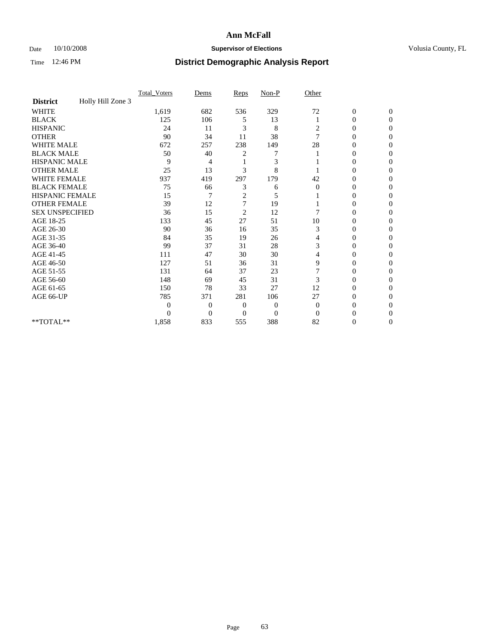### Date 10/10/2008 **Supervisor of Elections Supervisor of Elections** Volusia County, FL

|                        |                   | Total Voters   | Dems           | Reps                    | $Non-P$        | Other          |                  |                  |  |
|------------------------|-------------------|----------------|----------------|-------------------------|----------------|----------------|------------------|------------------|--|
| <b>District</b>        | Holly Hill Zone 3 |                |                |                         |                |                |                  |                  |  |
| WHITE                  |                   | 1,619          | 682            | 536                     | 329            | 72             | $\boldsymbol{0}$ | $\boldsymbol{0}$ |  |
| <b>BLACK</b>           |                   | 125            | 106            | 5                       | 13             |                | $\overline{0}$   | $\Omega$         |  |
| <b>HISPANIC</b>        |                   | 24             | 11             | 3                       | 8              | 2              | 0                | $\Omega$         |  |
| <b>OTHER</b>           |                   | 90             | 34             | 11                      | 38             | $\overline{7}$ | 0                | $\Omega$         |  |
| <b>WHITE MALE</b>      |                   | 672            | 257            | 238                     | 149            | 28             | 0                | $\Omega$         |  |
| <b>BLACK MALE</b>      |                   | 50             | 40             | 2                       |                |                | 0                | 0                |  |
| <b>HISPANIC MALE</b>   |                   | 9              | 4              |                         | 3              |                | 0                | 0                |  |
| <b>OTHER MALE</b>      |                   | 25             | 13             | 3                       | 8              |                | 0                | 0                |  |
| <b>WHITE FEMALE</b>    |                   | 937            | 419            | 297                     | 179            | 42             | 0                | $\Omega$         |  |
| <b>BLACK FEMALE</b>    |                   | 75             | 66             | 3                       | 6              | $\mathbf{0}$   | 0                | $\Omega$         |  |
| HISPANIC FEMALE        |                   | 15             | 7              | $\overline{2}$          | 5              |                | 0                | 0                |  |
| <b>OTHER FEMALE</b>    |                   | 39             | 12             | $\overline{7}$          | 19             |                | 0                | $\Omega$         |  |
| <b>SEX UNSPECIFIED</b> |                   | 36             | 15             | $\overline{\mathbf{c}}$ | 12             | 7              | 0                | 0                |  |
| AGE 18-25              |                   | 133            | 45             | 27                      | 51             | 10             | 0                | 0                |  |
| AGE 26-30              |                   | 90             | 36             | 16                      | 35             | 3              | 0                | $\Omega$         |  |
| AGE 31-35              |                   | 84             | 35             | 19                      | 26             | 4              | 0                | $\Omega$         |  |
| AGE 36-40              |                   | 99             | 37             | 31                      | 28             | 3              | 0                | 0                |  |
| AGE 41-45              |                   | 111            | 47             | 30                      | 30             | 4              | 0                | 0                |  |
| AGE 46-50              |                   | 127            | 51             | 36                      | 31             | 9              | $\overline{0}$   | $\Omega$         |  |
| AGE 51-55              |                   | 131            | 64             | 37                      | 23             |                | 0                | $\Omega$         |  |
| AGE 56-60              |                   | 148            | 69             | 45                      | 31             | 3              | 0                | 0                |  |
| AGE 61-65              |                   | 150            | 78             | 33                      | 27             | 12             | $\overline{0}$   | 0                |  |
| AGE 66-UP              |                   | 785            | 371            | 281                     | 106            | 27             | 0                | 0                |  |
|                        |                   | $\overline{0}$ | $\overline{0}$ | 0                       | $\overline{0}$ | $\mathbf{0}$   | 0                | 0                |  |
|                        |                   | $\Omega$       | $\overline{0}$ | $\Omega$                | $\overline{0}$ | $\Omega$       | 0                | $\Omega$         |  |
| **TOTAL**              |                   | 1,858          | 833            | 555                     | 388            | 82             | 0                | $\overline{0}$   |  |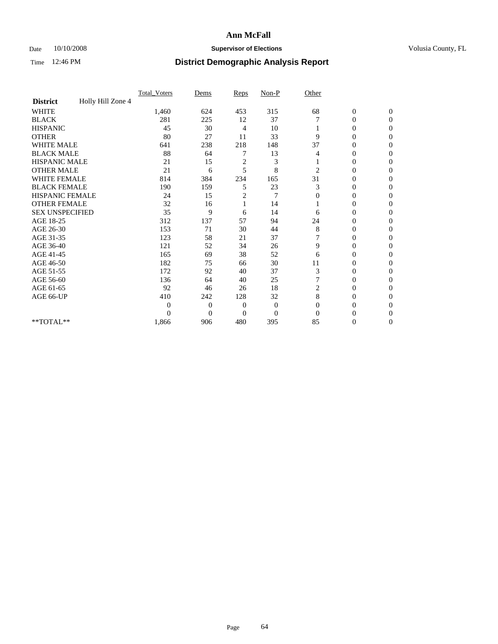### Date 10/10/2008 **Supervisor of Elections Supervisor of Elections** Volusia County, FL

|                        |                   | Total Voters | Dems           | Reps           | $Non-P$        | Other          |                  |                |  |
|------------------------|-------------------|--------------|----------------|----------------|----------------|----------------|------------------|----------------|--|
| <b>District</b>        | Holly Hill Zone 4 |              |                |                |                |                |                  |                |  |
| <b>WHITE</b>           |                   | 1,460        | 624            | 453            | 315            | 68             | $\boldsymbol{0}$ | $\mathbf{0}$   |  |
| <b>BLACK</b>           |                   | 281          | 225            | 12             | 37             |                | $\overline{0}$   | $\mathbf{0}$   |  |
| <b>HISPANIC</b>        |                   | 45           | 30             | 4              | 10             |                | 0                | $\Omega$       |  |
| <b>OTHER</b>           |                   | 80           | 27             | 11             | 33             | 9              | 0                | $\Omega$       |  |
| <b>WHITE MALE</b>      |                   | 641          | 238            | 218            | 148            | 37             | 0                | $\Omega$       |  |
| <b>BLACK MALE</b>      |                   | 88           | 64             |                | 13             | 4              | $\overline{0}$   | $\Omega$       |  |
| HISPANIC MALE          |                   | 21           | 15             | $\overline{c}$ | 3              |                | $\overline{0}$   | $\Omega$       |  |
| <b>OTHER MALE</b>      |                   | 21           | 6              | 5              | 8              | $\overline{2}$ | 0                | 0              |  |
| <b>WHITE FEMALE</b>    |                   | 814          | 384            | 234            | 165            | 31             | 0                | $\Omega$       |  |
| <b>BLACK FEMALE</b>    |                   | 190          | 159            | 5              | 23             | 3              | $\overline{0}$   | $\mathbf{0}$   |  |
| <b>HISPANIC FEMALE</b> |                   | 24           | 15             | 2              | 7              | $\Omega$       | 0                | $\Omega$       |  |
| <b>OTHER FEMALE</b>    |                   | 32           | 16             |                | 14             |                | 0                | 0              |  |
| <b>SEX UNSPECIFIED</b> |                   | 35           | 9              | 6              | 14             | 6              | 0                | $\Omega$       |  |
| AGE 18-25              |                   | 312          | 137            | 57             | 94             | 24             | 0                | $\mathbf{0}$   |  |
| AGE 26-30              |                   | 153          | 71             | 30             | 44             | 8              | 0                | $\Omega$       |  |
| AGE 31-35              |                   | 123          | 58             | 21             | 37             |                | 0                | $\Omega$       |  |
| AGE 36-40              |                   | 121          | 52             | 34             | 26             | 9              | 0                | $\Omega$       |  |
| AGE 41-45              |                   | 165          | 69             | 38             | 52             | 6              | 0                | $\Omega$       |  |
| AGE 46-50              |                   | 182          | 75             | 66             | 30             | 11             | 0                | $\Omega$       |  |
| AGE 51-55              |                   | 172          | 92             | 40             | 37             | 3              | 0                | 0              |  |
| AGE 56-60              |                   | 136          | 64             | 40             | 25             |                | 0                | $\Omega$       |  |
| AGE 61-65              |                   | 92           | 46             | 26             | 18             | $\overline{c}$ | 0                | $\Omega$       |  |
| AGE 66-UP              |                   | 410          | 242            | 128            | 32             | 8              | 0                | 0              |  |
|                        |                   | $\Omega$     | $\overline{0}$ | $\mathbf{0}$   | $\mathbf{0}$   | $\Omega$       | 0                | $\Omega$       |  |
|                        |                   | $\theta$     | $\overline{0}$ | $\overline{0}$ | $\overline{0}$ | $\Omega$       | 0                | $\Omega$       |  |
| **TOTAL**              |                   | 1,866        | 906            | 480            | 395            | 85             | 0                | $\overline{0}$ |  |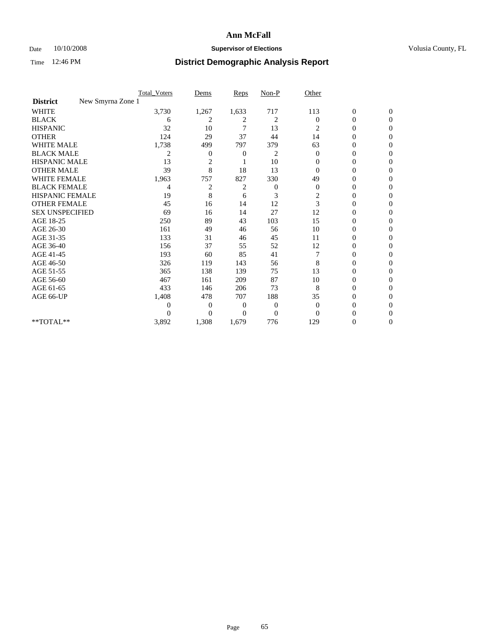### Date 10/10/2008 **Supervisor of Elections Supervisor of Elections** Volusia County, FL

|                                      | <b>Total_Voters</b> | Dems           | <b>Reps</b>    | $Non-P$          | Other        |                  |                |  |
|--------------------------------------|---------------------|----------------|----------------|------------------|--------------|------------------|----------------|--|
| New Smyrna Zone 1<br><b>District</b> |                     |                |                |                  |              |                  |                |  |
| <b>WHITE</b>                         | 3,730               | 1,267          | 1,633          | 717              | 113          | $\boldsymbol{0}$ | $\mathbf{0}$   |  |
| <b>BLACK</b>                         | 6                   | 2              | 2              | 2                | $\Omega$     | $\boldsymbol{0}$ | $\mathbf{0}$   |  |
| <b>HISPANIC</b>                      | 32                  | 10             | 7              | 13               | 2            | 0                | $\Omega$       |  |
| <b>OTHER</b>                         | 124                 | 29             | 37             | 44               | 14           | 0                | $\Omega$       |  |
| <b>WHITE MALE</b>                    | 1,738               | 499            | 797            | 379              | 63           | 0                | $\Omega$       |  |
| <b>BLACK MALE</b>                    | 2                   | $\overline{0}$ | 0              | 2                | $\Omega$     | $\overline{0}$   | $\Omega$       |  |
| HISPANIC MALE                        | 13                  | 2              |                | 10               | $\mathbf{0}$ | 0                | $\Omega$       |  |
| <b>OTHER MALE</b>                    | 39                  | 8              | 18             | 13               | $\Omega$     | 0                | 0              |  |
| <b>WHITE FEMALE</b>                  | 1,963               | 757            | 827            | 330              | 49           | 0                | $\Omega$       |  |
| <b>BLACK FEMALE</b>                  | 4                   | $\overline{c}$ | 2              | $\boldsymbol{0}$ | $\mathbf{0}$ | $\overline{0}$   | $\overline{0}$ |  |
| <b>HISPANIC FEMALE</b>               | 19                  | 8              | 6              | 3                | 2            | 0                | $\Omega$       |  |
| <b>OTHER FEMALE</b>                  | 45                  | 16             | 14             | 12               | 3            | 0                | 0              |  |
| <b>SEX UNSPECIFIED</b>               | 69                  | 16             | 14             | 27               | 12           | 0                | $\Omega$       |  |
| AGE 18-25                            | 250                 | 89             | 43             | 103              | 15           | 0                | $\mathbf{0}$   |  |
| AGE 26-30                            | 161                 | 49             | 46             | 56               | 10           | 0                | $\Omega$       |  |
| AGE 31-35                            | 133                 | 31             | 46             | 45               | 11           | 0                | $\Omega$       |  |
| AGE 36-40                            | 156                 | 37             | 55             | 52               | 12           | 0                | 0              |  |
| AGE 41-45                            | 193                 | 60             | 85             | 41               |              | $\overline{0}$   | $\Omega$       |  |
| AGE 46-50                            | 326                 | 119            | 143            | 56               | 8            | $\overline{0}$   | $\Omega$       |  |
| AGE 51-55                            | 365                 | 138            | 139            | 75               | 13           | 0                | 0              |  |
| AGE 56-60                            | 467                 | 161            | 209            | 87               | 10           | 0                | $\Omega$       |  |
| AGE 61-65                            | 433                 | 146            | 206            | 73               | 8            | 0                | $\Omega$       |  |
| AGE 66-UP                            | 1,408               | 478            | 707            | 188              | 35           | 0                | 0              |  |
|                                      | $\theta$            | $\overline{0}$ | $\overline{0}$ | 0                | $\Omega$     | 0                | $\Omega$       |  |
|                                      | $\theta$            | $\overline{0}$ | $\Omega$       | $\overline{0}$   | $\Omega$     | 0                | $\Omega$       |  |
| **TOTAL**                            | 3,892               | 1,308          | 1,679          | 776              | 129          | 0                | 0              |  |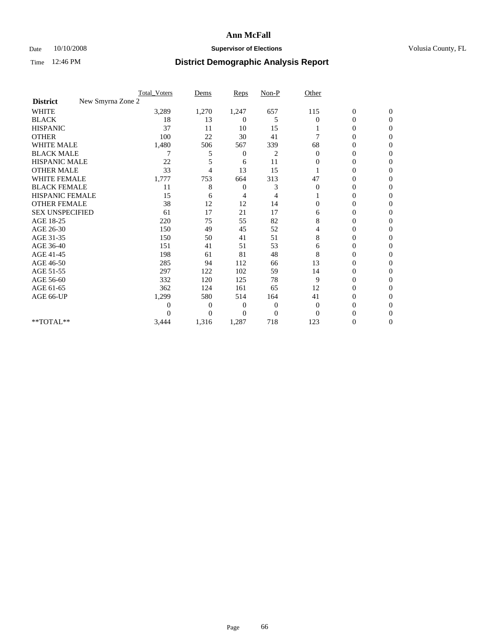### Date 10/10/2008 **Supervisor of Elections Supervisor of Elections** Volusia County, FL

|                        | <b>Total_Voters</b> | Dems           | <b>Reps</b>  | $Non-P$  | Other        |                  |                  |  |
|------------------------|---------------------|----------------|--------------|----------|--------------|------------------|------------------|--|
| <b>District</b>        | New Smyrna Zone 2   |                |              |          |              |                  |                  |  |
| WHITE                  | 3,289               | 1,270          | 1,247        | 657      | 115          | $\boldsymbol{0}$ | $\boldsymbol{0}$ |  |
| <b>BLACK</b>           | 18                  | 13             | 0            | 5        | $\Omega$     | $\overline{0}$   | $\Omega$         |  |
| <b>HISPANIC</b>        | 37                  | 11             | 10           | 15       |              | 0                | $\Omega$         |  |
| <b>OTHER</b>           | 100                 | 22             | 30           | 41       |              | 0                | $\Omega$         |  |
| <b>WHITE MALE</b>      | 1,480               | 506            | 567          | 339      | 68           | 0                | $\Omega$         |  |
| <b>BLACK MALE</b>      |                     | 5              | 0            | 2        | $\mathbf{0}$ | 0                | 0                |  |
| <b>HISPANIC MALE</b>   | 22                  |                | 6            | 11       | 0            | 0                | 0                |  |
| <b>OTHER MALE</b>      | 33                  | 4              | 13           | 15       |              | 0                | 0                |  |
| <b>WHITE FEMALE</b>    | 1,777               | 753            | 664          | 313      | 47           | 0                | $\Omega$         |  |
| <b>BLACK FEMALE</b>    | 11                  | 8              | $\mathbf{0}$ | 3        | $\mathbf{0}$ | 0                | $\Omega$         |  |
| <b>HISPANIC FEMALE</b> | 15                  | 6              | 4            | 4        |              | 0                | 0                |  |
| <b>OTHER FEMALE</b>    | 38                  | 12             | 12           | 14       | $\Omega$     | 0                | $\Omega$         |  |
| <b>SEX UNSPECIFIED</b> | 61                  | 17             | 21           | 17       | 6            | $\overline{0}$   | 0                |  |
| AGE 18-25              | 220                 | 75             | 55           | 82       | 8            | 0                | 0                |  |
| AGE 26-30              | 150                 | 49             | 45           | 52       | 4            | 0                | 0                |  |
| AGE 31-35              | 150                 | 50             | 41           | 51       | 8            | 0                | $\Omega$         |  |
| AGE 36-40              | 151                 | 41             | 51           | 53       | 6            | 0                | 0                |  |
| AGE 41-45              | 198                 | 61             | 81           | 48       | 8            | 0                | 0                |  |
| AGE 46-50              | 285                 | 94             | 112          | 66       | 13           | $\overline{0}$   | $\Omega$         |  |
| AGE 51-55              | 297                 | 122            | 102          | 59       | 14           | 0                | $\mathbf{0}$     |  |
| AGE 56-60              | 332                 | 120            | 125          | 78       | 9            | 0                | 0                |  |
| AGE 61-65              | 362                 | 124            | 161          | 65       | 12           | $\overline{0}$   | 0                |  |
| AGE 66-UP              | 1,299               | 580            | 514          | 164      | 41           | 0                | 0                |  |
|                        | 0                   | 0              | 0            | 0        | 0            | 0                | 0                |  |
|                        | 0                   | $\overline{0}$ | $\Omega$     | $\Omega$ | $\Omega$     | 0                | $\Omega$         |  |
| **TOTAL**              | 3,444               | 1,316          | 1,287        | 718      | 123          | 0                | $\overline{0}$   |  |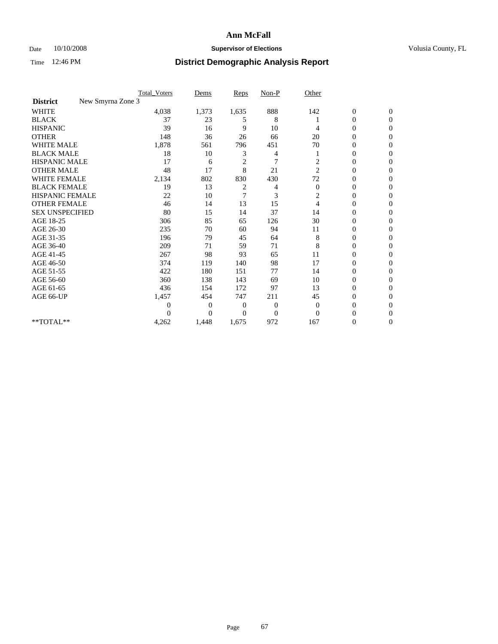### Date  $10/10/2008$  **Supervisor of Elections** Volusia County, FL

|                                      | <b>Total_Voters</b> | Dems           | <b>Reps</b>    | $Non-P$        | Other          |                  |                |  |
|--------------------------------------|---------------------|----------------|----------------|----------------|----------------|------------------|----------------|--|
| New Smyrna Zone 3<br><b>District</b> |                     |                |                |                |                |                  |                |  |
| <b>WHITE</b>                         | 4,038               | 1,373          | 1,635          | 888            | 142            | $\boldsymbol{0}$ | $\mathbf{0}$   |  |
| <b>BLACK</b>                         | 37                  | 23             | 5              | 8              |                | $\boldsymbol{0}$ | $\mathbf{0}$   |  |
| <b>HISPANIC</b>                      | 39                  | 16             | 9              | 10             | 4              | $\mathbf{0}$     | $\Omega$       |  |
| <b>OTHER</b>                         | 148                 | 36             | 26             | 66             | 20             | 0                | $\Omega$       |  |
| <b>WHITE MALE</b>                    | 1,878               | 561            | 796            | 451            | 70             | 0                | $\Omega$       |  |
| <b>BLACK MALE</b>                    | 18                  | 10             | 3              | 4              |                | $\mathbf{0}$     | $\Omega$       |  |
| HISPANIC MALE                        | 17                  | 6              | $\overline{c}$ | $\overline{7}$ | 2              | $\boldsymbol{0}$ | $\Omega$       |  |
| <b>OTHER MALE</b>                    | 48                  | 17             | 8              | 21             | $\overline{2}$ | 0                | $\Omega$       |  |
| <b>WHITE FEMALE</b>                  | 2,134               | 802            | 830            | 430            | 72             | 0                | $\Omega$       |  |
| <b>BLACK FEMALE</b>                  | 19                  | 13             | 2              | 4              | $\mathbf{0}$   | $\overline{0}$   | $\mathbf{0}$   |  |
| <b>HISPANIC FEMALE</b>               | 22                  | 10             | 7              | 3              | 2              | 0                | $\Omega$       |  |
| <b>OTHER FEMALE</b>                  | 46                  | 14             | 13             | 15             | $\overline{4}$ | 0                | 0              |  |
| <b>SEX UNSPECIFIED</b>               | 80                  | 15             | 14             | 37             | 14             | 0                | $\mathbf{0}$   |  |
| AGE 18-25                            | 306                 | 85             | 65             | 126            | 30             | 0                | $\mathbf{0}$   |  |
| AGE 26-30                            | 235                 | 70             | 60             | 94             | 11             | 0                | $\Omega$       |  |
| AGE 31-35                            | 196                 | 79             | 45             | 64             | 8              | 0                | $\Omega$       |  |
| AGE 36-40                            | 209                 | 71             | 59             | 71             | 8              | 0                | $\mathbf{0}$   |  |
| AGE 41-45                            | 267                 | 98             | 93             | 65             | 11             | $\mathbf{0}$     | $\Omega$       |  |
| AGE 46-50                            | 374                 | 119            | 140            | 98             | 17             | $\overline{0}$   | $\mathbf{0}$   |  |
| AGE 51-55                            | 422                 | 180            | 151            | 77             | 14             | 0                | 0              |  |
| AGE 56-60                            | 360                 | 138            | 143            | 69             | 10             | $\overline{0}$   | $\Omega$       |  |
| AGE 61-65                            | 436                 | 154            | 172            | 97             | 13             | $\overline{0}$   | $\Omega$       |  |
| AGE 66-UP                            | 1,457               | 454            | 747            | 211            | 45             | 0                | 0              |  |
|                                      | 0                   | $\overline{0}$ | $\mathbf{0}$   | $\mathbf{0}$   | $\mathbf{0}$   | 0                | $\Omega$       |  |
|                                      | $\theta$            | $\overline{0}$ | $\Omega$       | $\overline{0}$ | $\Omega$       | $\theta$         | $\Omega$       |  |
| **TOTAL**                            | 4,262               | 1,448          | 1,675          | 972            | 167            | 0                | $\overline{0}$ |  |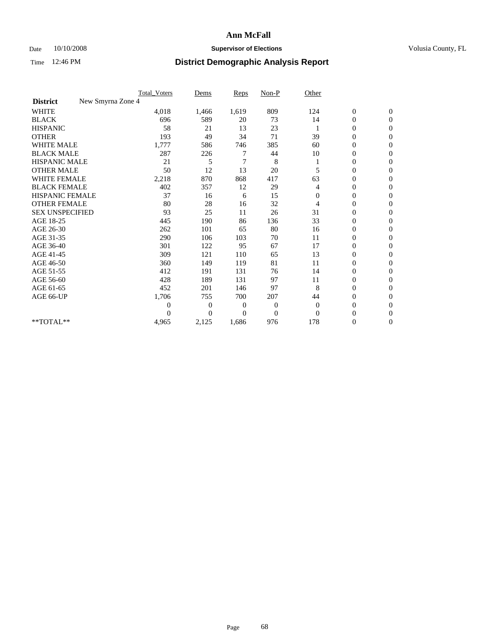### Date  $10/10/2008$  **Supervisor of Elections** Volusia County, FL

|                                      | <b>Total_Voters</b> | Dems           | <b>Reps</b>    | $Non-P$          | Other        |                  |                |  |
|--------------------------------------|---------------------|----------------|----------------|------------------|--------------|------------------|----------------|--|
| New Smyrna Zone 4<br><b>District</b> |                     |                |                |                  |              |                  |                |  |
| <b>WHITE</b>                         | 4,018               | 1,466          | 1,619          | 809              | 124          | $\boldsymbol{0}$ | $\mathbf{0}$   |  |
| <b>BLACK</b>                         | 696                 | 589            | 20             | 73               | 14           | $\boldsymbol{0}$ | $\mathbf{0}$   |  |
| <b>HISPANIC</b>                      | 58                  | 21             | 13             | 23               |              | $\overline{0}$   | $\mathbf{0}$   |  |
| <b>OTHER</b>                         | 193                 | 49             | 34             | 71               | 39           | $\overline{0}$   | $\Omega$       |  |
| <b>WHITE MALE</b>                    | 1,777               | 586            | 746            | 385              | 60           | 0                | $\mathbf{0}$   |  |
| <b>BLACK MALE</b>                    | 287                 | 226            |                | 44               | 10           | $\boldsymbol{0}$ | $\mathbf{0}$   |  |
| <b>HISPANIC MALE</b>                 | 21                  | 5              | 7              | 8                |              | $\boldsymbol{0}$ | $\Omega$       |  |
| <b>OTHER MALE</b>                    | 50                  | 12             | 13             | 20               | 5            | 0                | $\mathbf{0}$   |  |
| <b>WHITE FEMALE</b>                  | 2,218               | 870            | 868            | 417              | 63           | 0                | $\Omega$       |  |
| <b>BLACK FEMALE</b>                  | 402                 | 357            | 12             | 29               | 4            | $\boldsymbol{0}$ | $\overline{0}$ |  |
| <b>HISPANIC FEMALE</b>               | 37                  | 16             | 6              | 15               | $\mathbf{0}$ | $\boldsymbol{0}$ | $\mathbf{0}$   |  |
| <b>OTHER FEMALE</b>                  | 80                  | 28             | 16             | 32               | 4            | 0                | $\Omega$       |  |
| <b>SEX UNSPECIFIED</b>               | 93                  | 25             | 11             | 26               | 31           | $\overline{0}$   | $\overline{0}$ |  |
| AGE 18-25                            | 445                 | 190            | 86             | 136              | 33           | 0                | $\mathbf{0}$   |  |
| AGE 26-30                            | 262                 | 101            | 65             | 80               | 16           | $\overline{0}$   | $\mathbf{0}$   |  |
| AGE 31-35                            | 290                 | 106            | 103            | 70               | 11           | $\boldsymbol{0}$ | $\overline{0}$ |  |
| AGE 36-40                            | 301                 | 122            | 95             | 67               | 17           | 0                | $\mathbf{0}$   |  |
| AGE 41-45                            | 309                 | 121            | 110            | 65               | 13           | $\overline{0}$   | $\mathbf{0}$   |  |
| AGE 46-50                            | 360                 | 149            | 119            | 81               | 11           | $\overline{0}$   | $\overline{0}$ |  |
| AGE 51-55                            | 412                 | 191            | 131            | 76               | 14           | 0                | $\mathbf{0}$   |  |
| AGE 56-60                            | 428                 | 189            | 131            | 97               | 11           | $\overline{0}$   | $\Omega$       |  |
| AGE 61-65                            | 452                 | 201            | 146            | 97               | 8            | $\overline{0}$   | $\overline{0}$ |  |
| AGE 66-UP                            | 1,706               | 755            | 700            | 207              | 44           | 0                | $\mathbf{0}$   |  |
|                                      | 0                   | $\overline{0}$ | $\overline{0}$ | $\boldsymbol{0}$ | $\theta$     | 0                | $\Omega$       |  |
|                                      | $\theta$            | $\theta$       | $\Omega$       | $\overline{0}$   | $\Omega$     | $\overline{0}$   | $\overline{0}$ |  |
| **TOTAL**                            | 4,965               | 2,125          | 1,686          | 976              | 178          | 0                | $\overline{0}$ |  |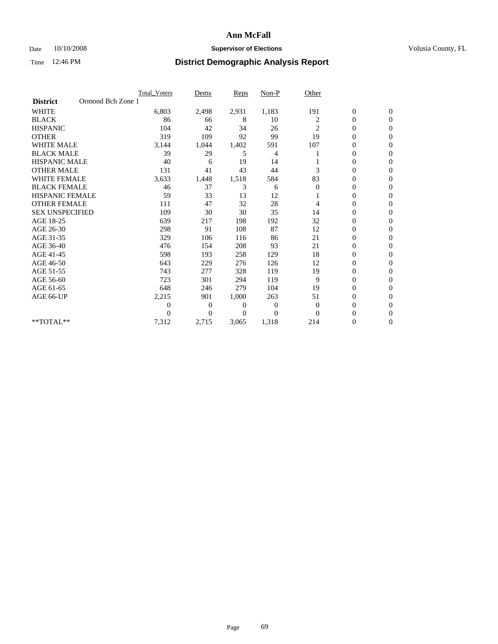### Date 10/10/2008 **Supervisor of Elections Supervisor of Elections** Volusia County, FL

|                        |                   | Total Voters | Dems     | <b>Reps</b> | Non-P    | Other          |                  |                  |  |
|------------------------|-------------------|--------------|----------|-------------|----------|----------------|------------------|------------------|--|
| <b>District</b>        | Ormond Bch Zone 1 |              |          |             |          |                |                  |                  |  |
| <b>WHITE</b>           |                   | 6,803        | 2,498    | 2,931       | 1,183    | 191            | $\boldsymbol{0}$ | $\boldsymbol{0}$ |  |
| <b>BLACK</b>           |                   | 86           | 66       | 8           | 10       | 2              | $\boldsymbol{0}$ | $\mathbf{0}$     |  |
| <b>HISPANIC</b>        |                   | 104          | 42       | 34          | 26       | 2              | $\overline{0}$   | $\Omega$         |  |
| <b>OTHER</b>           |                   | 319          | 109      | 92          | 99       | 19             | 0                | $\Omega$         |  |
| <b>WHITE MALE</b>      |                   | 3,144        | 1,044    | 1,402       | 591      | 107            | 0                | $\mathbf{0}$     |  |
| <b>BLACK MALE</b>      |                   | 39           | 29       | 5           | 4        |                | $\overline{0}$   | $\overline{0}$   |  |
| <b>HISPANIC MALE</b>   |                   | 40           | 6        | 19          | 14       |                | 0                | $\Omega$         |  |
| <b>OTHER MALE</b>      |                   | 131          | 41       | 43          | 44       | 3              | 0                | 0                |  |
| <b>WHITE FEMALE</b>    |                   | 3,633        | 1,448    | 1,518       | 584      | 83             | 0                | $\mathbf{0}$     |  |
| <b>BLACK FEMALE</b>    |                   | 46           | 37       | 3           | 6        | $\overline{0}$ | 0                | $\Omega$         |  |
| <b>HISPANIC FEMALE</b> |                   | 59           | 33       | 13          | 12       |                | 0                | $\overline{0}$   |  |
| <b>OTHER FEMALE</b>    |                   | 111          | 47       | 32          | 28       | 4              | 0                | $\Omega$         |  |
| <b>SEX UNSPECIFIED</b> |                   | 109          | 30       | 30          | 35       | 14             | $\overline{0}$   | $\overline{0}$   |  |
| AGE 18-25              |                   | 639          | 217      | 198         | 192      | 32             | 0                | $\overline{0}$   |  |
| AGE 26-30              |                   | 298          | 91       | 108         | 87       | 12             | 0                | $\Omega$         |  |
| AGE 31-35              |                   | 329          | 106      | 116         | 86       | 21             | $\boldsymbol{0}$ | $\overline{0}$   |  |
| AGE 36-40              |                   | 476          | 154      | 208         | 93       | 21             | 0                | 0                |  |
| AGE 41-45              |                   | 598          | 193      | 258         | 129      | 18             | 0                | $\Omega$         |  |
| AGE 46-50              |                   | 643          | 229      | 276         | 126      | 12             | 0                | $\Omega$         |  |
| AGE 51-55              |                   | 743          | 277      | 328         | 119      | 19             | 0                | $\mathbf{0}$     |  |
| AGE 56-60              |                   | 723          | 301      | 294         | 119      | 9              | 0                | $\Omega$         |  |
| AGE 61-65              |                   | 648          | 246      | 279         | 104      | 19             | $\overline{0}$   | $\overline{0}$   |  |
| AGE 66-UP              |                   | 2,215        | 901      | 1,000       | 263      | 51             | 0                | $\mathbf{0}$     |  |
|                        |                   | 0            | 0        | 0           | 0        | 0              | 0                | $\Omega$         |  |
|                        |                   | $\theta$     | $\Omega$ | $\Omega$    | $\Omega$ | $\Omega$       | 0                | $\Omega$         |  |
| **TOTAL**              |                   | 7,312        | 2,715    | 3,065       | 1,318    | 214            | 0                | $\overline{0}$   |  |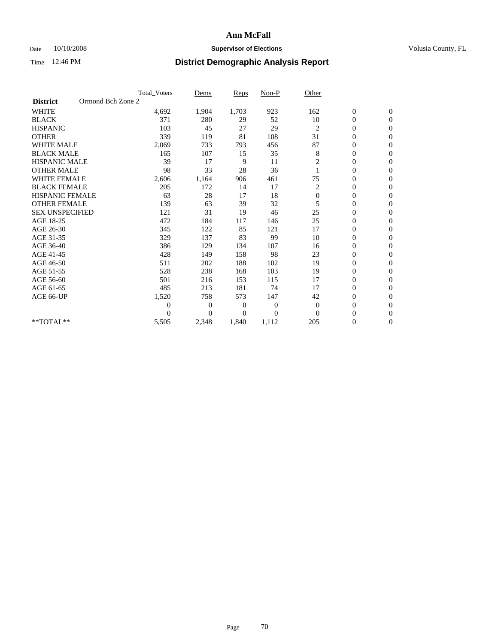### Date 10/10/2008 **Supervisor of Elections Supervisor of Elections** Volusia County, FL

|                                      | <b>Total Voters</b> | Dems           | <b>Reps</b>  | Non-P    | Other          |                  |                |  |
|--------------------------------------|---------------------|----------------|--------------|----------|----------------|------------------|----------------|--|
| Ormond Bch Zone 2<br><b>District</b> |                     |                |              |          |                |                  |                |  |
| <b>WHITE</b>                         | 4,692               | 1,904          | 1,703        | 923      | 162            | $\boldsymbol{0}$ | $\mathbf{0}$   |  |
| <b>BLACK</b>                         | 371                 | 280            | 29           | 52       | 10             | $\boldsymbol{0}$ | $\mathbf{0}$   |  |
| <b>HISPANIC</b>                      | 103                 | 45             | 27           | 29       | $\overline{c}$ | $\overline{0}$   | $\mathbf{0}$   |  |
| <b>OTHER</b>                         | 339                 | 119            | 81           | 108      | 31             | $\overline{0}$   | $\mathbf{0}$   |  |
| <b>WHITE MALE</b>                    | 2,069               | 733            | 793          | 456      | 87             | $\boldsymbol{0}$ | $\mathbf{0}$   |  |
| <b>BLACK MALE</b>                    | 165                 | 107            | 15           | 35       | 8              | $\boldsymbol{0}$ | $\mathbf{0}$   |  |
| <b>HISPANIC MALE</b>                 | 39                  | 17             | 9            | 11       | 2              | $\boldsymbol{0}$ | $\Omega$       |  |
| <b>OTHER MALE</b>                    | 98                  | 33             | 28           | 36       |                | 0                | $\mathbf{0}$   |  |
| <b>WHITE FEMALE</b>                  | 2,606               | 1,164          | 906          | 461      | 75             | $\overline{0}$   | $\mathbf{0}$   |  |
| <b>BLACK FEMALE</b>                  | 205                 | 172            | 14           | 17       | 2              | $\boldsymbol{0}$ | $\mathbf{0}$   |  |
| HISPANIC FEMALE                      | 63                  | 28             | 17           | 18       | $\mathbf{0}$   | $\boldsymbol{0}$ | $\mathbf{0}$   |  |
| <b>OTHER FEMALE</b>                  | 139                 | 63             | 39           | 32       | 5              | $\overline{0}$   | $\Omega$       |  |
| <b>SEX UNSPECIFIED</b>               | 121                 | 31             | 19           | 46       | 25             | $\overline{0}$   | $\mathbf{0}$   |  |
| AGE 18-25                            | 472                 | 184            | 117          | 146      | 25             | $\overline{0}$   | $\mathbf{0}$   |  |
| AGE 26-30                            | 345                 | 122            | 85           | 121      | 17             | $\overline{0}$   | $\mathbf{0}$   |  |
| AGE 31-35                            | 329                 | 137            | 83           | 99       | 10             | $\boldsymbol{0}$ | $\mathbf{0}$   |  |
| AGE 36-40                            | 386                 | 129            | 134          | 107      | 16             | $\boldsymbol{0}$ | $\mathbf{0}$   |  |
| AGE 41-45                            | 428                 | 149            | 158          | 98       | 23             | $\overline{0}$   | $\mathbf{0}$   |  |
| AGE 46-50                            | 511                 | 202            | 188          | 102      | 19             | $\overline{0}$   | $\mathbf{0}$   |  |
| AGE 51-55                            | 528                 | 238            | 168          | 103      | 19             | $\boldsymbol{0}$ | $\mathbf{0}$   |  |
| AGE 56-60                            | 501                 | 216            | 153          | 115      | 17             | $\boldsymbol{0}$ | $\Omega$       |  |
| AGE 61-65                            | 485                 | 213            | 181          | 74       | 17             | $\boldsymbol{0}$ | $\mathbf{0}$   |  |
| AGE 66-UP                            | 1,520               | 758            | 573          | 147      | 42             | $\overline{0}$   | $\mathbf{0}$   |  |
|                                      | $\boldsymbol{0}$    | 0              | $\mathbf{0}$ | 0        | $\mathbf{0}$   | $\overline{0}$   | $\Omega$       |  |
|                                      | $\Omega$            | $\overline{0}$ | $\mathbf{0}$ | $\theta$ | $\Omega$       | $\overline{0}$   | $\overline{0}$ |  |
| **TOTAL**                            | 5,505               | 2,348          | 1,840        | 1,112    | 205            | 0                | $\mathbf{0}$   |  |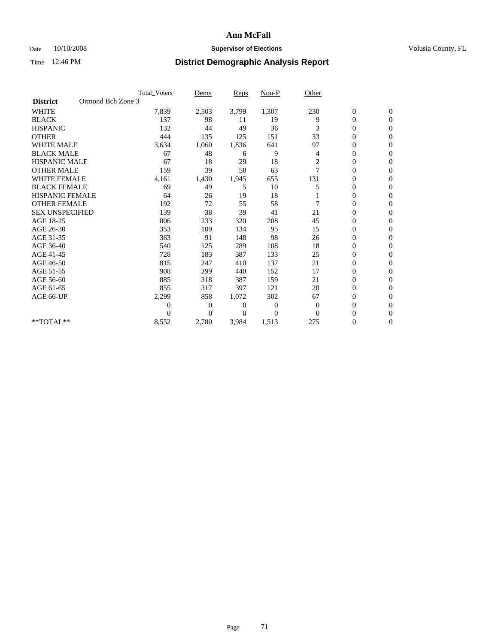### Date  $10/10/2008$  **Supervisor of Elections** Volusia County, FL

|                        | <b>Total Voters</b> | Dems           | <b>Reps</b> | Non-P        | Other          |                  |                  |  |
|------------------------|---------------------|----------------|-------------|--------------|----------------|------------------|------------------|--|
| <b>District</b>        | Ormond Bch Zone 3   |                |             |              |                |                  |                  |  |
| <b>WHITE</b>           | 7,839               | 2,503          | 3,799       | 1,307        | 230            | $\boldsymbol{0}$ | $\boldsymbol{0}$ |  |
| <b>BLACK</b>           | 137                 | 98             | 11          | 19           | 9              | $\boldsymbol{0}$ | $\mathbf{0}$     |  |
| <b>HISPANIC</b>        | 132                 | 44             | 49          | 36           | 3              | $\overline{0}$   | $\mathbf{0}$     |  |
| <b>OTHER</b>           | 444                 | 135            | 125         | 151          | 33             | 0                | $\Omega$         |  |
| <b>WHITE MALE</b>      | 3,634               | 1,060          | 1,836       | 641          | 97             | $\overline{0}$   | $\mathbf{0}$     |  |
| <b>BLACK MALE</b>      | 67                  | 48             | 6           | 9            | 4              | $\overline{0}$   | $\mathbf{0}$     |  |
| <b>HISPANIC MALE</b>   | 67                  | 18             | 29          | 18           | $\overline{c}$ | 0                | $\Omega$         |  |
| <b>OTHER MALE</b>      | 159                 | 39             | 50          | 63           | 7              | 0                | $\mathbf{0}$     |  |
| <b>WHITE FEMALE</b>    | 4,161               | 1,430          | 1,945       | 655          | 131            | 0                | $\mathbf{0}$     |  |
| <b>BLACK FEMALE</b>    | 69                  | 49             | 5           | 10           |                | $\boldsymbol{0}$ | $\Omega$         |  |
| <b>HISPANIC FEMALE</b> | 64                  | 26             | 19          | 18           |                | 0                | $\mathbf{0}$     |  |
| <b>OTHER FEMALE</b>    | 192                 | 72             | 55          | 58           | 7              | $\overline{0}$   | $\Omega$         |  |
| <b>SEX UNSPECIFIED</b> | 139                 | 38             | 39          | 41           | 21             | $\overline{0}$   | $\mathbf{0}$     |  |
| AGE 18-25              | 806                 | 233            | 320         | 208          | 45             | 0                | $\mathbf{0}$     |  |
| AGE 26-30              | 353                 | 109            | 134         | 95           | 15             | $\overline{0}$   | $\mathbf{0}$     |  |
| AGE 31-35              | 363                 | 91             | 148         | 98           | 26             | $\boldsymbol{0}$ | $\mathbf{0}$     |  |
| AGE 36-40              | 540                 | 125            | 289         | 108          | 18             | 0                | $\mathbf{0}$     |  |
| AGE 41-45              | 728                 | 183            | 387         | 133          | 25             | 0                | $\Omega$         |  |
| AGE 46-50              | 815                 | 247            | 410         | 137          | 21             | $\boldsymbol{0}$ | $\Omega$         |  |
| AGE 51-55              | 908                 | 299            | 440         | 152          | 17             | $\boldsymbol{0}$ | $\mathbf{0}$     |  |
| AGE 56-60              | 885                 | 318            | 387         | 159          | 21             | $\overline{0}$   | $\Omega$         |  |
| AGE 61-65              | 855                 | 317            | 397         | 121          | 20             | $\overline{0}$   | $\mathbf{0}$     |  |
| AGE 66-UP              | 2,299               | 858            | 1,072       | 302          | 67             | $\boldsymbol{0}$ | $\mathbf{0}$     |  |
|                        | 0                   | $\overline{0}$ | 0           | $\mathbf{0}$ | $\mathbf{0}$   | $\overline{0}$   | $\mathbf{0}$     |  |
|                        | $\theta$            | $\overline{0}$ | $\Omega$    | $\Omega$     | $\Omega$       | $\overline{0}$   | $\mathbf{0}$     |  |
| **TOTAL**              | 8,552               | 2,780          | 3,984       | 1,513        | 275            | 0                | $\mathbf{0}$     |  |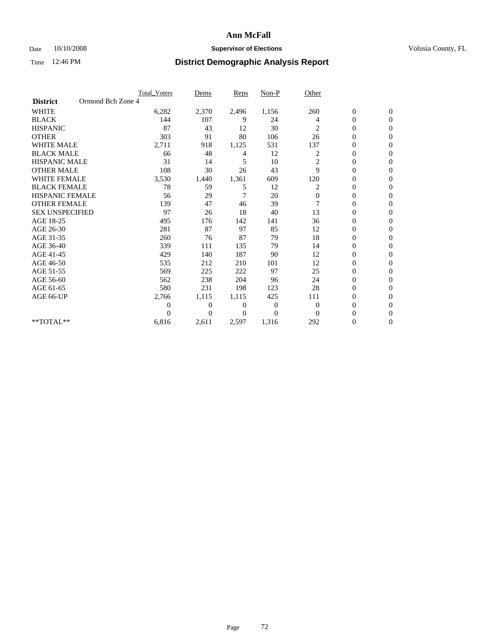### Date  $10/10/2008$  **Supervisor of Elections** Volusia County, FL

|                        |                   | <b>Total Voters</b> | Dems           | <b>Reps</b> | Non-P    | Other          |                  |                  |  |
|------------------------|-------------------|---------------------|----------------|-------------|----------|----------------|------------------|------------------|--|
| <b>District</b>        | Ormond Bch Zone 4 |                     |                |             |          |                |                  |                  |  |
| <b>WHITE</b>           |                   | 6,282               | 2,370          | 2,496       | 1,156    | 260            | $\boldsymbol{0}$ | $\boldsymbol{0}$ |  |
| <b>BLACK</b>           |                   | 144                 | 107            | 9           | 24       | 4              | $\boldsymbol{0}$ | $\mathbf{0}$     |  |
| <b>HISPANIC</b>        |                   | 87                  | 43             | 12          | 30       | 2              | $\overline{0}$   | $\mathbf{0}$     |  |
| <b>OTHER</b>           |                   | 303                 | 91             | 80          | 106      | 26             | 0                | $\Omega$         |  |
| <b>WHITE MALE</b>      |                   | 2,711               | 918            | 1,125       | 531      | 137            | $\mathbf{0}$     | $\mathbf{0}$     |  |
| <b>BLACK MALE</b>      |                   | 66                  | 48             | 4           | 12       | 2              | $\overline{0}$   | $\mathbf{0}$     |  |
| <b>HISPANIC MALE</b>   |                   | 31                  | 14             | 5           | 10       | $\overline{c}$ | 0                | $\Omega$         |  |
| <b>OTHER MALE</b>      |                   | 108                 | 30             | 26          | 43       | 9              | 0                | $\mathbf{0}$     |  |
| <b>WHITE FEMALE</b>    |                   | 3,530               | 1,440          | 1,361       | 609      | 120            | $\overline{0}$   | $\mathbf{0}$     |  |
| <b>BLACK FEMALE</b>    |                   | 78                  | 59             | 5           | 12       | 2              | $\boldsymbol{0}$ | $\Omega$         |  |
| <b>HISPANIC FEMALE</b> |                   | 56                  | 29             | 7           | 20       | $\mathbf{0}$   | 0                | $\mathbf{0}$     |  |
| <b>OTHER FEMALE</b>    |                   | 139                 | 47             | 46          | 39       | 7              | $\overline{0}$   | $\Omega$         |  |
| <b>SEX UNSPECIFIED</b> |                   | 97                  | 26             | 18          | 40       | 13             | $\overline{0}$   | $\mathbf{0}$     |  |
| AGE 18-25              |                   | 495                 | 176            | 142         | 141      | 36             | 0                | $\mathbf{0}$     |  |
| AGE 26-30              |                   | 281                 | 87             | 97          | 85       | 12             | $\overline{0}$   | $\mathbf{0}$     |  |
| AGE 31-35              |                   | 260                 | 76             | 87          | 79       | 18             | $\boldsymbol{0}$ | $\mathbf{0}$     |  |
| AGE 36-40              |                   | 339                 | 111            | 135         | 79       | 14             | 0                | $\mathbf{0}$     |  |
| AGE 41-45              |                   | 429                 | 140            | 187         | 90       | 12             | $\mathbf{0}$     | $\Omega$         |  |
| AGE 46-50              |                   | 535                 | 212            | 210         | 101      | 12             | $\boldsymbol{0}$ | $\Omega$         |  |
| AGE 51-55              |                   | 569                 | 225            | 222         | 97       | 25             | $\boldsymbol{0}$ | $\mathbf{0}$     |  |
| AGE 56-60              |                   | 562                 | 238            | 204         | 96       | 24             | $\overline{0}$   | $\Omega$         |  |
| AGE 61-65              |                   | 580                 | 231            | 198         | 123      | 28             | $\overline{0}$   | $\overline{0}$   |  |
| AGE 66-UP              |                   | 2,766               | 1,115          | 1,115       | 425      | 111            | $\boldsymbol{0}$ | $\mathbf{0}$     |  |
|                        |                   | $\overline{0}$      | $\overline{0}$ | 0           | 0        | $\overline{0}$ | $\overline{0}$   | $\mathbf{0}$     |  |
|                        |                   | $\theta$            | $\Omega$       | $\Omega$    | $\Omega$ | $\Omega$       | $\overline{0}$   | $\overline{0}$   |  |
| **TOTAL**              |                   | 6,816               | 2,611          | 2,597       | 1,316    | 292            | 0                | $\overline{0}$   |  |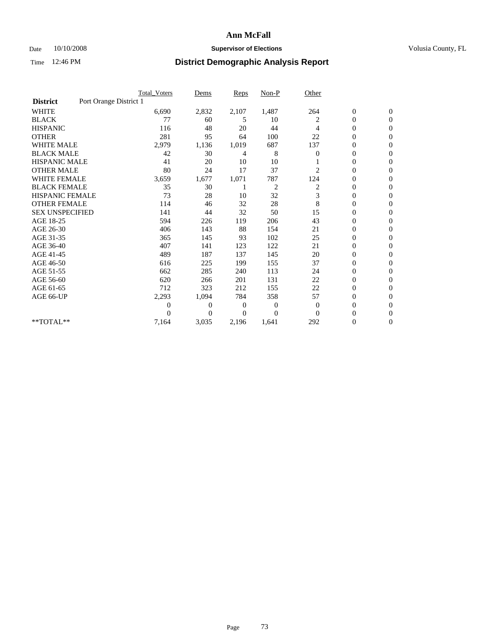### Date  $10/10/2008$  **Supervisor of Elections** Volusia County, FL

|                        |                        | <b>Total Voters</b> | Dems           | <b>Reps</b> | $Non-P$        | Other        |                  |                  |
|------------------------|------------------------|---------------------|----------------|-------------|----------------|--------------|------------------|------------------|
| <b>District</b>        | Port Orange District 1 |                     |                |             |                |              |                  |                  |
| <b>WHITE</b>           |                        | 6,690               | 2,832          | 2,107       | 1,487          | 264          | $\boldsymbol{0}$ | $\boldsymbol{0}$ |
| <b>BLACK</b>           |                        | 77                  | 60             | 5           | 10             | 2            | $\boldsymbol{0}$ | $\mathbf{0}$     |
| <b>HISPANIC</b>        |                        | 116                 | 48             | 20          | 44             | 4            | $\overline{0}$   | $\mathbf{0}$     |
| <b>OTHER</b>           |                        | 281                 | 95             | 64          | 100            | 22           | 0                | $\Omega$         |
| <b>WHITE MALE</b>      |                        | 2,979               | 1,136          | 1,019       | 687            | 137          | $\overline{0}$   | $\mathbf{0}$     |
| <b>BLACK MALE</b>      |                        | 42                  | 30             | 4           | 8              | $\mathbf{0}$ | $\overline{0}$   | $\mathbf{0}$     |
| <b>HISPANIC MALE</b>   |                        | 41                  | 20             | 10          | 10             |              | $\overline{0}$   | $\overline{0}$   |
| <b>OTHER MALE</b>      |                        | 80                  | 24             | 17          | 37             | 2            | 0                | $\mathbf{0}$     |
| <b>WHITE FEMALE</b>    |                        | 3,659               | 1,677          | 1,071       | 787            | 124          | $\overline{0}$   | $\mathbf{0}$     |
| <b>BLACK FEMALE</b>    |                        | 35                  | 30             |             | $\overline{c}$ | 2            | $\boldsymbol{0}$ | $\Omega$         |
| <b>HISPANIC FEMALE</b> |                        | 73                  | 28             | 10          | 32             | 3            | 0                | $\mathbf{0}$     |
| <b>OTHER FEMALE</b>    |                        | 114                 | 46             | 32          | 28             | 8            | $\overline{0}$   | $\Omega$         |
| <b>SEX UNSPECIFIED</b> |                        | 141                 | 44             | 32          | 50             | 15           | $\overline{0}$   | $\overline{0}$   |
| AGE 18-25              |                        | 594                 | 226            | 119         | 206            | 43           | $\overline{0}$   | $\mathbf{0}$     |
| AGE 26-30              |                        | 406                 | 143            | 88          | 154            | 21           | $\overline{0}$   | $\mathbf{0}$     |
| AGE 31-35              |                        | 365                 | 145            | 93          | 102            | 25           | $\boldsymbol{0}$ | $\overline{0}$   |
| AGE 36-40              |                        | 407                 | 141            | 123         | 122            | 21           | $\boldsymbol{0}$ | $\mathbf{0}$     |
| AGE 41-45              |                        | 489                 | 187            | 137         | 145            | 20           | $\overline{0}$   | $\Omega$         |
| AGE 46-50              |                        | 616                 | 225            | 199         | 155            | 37           | $\boldsymbol{0}$ | $\mathbf{0}$     |
| AGE 51-55              |                        | 662                 | 285            | 240         | 113            | 24           | $\boldsymbol{0}$ | $\mathbf{0}$     |
| AGE 56-60              |                        | 620                 | 266            | 201         | 131            | 22           | $\overline{0}$   | $\Omega$         |
| AGE 61-65              |                        | 712                 | 323            | 212         | 155            | 22           | $\overline{0}$   | $\mathbf{0}$     |
| AGE 66-UP              |                        | 2,293               | 1,094          | 784         | 358            | 57           | $\boldsymbol{0}$ | $\mathbf{0}$     |
|                        |                        | 0                   | $\overline{0}$ | 0           | $\bf{0}$       | $\mathbf{0}$ | $\overline{0}$   | $\mathbf{0}$     |
|                        |                        | $\theta$            | $\theta$       | $\Omega$    | $\Omega$       | $\Omega$     | $\overline{0}$   | $\mathbf{0}$     |
| **TOTAL**              |                        | 7,164               | 3,035          | 2,196       | 1,641          | 292          | 0                | $\mathbf{0}$     |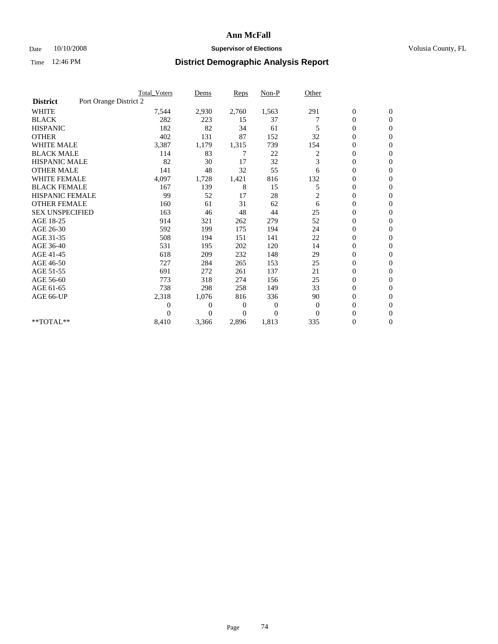### Date  $10/10/2008$  **Supervisor of Elections** Volusia County, FL

|                        | <b>Total Voters</b>    | Dems           | <b>Reps</b> | $Non-P$      | Other          |                  |                  |  |
|------------------------|------------------------|----------------|-------------|--------------|----------------|------------------|------------------|--|
| <b>District</b>        | Port Orange District 2 |                |             |              |                |                  |                  |  |
| <b>WHITE</b>           | 7,544                  | 2,930          | 2,760       | 1,563        | 291            | $\boldsymbol{0}$ | $\boldsymbol{0}$ |  |
| <b>BLACK</b>           | 282                    | 223            | 15          | 37           |                | $\boldsymbol{0}$ | $\mathbf{0}$     |  |
| <b>HISPANIC</b>        | 182                    | 82             | 34          | 61           | 5              | $\overline{0}$   | $\mathbf{0}$     |  |
| <b>OTHER</b>           | 402                    | 131            | 87          | 152          | 32             | $\boldsymbol{0}$ | $\Omega$         |  |
| <b>WHITE MALE</b>      | 3,387                  | 1,179          | 1,315       | 739          | 154            | $\overline{0}$   | $\mathbf{0}$     |  |
| <b>BLACK MALE</b>      | 114                    | 83             | 7           | 22           | 2              | $\overline{0}$   | $\mathbf{0}$     |  |
| <b>HISPANIC MALE</b>   | 82                     | 30             | 17          | 32           | 3              | $\overline{0}$   | $\mathbf{0}$     |  |
| <b>OTHER MALE</b>      | 141                    | 48             | 32          | 55           | 6              | $\boldsymbol{0}$ | $\mathbf{0}$     |  |
| <b>WHITE FEMALE</b>    | 4,097                  | 1,728          | 1,421       | 816          | 132            | $\overline{0}$   | $\mathbf{0}$     |  |
| <b>BLACK FEMALE</b>    | 167                    | 139            | 8           | 15           | 5              | $\boldsymbol{0}$ | $\mathbf{0}$     |  |
| <b>HISPANIC FEMALE</b> | 99                     | 52             | 17          | 28           | $\overline{c}$ | $\overline{0}$   | $\mathbf{0}$     |  |
| <b>OTHER FEMALE</b>    | 160                    | 61             | 31          | 62           | 6              | $\mathbf{0}$     | $\Omega$         |  |
| <b>SEX UNSPECIFIED</b> | 163                    | 46             | 48          | 44           | 25             | $\boldsymbol{0}$ | $\mathbf{0}$     |  |
| AGE 18-25              | 914                    | 321            | 262         | 279          | 52             | $\overline{0}$   | $\mathbf{0}$     |  |
| AGE 26-30              | 592                    | 199            | 175         | 194          | 24             | $\overline{0}$   | $\mathbf{0}$     |  |
| AGE 31-35              | 508                    | 194            | 151         | 141          | 22             | $\boldsymbol{0}$ | $\mathbf{0}$     |  |
| AGE 36-40              | 531                    | 195            | 202         | 120          | 14             | $\boldsymbol{0}$ | $\mathbf{0}$     |  |
| AGE 41-45              | 618                    | 209            | 232         | 148          | 29             | $\overline{0}$   | $\mathbf{0}$     |  |
| AGE 46-50              | 727                    | 284            | 265         | 153          | 25             | $\boldsymbol{0}$ | $\mathbf{0}$     |  |
| AGE 51-55              | 691                    | 272            | 261         | 137          | 21             | $\boldsymbol{0}$ | $\mathbf{0}$     |  |
| AGE 56-60              | 773                    | 318            | 274         | 156          | 25             | $\overline{0}$   | $\Omega$         |  |
| AGE 61-65              | 738                    | 298            | 258         | 149          | 33             | $\overline{0}$   | $\mathbf{0}$     |  |
| AGE 66-UP              | 2,318                  | 1,076          | 816         | 336          | 90             | $\boldsymbol{0}$ | $\mathbf{0}$     |  |
|                        | $\overline{0}$         | $\overline{0}$ | 0           | $\mathbf{0}$ | $\theta$       | $\overline{0}$   | $\mathbf{0}$     |  |
|                        | $\theta$               | $\theta$       | $\Omega$    | $\Omega$     | $\Omega$       | $\overline{0}$   | $\mathbf{0}$     |  |
| **TOTAL**              | 8,410                  | 3,366          | 2,896       | 1,813        | 335            | 0                | $\mathbf{0}$     |  |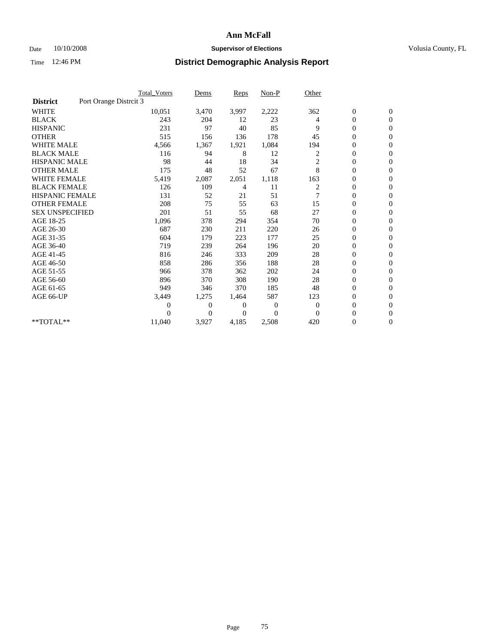## Date 10/10/2008 **Supervisor of Elections Supervisor of Elections** Volusia County, FL

|                        |                        | Total Voters   | Dems           | <b>Reps</b>    | $Non-P$      | Other          |                  |                  |  |
|------------------------|------------------------|----------------|----------------|----------------|--------------|----------------|------------------|------------------|--|
| <b>District</b>        | Port Orange Distrcit 3 |                |                |                |              |                |                  |                  |  |
| <b>WHITE</b>           |                        | 10,051         | 3,470          | 3,997          | 2,222        | 362            | $\boldsymbol{0}$ | $\boldsymbol{0}$ |  |
| <b>BLACK</b>           |                        | 243            | 204            | 12             | 23           | 4              | $\boldsymbol{0}$ | $\mathbf{0}$     |  |
| <b>HISPANIC</b>        |                        | 231            | 97             | 40             | 85           | 9              | $\overline{0}$   | $\mathbf{0}$     |  |
| <b>OTHER</b>           |                        | 515            | 156            | 136            | 178          | 45             | 0                | $\mathbf{0}$     |  |
| <b>WHITE MALE</b>      |                        | 4,566          | 1,367          | 1,921          | 1,084        | 194            | $\boldsymbol{0}$ | $\mathbf{0}$     |  |
| <b>BLACK MALE</b>      |                        | 116            | 94             | 8              | 12           | 2              | $\overline{0}$   | $\mathbf{0}$     |  |
| <b>HISPANIC MALE</b>   |                        | 98             | 44             | 18             | 34           | 2              | $\boldsymbol{0}$ | $\Omega$         |  |
| <b>OTHER MALE</b>      |                        | 175            | 48             | 52             | 67           | 8              | $\overline{0}$   | $\mathbf{0}$     |  |
| <b>WHITE FEMALE</b>    |                        | 5,419          | 2,087          | 2,051          | 1,118        | 163            | $\boldsymbol{0}$ | $\mathbf{0}$     |  |
| <b>BLACK FEMALE</b>    |                        | 126            | 109            | 4              | 11           | $\overline{c}$ | $\boldsymbol{0}$ | $\mathbf{0}$     |  |
| <b>HISPANIC FEMALE</b> |                        | 131            | 52             | 21             | 51           |                | $\boldsymbol{0}$ | $\mathbf{0}$     |  |
| <b>OTHER FEMALE</b>    |                        | 208            | 75             | 55             | 63           | 15             | $\mathbf{0}$     | $\mathbf{0}$     |  |
| <b>SEX UNSPECIFIED</b> |                        | 201            | 51             | 55             | 68           | 27             | $\boldsymbol{0}$ | $\Omega$         |  |
| AGE 18-25              |                        | 1,096          | 378            | 294            | 354          | 70             | $\boldsymbol{0}$ | $\mathbf{0}$     |  |
| AGE 26-30              |                        | 687            | 230            | 211            | 220          | 26             | $\overline{0}$   | $\Omega$         |  |
| AGE 31-35              |                        | 604            | 179            | 223            | 177          | 25             | $\boldsymbol{0}$ | $\mathbf{0}$     |  |
| AGE 36-40              |                        | 719            | 239            | 264            | 196          | 20             | $\boldsymbol{0}$ | $\mathbf{0}$     |  |
| AGE 41-45              |                        | 816            | 246            | 333            | 209          | 28             | $\boldsymbol{0}$ | $\mathbf{0}$     |  |
| AGE 46-50              |                        | 858            | 286            | 356            | 188          | 28             | $\boldsymbol{0}$ | $\Omega$         |  |
| AGE 51-55              |                        | 966            | 378            | 362            | 202          | 24             | $\overline{0}$   | $\mathbf{0}$     |  |
| AGE 56-60              |                        | 896            | 370            | 308            | 190          | 28             | $\overline{0}$   | $\mathbf{0}$     |  |
| AGE 61-65              |                        | 949            | 346            | 370            | 185          | 48             | $\overline{0}$   | $\mathbf{0}$     |  |
| AGE 66-UP              |                        | 3,449          | 1,275          | 1,464          | 587          | 123            | $\boldsymbol{0}$ | $\mathbf{0}$     |  |
|                        |                        | $\overline{0}$ | $\overline{0}$ | 0              | $\mathbf{0}$ | $\mathbf{0}$   | $\mathbf{0}$     | $\mathbf{0}$     |  |
|                        |                        | 0              | $\overline{0}$ | $\overline{0}$ | $\Omega$     | $\mathbf{0}$   | 0                | $\mathbf{0}$     |  |
| **TOTAL**              |                        | 11,040         | 3,927          | 4,185          | 2,508        | 420            | 0                | $\boldsymbol{0}$ |  |